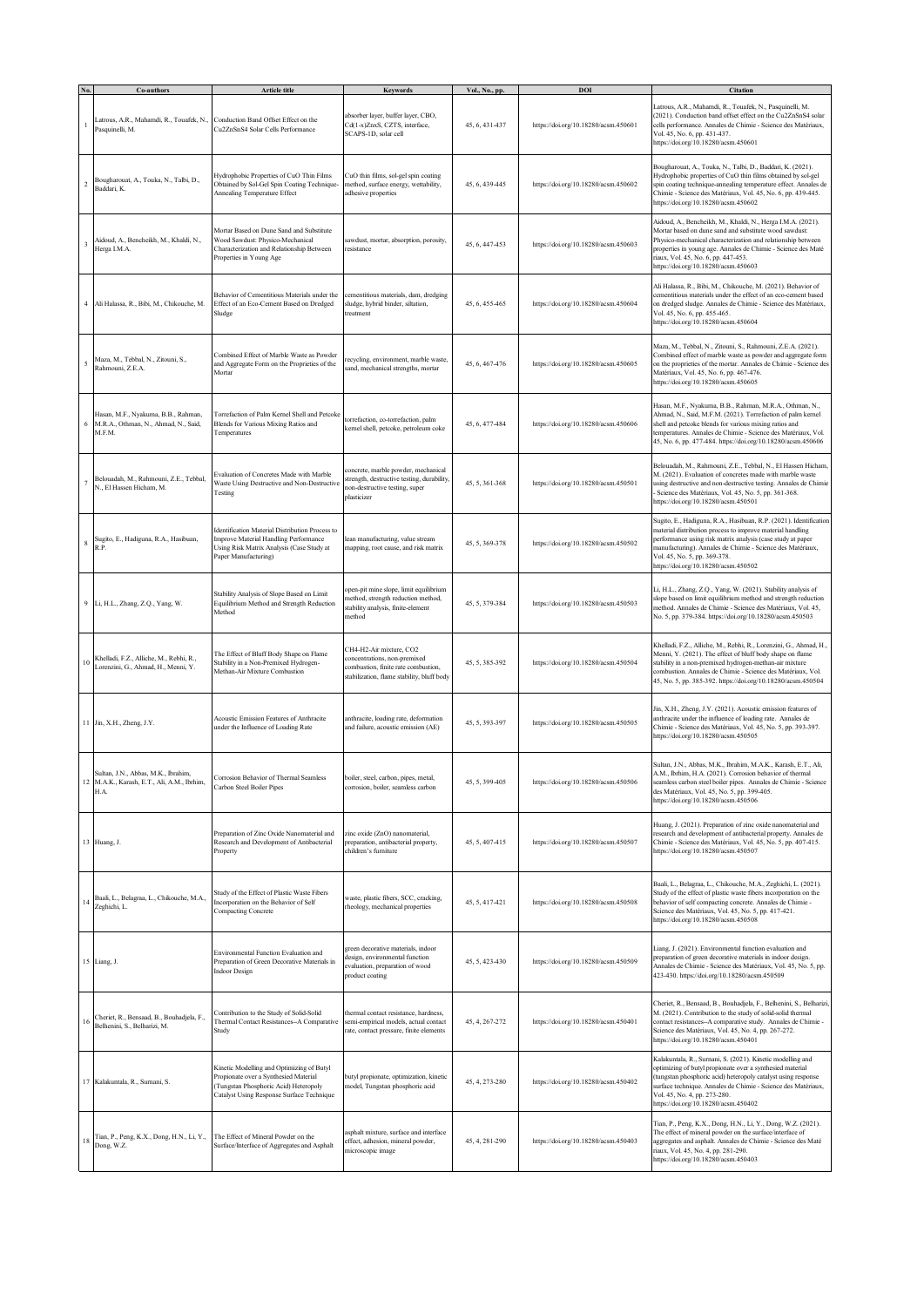|              | Co-authors                                                                                 | Article title                                                                                                                                                            | <b>Keywords</b>                                                                                                                              | Vol., No., pp. | DOI                                  | <b>Citation</b>                                                                                                                                                                                                                                                                                                                       |
|--------------|--------------------------------------------------------------------------------------------|--------------------------------------------------------------------------------------------------------------------------------------------------------------------------|----------------------------------------------------------------------------------------------------------------------------------------------|----------------|--------------------------------------|---------------------------------------------------------------------------------------------------------------------------------------------------------------------------------------------------------------------------------------------------------------------------------------------------------------------------------------|
| L.           | Latrous, A.R., Mahamdi, R., Touafek, N.,<br>Pasquinelli, M.                                | Conduction Band Offset Effect on the<br>Cu2ZnSnS4 Solar Cells Performance                                                                                                | absorber layer, buffer layer, CBO,<br>Cd(1-x)ZnxS, CZTS, interface,<br>SCAPS-1D, solar cell                                                  | 45, 6, 431-437 | https://doi.org/10.18280/acsm.450601 | Latrous, A.R., Mahamdi, R., Touafek, N., Pasquinelli, M.<br>(2021). Conduction band offset effect on the Cu2ZnSnS4 solar<br>cells performance. Annales de Chimie - Science des Matériaux,<br>Vol. 45, No. 6, pp. 431-437.<br>https://doi.org/10.18280/acsm.450601                                                                     |
| $\sqrt{2}$   | Bougharouat, A., Touka, N., Talbi, D.,<br>Baddari, K.                                      | Hydrophobic Properties of CuO Thin Films<br>Obtained by Sol-Gel Spin Coating Technique-<br>Annealing Temperature Effect                                                  | CuO thin films, sol-gel spin coating<br>method, surface energy, wettability,<br>adhesive properties                                          | 45, 6, 439-445 | https://doi.org/10.18280/acsm.450602 | Bougharouat, A., Touka, N., Talbi, D., Baddari, K. (2021).<br>Hydrophobic properties of CuO thin films obtained by sol-gel<br>spin coating technique-annealing temperature effect. Annales de<br>Chimie - Science des Matériaux, Vol. 45, No. 6, pp. 439-445.<br>https://doi.org/10.18280/acsm.450602                                 |
| $\mathbf{3}$ | Aidoud, A., Bencheikh, M., Khaldi, N.,<br>Herga I.M.A.                                     | Mortar Based on Dune Sand and Substitute<br>Wood Sawdust: Physico-Mechanical<br>Characterization and Relationship Between<br>Properties in Young Age                     | sawdust, mortar, absorption, porosity,<br>esistance                                                                                          | 45, 6, 447-453 | https://doi.org/10.18280/acsm.450603 | Aidoud, A., Bencheikh, M., Khaldi, N., Herga I.M.A. (2021).<br>Mortar based on dune sand and substitute wood sawdust:<br>Physico-mechanical characterization and relationship between<br>properties in young age. Annales de Chimie - Science des Maté<br>riaux, Vol. 45, No. 6, pp. 447-453.<br>https://doi.org/10.18280/acsm.450603 |
|              | 4 Ali Halassa, R., Bibi, M., Chikouche, M.                                                 | Behavior of Cementitious Materials under the<br>Effect of an Eco-Cement Based on Dredged<br>Sludge                                                                       | cementitious materials, dam, dredging<br>sludge, hybrid binder, siltation,<br>treatment                                                      | 45, 6, 455-465 | https://doi.org/10.18280/acsm.450604 | Ali Halassa, R., Bibi, M., Chikouche, M. (2021). Behavior of<br>cementitious materials under the effect of an eco-cement based<br>on dredged sludge. Annales de Chimie - Science des Matériaux,<br>Vol. 45, No. 6, pp. 455-465.<br>https://doi.org/10.18280/acsm.450604                                                               |
| 5            | Maza, M., Tebbal, N., Zitouni, S.,<br>Rahmouni, Z.E.A.                                     | Combined Effect of Marble Waste as Powder<br>and Aggregate Form on the Proprieties of the<br>Mortar                                                                      | recycling, environment, marble waste,<br>sand, mechanical strengths, mortar                                                                  | 45, 6, 467-476 | https://doi.org/10.18280/acsm.450605 | Maza, M., Tebbal, N., Zitouni, S., Rahmouni, Z.E.A. (2021).<br>Combined effect of marble waste as powder and aggregate form<br>on the proprieties of the mortar. Annales de Chimie - Science des<br>Matériaux, Vol. 45, No. 6, pp. 467-476.<br>https://doi.org/10.18280/acsm.450605                                                   |
|              | Hasan, M.F., Nyakuma, B.B., Rahman,<br>6 M.R.A., Othman, N., Ahmad, N., Said,<br>M.F.M.    | Torrefaction of Palm Kernel Shell and Petcoke<br>Blends for Various Mixing Ratios and<br>Temperatures                                                                    | torrefaction, co-torrefaction, palm<br>kernel shell, petcoke, petroleum coke                                                                 | 45, 6, 477-484 | https://doi.org/10.18280/acsm.450606 | Hasan, M.F., Nyakuma, B.B., Rahman, M.R.A., Othman, N.,<br>Ahmad, N., Said, M.F.M. (2021). Torrefaction of palm kemel<br>shell and petcoke blends for various mixing ratios and<br>temperatures. Annales de Chimie - Science des Matériaux, Vol.<br>45, No. 6, pp. 477-484. https://doi.org/10.18280/acsm.450606                      |
| 7            | Belouadah, M., Rahmouni, Z.E., Tebbal,<br>N., El Hassen Hicham, M.                         | Evaluation of Concretes Made with Marble<br>Waste Using Destructive and Non-Destructive<br>Testing                                                                       | concrete, marble powder, mechanical<br>strength, destructive testing, durability,<br>non-destructive testing, super<br>plasticizer           | 45, 5, 361-368 | https://doi.org/10.18280/acsm.450501 | Belouadah, M., Rahmouni, Z.E., Tebbal, N., El Hassen Hicham,<br>M. (2021). Evaluation of concretes made with marble waste<br>using destructive and non-destructive testing. Annales de Chimie<br>Science des Matériaux, Vol. 45, No. 5, pp. 361-368.<br>https://doi.org/10.18280/acsm.450501                                          |
| $8\,$        | Sugito, E., Hadiguna, R.A., Hasibuan,<br>R.P.                                              | dentification Material Distribution Process to<br>Improve Material Handling Performance<br>Using Risk Matrix Analysis (Case Study at<br>Paper Manufacturing)             | lean manufacturing, value stream<br>mapping, root cause, and risk matrix                                                                     | 45, 5, 369-378 | https://doi.org/10.18280/acsm.450502 | Sugito, E., Hadiguna, R.A., Hasibuan, R.P. (2021). Identification<br>material distribution process to improve material handling<br>performance using risk matrix analysis (case study at paper<br>nanufacturing). Annales de Chimie - Science des Matériaux,<br>Vol. 45, No. 5, pp. 369-378.<br>https://doi.org/10.18280/acsm.450502  |
|              | 9 Li, H.L., Zhang, Z.Q., Yang, W.                                                          | Stability Analysis of Slope Based on Limit<br>Equilibrium Method and Strength Reduction<br>Method                                                                        | open-pit mine slope, limit equilibrium<br>nethod, strength reduction method,<br>stability analysis, finite-element<br>method                 | 45, 5, 379-384 | https://doi.org/10.18280/acsm.450503 | Li, H.L., Zhang, Z.Q., Yang, W. (2021). Stability analysis of<br>slope based on limit equilibrium method and strength reduction<br>method. Annales de Chimie - Science des Matériaux, Vol. 45,<br>No. 5, pp. 379-384. https://doi.org/10.18280/acsm.450503                                                                            |
| 10           | Khelladi, F.Z., Alliche, M., Rebhi, R.,<br>Lorenzini, G., Ahmad, H., Menni, Y.             | The Effect of Bluff Body Shape on Flame<br>Stability in a Non-Premixed Hydrogen-<br>Methan-Air Mixture Combustion                                                        | CH4-H2-Air mixture, CO2<br>concentrations, non-premixed<br>combustion, finite rate combustion,<br>stabilization, flame stability, bluff body | 45, 5, 385-392 | https://doi.org/10.18280/acsm.450504 | Khelladi, F.Z., Alliche, M., Rebhi, R., Lorenzini, G., Ahmad, H.,<br>Menni, Y. (2021). The effect of bluff body shape on flame<br>stability in a non-premixed hydrogen-methan-air mixture<br>combustion. Annales de Chimie - Science des Matériaux, Vol.<br>45, No. 5, pp. 385-392. https://doi.org/10.18280/acsm.450504              |
|              | 11 Jin, X.H., Zheng, J.Y.                                                                  | Acoustic Emission Features of Anthracite<br>under the Influence of Loading Rate                                                                                          | anthracite, loading rate, deformation<br>and failure, acoustic emission (AE)                                                                 | 45, 5, 393-397 | https://doi.org/10.18280/acsm.450505 | Jin, X.H., Zheng, J.Y. (2021). Acoustic emission features of<br>anthracite under the influence of loading rate. Annales de<br>Chimie - Science des Matériaux, Vol. 45, No. 5, pp. 393-397.<br>https://doi.org/10.18280/acsm.450505                                                                                                    |
|              | Sultan, J.N., Abbas, M.K., Ibrahim,<br>12 M.A.K., Karash, E.T., Ali, A.M., Ibrhim,<br>H.A. | Corrosion Behavior of Thermal Seamless<br>Carbon Steel Boiler Pipes                                                                                                      | boiler, steel, carbon, pipes, metal,<br>corrosion, boiler, seamless carbon                                                                   | 45, 5, 399-405 | https://doi.org/10.18280/acsm.450506 | Sultan, J.N., Abbas, M.K., Ibrahim, M.A.K., Karash, E.T., Ali,<br>A.M., Ibrhim, H.A. (2021). Corrosion behavior of thermal<br>seamless carbon steel boiler pipes. Annales de Chimie - Science<br>des Matériaux, Vol. 45, No. 5, pp. 399-405.<br>https://doi.org/10.18280/acsm.450506                                                  |
|              | 13 Huang, J.                                                                               | Preparation of Zinc Oxide Nanomaterial and<br>Research and Development of Antibacterial<br>Property                                                                      | zinc oxide (ZnO) nanomaterial,<br>preparation, antibacterial property,<br>children's furniture                                               | 45, 5, 407-415 | https://doi.org/10.18280/acsm.450507 | Huang, J. (2021). Preparation of zinc oxide nanomaterial and<br>research and development of antibacterial property. Annales de<br>Chimie - Science des Matériaux, Vol. 45, No. 5, pp. 407-415.<br>https://doi.org/10.18280/acsm.450507                                                                                                |
| 14           | Baali, L., Belagraa, L., Chikouche, M.A.,<br>Zeghichi, L.                                  | Study of the Effect of Plastic Waste Fibers<br>Incorporation on the Behavior of Self<br>Compacting Concrete                                                              | waste, plastic fibers, SCC, cracking,<br>rheology, mechanical properties                                                                     | 45, 5, 417-421 | https://doi.org/10.18280/acsm.450508 | Baali, L., Belagraa, L., Chikouche, M.A., Zeghichi, L. (2021).<br>Study of the effect of plastic waste fibers incorporation on the<br>behavior of self compacting concrete. Annales de Chimie -<br>Science des Matériaux, Vol. 45, No. 5, pp. 417-421.<br>https://doi.org/10.18280/acsm.450508                                        |
|              | 15 Liang, J.                                                                               | Environmental Function Evaluation and<br>Preparation of Green Decorative Materials in<br><b>Indoor Design</b>                                                            | green decorative materials, indoor<br>design, environmental function<br>evaluation, preparation of wood<br>product coating                   | 45, 5, 423-430 | https://doi.org/10.18280/acsm.450509 | Liang, J. (2021). Environmental function evaluation and<br>preparation of green decorative materials in indoor design.<br>Annales de Chimie - Science des Matériaux, Vol. 45, No. 5, pp.<br>423-430. https://doi.org/10.18280/acsm.450509                                                                                             |
| 16           | Cheriet, R., Bensaad, B., Bouhadjela, F.,<br>Belhenini, S., Belharizi, M.                  | Contribution to the Study of Solid-Solid<br>Thermal Contact Resistances--A Comparative<br>Study                                                                          | thermal contact resistance, hardness,<br>semi-empirical models, actual contact<br>rate, contact pressure, finite elements                    | 45, 4, 267-272 | https://doi.org/10.18280/acsm.450401 | Cheriet, R., Bensaad, B., Bouhadjela, F., Belhenini, S., Belharizi,<br>M. (2021). Contribution to the study of solid-solid thermal<br>contact resistances-A comparative study. Annales de Chimie -<br>Science des Matériaux, Vol. 45, No. 4, pp. 267-272.<br>https://doi.org/10.18280/acsm.450401                                     |
|              | 17 Kalakuntala, R., Surnani, S.                                                            | Kinetic Modelling and Optimizing of Butyl<br>Propionate over a Synthesied Material<br>(Tungstan Phosphoric Acid) Heteropoly<br>Catalyst Using Response Surface Technique | butyl propionate, optimization, kinetic<br>model, Tungstan phosphoric acid                                                                   | 45, 4, 273-280 | https://doi.org/10.18280/acsm.450402 | Kalakuntala, R., Surnani, S. (2021). Kinetic modelling and<br>optimizing of butyl propionate over a synthesied material<br>(tungstan phosphoric acid) heteropoly catalyst using response<br>surface technique. Annales de Chimie - Science des Matériaux,<br>Vol. 45, No. 4, pp. 273-280.<br>https://doi.org/10.18280/acsm.450402     |
| $18\,$       | Tian, P., Peng, K.X., Dong, H.N., Li, Y.,<br>Dong, W.Z.                                    | The Effect of Mineral Powder on the<br>Surface/Interface of Aggregates and Asphalt                                                                                       | asphalt mixture, surface and interface<br>effect, adhesion, mineral powder,<br>microscopic image                                             | 45, 4, 281-290 | https://doi.org/10.18280/acsm.450403 | Tian, P., Peng, K.X., Dong, H.N., Li, Y., Dong, W.Z. (2021).<br>The effect of mineral powder on the surface/interface of<br>aggregates and asphalt. Annales de Chimie - Science des Maté<br>riaux, Vol. 45, No. 4, pp. 281-290.<br>https://doi.org/10.18280/acsm.450403                                                               |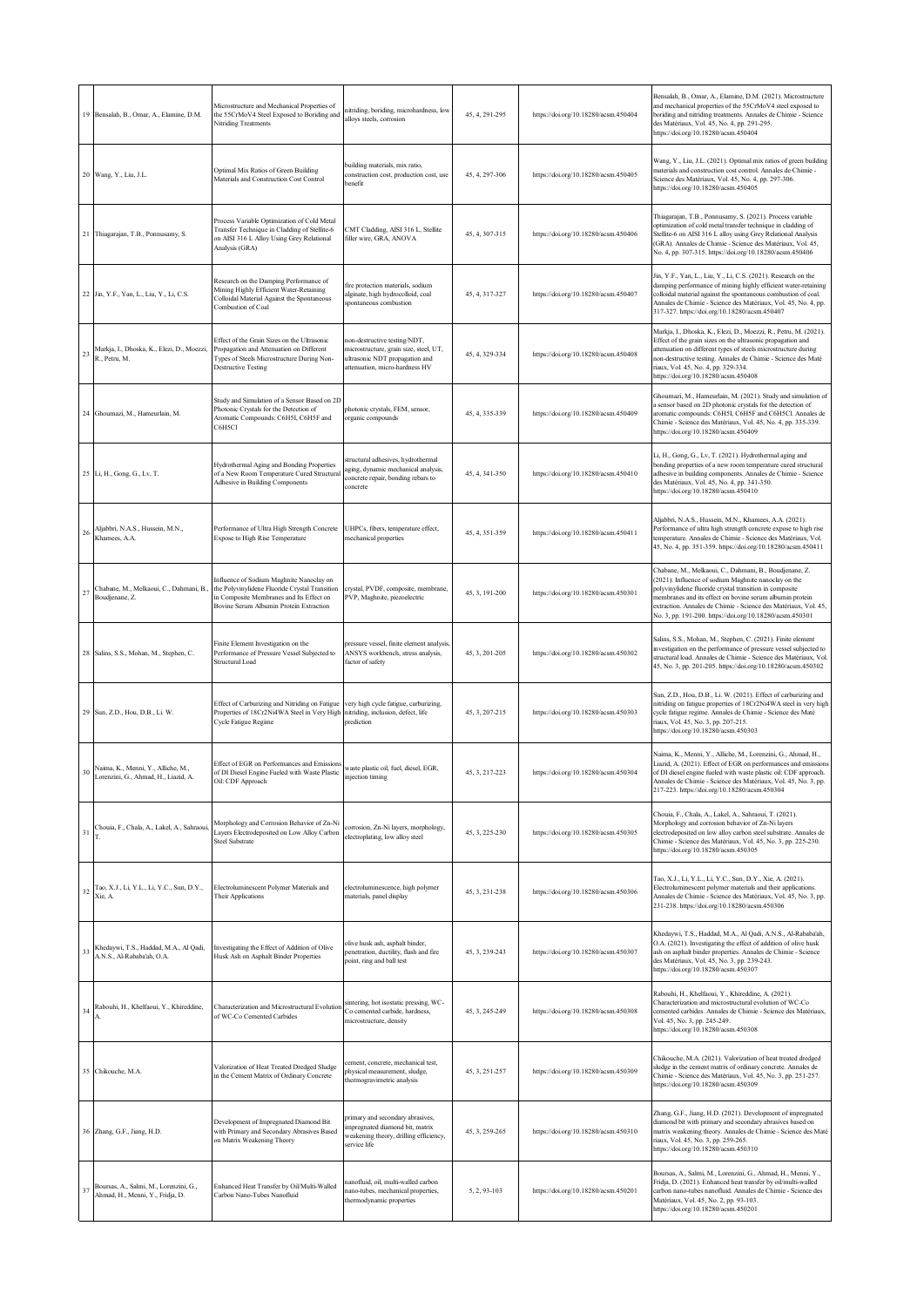|    | 19 Bensalah, B., Omar, A., Elamine, D.M.                                   | Microstructure and Mechanical Properties of<br>the 55CrMoV4 Steel Exposed to Boriding and<br>Nitriding Treatments                                                                 | nitriding, boriding, microhardness, low<br>alloys steels, corrosion                                                                        | 45, 4, 291-295 | https://doi.org/10.18280/acsm.450404 | Bensalah, B., Omar, A., Elamine, D.M. (2021). Microstructure<br>and mechanical properties of the 55CrMoV4 steel exposed to<br>boriding and nitriding treatments. Annales de Chimie - Science<br>des Matériaux, Vol. 45, No. 4, pp. 291-295.<br>https://doi.org/10.18280/acsm.450404                                                                                  |
|----|----------------------------------------------------------------------------|-----------------------------------------------------------------------------------------------------------------------------------------------------------------------------------|--------------------------------------------------------------------------------------------------------------------------------------------|----------------|--------------------------------------|----------------------------------------------------------------------------------------------------------------------------------------------------------------------------------------------------------------------------------------------------------------------------------------------------------------------------------------------------------------------|
|    | 20 Wang, Y., Liu, J.L.                                                     | Optimal Mix Ratios of Green Building<br>Materials and Construction Cost Control                                                                                                   | building materials, mix ratio,<br>onstruction cost, production cost, use<br>enefit                                                         | 45, 4, 297-306 | https://doi.org/10.18280/acsm.450405 | Wang, Y., Liu, J.L. (2021). Optimal mix ratios of green building<br>materials and construction cost control. Annales de Chimie -<br>Science des Matériaux, Vol. 45, No. 4, pp. 297-306.<br>https://doi.org/10.18280/acsm.450405                                                                                                                                      |
|    | 21 Thiagarajan, T.B., Ponnusamy, S.                                        | Process Variable Optimization of Cold Metal<br>Fransfer Technique in Cladding of Stellite-6<br>on AISI 316 L Alloy Using Grey Relational<br>Analysis (GRA)                        | CMT Cladding, AISI 316 L, Stellite<br>filler wire, GRA, ANOVA                                                                              | 45, 4, 307-315 | https://doi.org/10.18280/acsm.450406 | Thiagarajan, T.B., Ponnusamy, S. (2021). Process variable<br>optimization of cold metal transfer technique in cladding of<br>Stellite-6 on AISI 316 L alloy using Grey Relational Analysis<br>GRA). Annales de Chimie - Science des Matériaux, Vol. 45,<br>No. 4, pp. 307-315. https://doi.org/10.18280/acsm.450406                                                  |
|    | 22 Jin, Y.F., Yan, L., Liu, Y., Li, C.S.                                   | Research on the Damping Performance of<br>Mining Highly Efficient Water-Retaining<br>Colloidal Material Against the Spontaneous<br>Combustion of Coal                             | fire protection materials, sodium<br>ilginate, high hydrocolloid, coal<br>pontaneous combustion                                            | 45, 4, 317-327 | https://doi.org/10.18280/acsm.450407 | Jin, Y.F., Yan, L., Liu, Y., Li, C.S. (2021). Research on the<br>damping performance of mining highly efficient water-retaining<br>colloidal material against the spontaneous combustion of coal.<br>Annales de Chimie - Science des Matériaux, Vol. 45, No. 4, pp.<br>317-327. https://doi.org/10.18280/acsm.450407                                                 |
| 23 | Markja, I., Dhoska, K., Elezi, D., Moezzi,<br>R., Petru, M.                | Effect of the Grain Sizes on the Ultrasonic<br>Propagation and Attenuation on Different<br>Types of Steels Microstructure During Non-<br><b>Destructive Testing</b>               | ion-destructive testing/NDT,<br>nicrostructure, grain size, steel, UT,<br>altrasonic NDT propagation and<br>attenuation, micro-hardness HV | 45, 4, 329-334 | https://doi.org/10.18280/acsm.450408 | Markja, I., Dhoska, K., Elezi, D., Moezzi, R., Petru, M. (2021).<br>Effect of the grain sizes on the ultrasonic propagation and<br>attenuation on different types of steels microstructure during<br>non-destructive testing. Annales de Chimie - Science des Maté<br>riaux, Vol. 45, No. 4, pp. 329-334.<br>https://doi.org/10.18280/acsm.450408                    |
|    | 24 Ghoumazi, M., Hameurlain, M.                                            | Study and Simulation of a Sensor Based on 2D<br>Photonic Crystals for the Detection of<br>Aromatic Compounds: C6H5I, C6H5F and<br>C6H5Cl                                          | photonic crystals, FEM, sensor,<br>organic compounds                                                                                       | 45, 4, 335-339 | https://doi.org/10.18280/acsm.450409 | Ghoumazi, M., Hameurlain, M. (2021). Study and simulation of<br>a sensor based on 2D photonic crystals for the detection of<br>aromatic compounds: C6H5I, C6H5F and C6H5Cl. Annales de<br>Chimie - Science des Matériaux, Vol. 45, No. 4, pp. 335-339.<br>https://doi.org/10.18280/acsm.450409                                                                       |
|    | 25 Li, H., Gong, G., Lv, T.                                                | Hydrothermal Aging and Bonding Properties<br>of a New Room Temperature Cured Structural<br>Adhesive in Building Components                                                        | tructural adhesives, hydrothermal<br>ging, dynamic mechanical analysis,<br>concrete repair, bonding rebars to<br>concrete                  | 45, 4, 341-350 | https://doi.org/10.18280/acsm.450410 | Li, H., Gong, G., Lv, T. (2021). Hydrothermal aging and<br>bonding properties of a new room temperature cured structural<br>adhesive in building components. Annales de Chimie - Science<br>des Matériaux, Vol. 45, No. 4, pp. 341-350.<br>https://doi.org/10.18280/acsm.450410                                                                                      |
| 26 | Aljabbri, N.A.S., Hussein, M.N.,<br>Khamees, A.A.                          | Performance of Ultra High Strength Concrete<br>Expose to High Rise Temperature                                                                                                    | UHPCs, fibers, temperature effect,<br>nechanical properties                                                                                | 45, 4, 351-359 | https://doi.org/10.18280/acsm.450411 | Aljabbri, N.A.S., Hussein, M.N., Khamees, A.A. (2021).<br>Performance of ultra high strength concrete expose to high rise<br>emperature. Annales de Chimie - Science des Matériaux, Vol.<br>45, No. 4, pp. 351-359. https://doi.org/10.18280/acsm.450411                                                                                                             |
| 27 | Chabane, M., Melkaoui, C., Dahmani, B.,<br>Boudjenane, Z.                  | Influence of Sodium Maghnite Nanoclay on<br>the Polyvinylidene Fluoride Crystal Transition<br>in Composite Membranes and Its Effect on<br>Bovine Serum Albumin Protein Extraction | crystal, PVDF, composite, membrane,<br>PVP, Maghnite, piezoelectric                                                                        | 45, 3, 191-200 | https://doi.org/10.18280/acsm.450301 | Chabane, M., Melkaoui, C., Dahmani, B., Boudjenane, Z.<br>(2021). Influence of sodium Maghnite nanoclay on the<br>polyvinylidene fluoride crystal transition in composite<br>membranes and its effect on bovine serum albumin protein<br>extraction. Annales de Chimie - Science des Matériaux, Vol. 45,<br>No. 3, pp. 191-200. https://doi.org/10.18280/acsm.450301 |
|    | 28 Salins, S.S., Mohan, M., Stephen, C.                                    | Finite Element Investigation on the<br>Performance of Pressure Vessel Subjected to<br>Structural Load                                                                             | ressure vessel, finite element analysis,<br>ANSYS workbench, stress analysis,<br>factor of safety                                          | 45, 3, 201-205 | https://doi.org/10.18280/acsm.450302 | Salins, S.S., Mohan, M., Stephen, C. (2021). Finite element<br>investigation on the performance of pressure vessel subjected to<br>structural load. Annales de Chimie - Science des Matériaux, Vol.<br>45, No. 3, pp. 201-205. https://doi.org/10.18280/acsm.450302                                                                                                  |
|    | 29 Sun, Z.D., Hou, D.B., Li. W.                                            | Effect of Carburizing and Nitriding on Fatigue<br>Properties of 18Cr2Ni4WA Steel in Very High<br>Cycle Fatigue Regime                                                             | very high cycle fatigue, carburizing,<br>nitriding, inclusion, defect, life<br>prediction                                                  | 45, 3, 207-215 | https://doi.org/10.18280/acsm.450303 | Sun, Z.D., Hou, D.B., Li. W. (2021). Effect of carburizing and<br>nitriding on fatigue properties of 18Cr2Ni4WA steel in very high<br>cycle fatigue regime. Annales de Chimie - Science des Maté<br>riaux, Vol. 45, No. 3, pp. 207-215.<br>https://doi.org/10.18280/acsm.450303                                                                                      |
| 30 | Naima, K., Menni, Y., Alliche, M.,<br>Lorenzini, G., Ahmad, H., Liazid, A. | Effect of EGR on Performances and Emissions<br>of DI Diesel Engine Fueled with Waste Plastic<br>Oil: CDF Approach                                                                 | waste plastic oil, fuel, diesel, EGR,<br>injection timing                                                                                  | 45, 3, 217-223 | https://doi.org/10.18280/acsm.450304 | Naima, K., Menni, Y., Alliche, M., Lorenzini, G., Ahmad, H.,<br>Liazid, A. (2021). Effect of EGR on performances and emissions<br>of DI diesel engine fueled with waste plastic oil: CDF approach.<br>Annales de Chimie - Science des Matériaux, Vol. 45, No. 3, pp.<br>217-223. https://doi.org/10.18280/acsm.450304                                                |
| 31 | Chouia, F., Chala, A., Lakel, A., Sahraoui,<br>T.                          | Morphology and Corrosion Behavior of Zn-Ni<br>Layers Electrodeposited on Low Alloy Carbon<br>Steel Substrate                                                                      | corrosion, Zn-Ni layers, morphology,<br>electroplating, low alloy steel                                                                    | 45, 3, 225-230 | https://doi.org/10.18280/acsm.450305 | Chouia, F., Chala, A., Lakel, A., Sahraoui, T. (2021).<br>Morphology and corrosion behavior of Zn-Ni layers<br>electrodeposited on low alloy carbon steel substrate. Annales de<br>Chimie - Science des Matériaux, Vol. 45, No. 3, pp. 225-230.<br>https://doi.org/10.18280/acsm.450305                                                                              |
| 32 | Tao, X.J., Li, Y.L., Li, Y.C., Sun, D.Y.,<br>Xie, A.                       | Electroluminescent Polymer Materials and<br>Their Applications                                                                                                                    | electroluminescence, high polymer<br>materials, panel display                                                                              | 45, 3, 231-238 | https://doi.org/10.18280/acsm.450306 | Tao, X.J., Li, Y.L., Li, Y.C., Sun, D.Y., Xie, A. (2021).<br>Electroluminescent polymer materials and their applications.<br>Annales de Chimie - Science des Matériaux, Vol. 45, No. 3, pp.<br>231-238. https://doi.org/10.18280/acsm.450306                                                                                                                         |
| 33 | Khedaywi, T.S., Haddad, M.A., Al Qadi,<br>A.N.S., Al-Rababa'ah, O.A.       | Investigating the Effect of Addition of Olive<br>Husk Ash on Asphalt Binder Properties                                                                                            | blive husk ash, asphalt binder.<br>enetration, ductility, flash and fire<br>point, ring and ball test                                      | 45, 3, 239-243 | https://doi.org/10.18280/acsm.450307 | Khedaywi, T.S., Haddad, M.A., Al Qadi, A.N.S., Al-Rababa'ah,<br>O.A. (2021). Investigating the effect of addition of olive husk<br>ash on asphalt binder properties. Annales de Chimie - Science<br>des Matériaux, Vol. 45, No. 3, pp. 239-243.<br>https://doi.org/10.18280/acsm.450307                                                                              |
| 34 | Rabouhi, H., Khelfaoui, Y., Khireddine,                                    | Characterization and Microstructural Evolution<br>of WC-Co Cemented Carbides                                                                                                      | sintering, hot isostatic pressing, WC-<br>Co cemented carbide, hardness,<br>microstructure, density                                        | 45, 3, 245-249 | https://doi.org/10.18280/acsm.450308 | Rabouhi, H., Khelfaoui, Y., Khireddine, A. (2021).<br>Characterization and microstructural evolution of WC-Co<br>cemented carbides. Annales de Chimie - Science des Matériaux,<br>Vol. 45, No. 3, pp. 245-249.<br>https://doi.org/10.18280/acsm.450308                                                                                                               |
|    | 35 Chikouche, M.A.                                                         | Valorization of Heat Treated Dredged Sludge<br>in the Cement Matrix of Ordinary Concrete                                                                                          | ement, concrete, mechanical test,<br>ohysical measurement, sludge,<br>thermogravimetric analysis                                           | 45, 3, 251-257 | https://doi.org/10.18280/acsm.450309 | Chikouche, M.A. (2021). Valorization of heat treated dredged<br>sludge in the cement matrix of ordinary concrete. Annales de<br>Chimie - Science des Matériaux, Vol. 45, No. 3, pp. 251-257.<br>https://doi.org/10.18280/acsm.450309                                                                                                                                 |
|    | 36 Zhang, G.F., Jiang, H.D.                                                | Development of Impregnated Diamond Bit<br>with Primary and Secondary Abrasives Based<br>on Matrix Weakening Theory                                                                | primary and secondary abrasives,<br>mpregnated diamond bit, matrix<br>weakening theory, drilling efficiency,<br>service life               | 45, 3, 259-265 | https://doi.org/10.18280/acsm.450310 | Zhang, G.F., Jiang, H.D. (2021). Development of impregnated<br>diamond bit with primary and secondary abrasives based on<br>matrix weakening theory. Annales de Chimie - Science des Maté<br>riaux, Vol. 45, No. 3, pp. 259-265.<br>https://doi.org/10.18280/acsm.450310                                                                                             |
| 37 | Boursas, A., Salmi, M., Lorenzini, G.,<br>Ahmad, H., Menni, Y., Fridja, D. | Enhanced Heat Transfer by Oil/Multi-Walled<br>Carbon Nano-Tubes Nanofluid                                                                                                         | anofluid, oil, multi-walled carbon<br>nano-tubes, mechanical properties,<br>thermodynamic properties                                       | 5, 2, 93-103   | https://doi.org/10.18280/acsm.450201 | Boursas, A., Salmi, M., Lorenzini, G., Ahmad, H., Menni, Y.,<br>Fridja, D. (2021). Enhanced heat transfer by oil/multi-walled<br>carbon nano-tubes nanofluid. Annales de Chimie - Science des<br>Matériaux, Vol. 45, No. 2, pp. 93-103.<br>https://doi.org/10.18280/acsm.450201                                                                                      |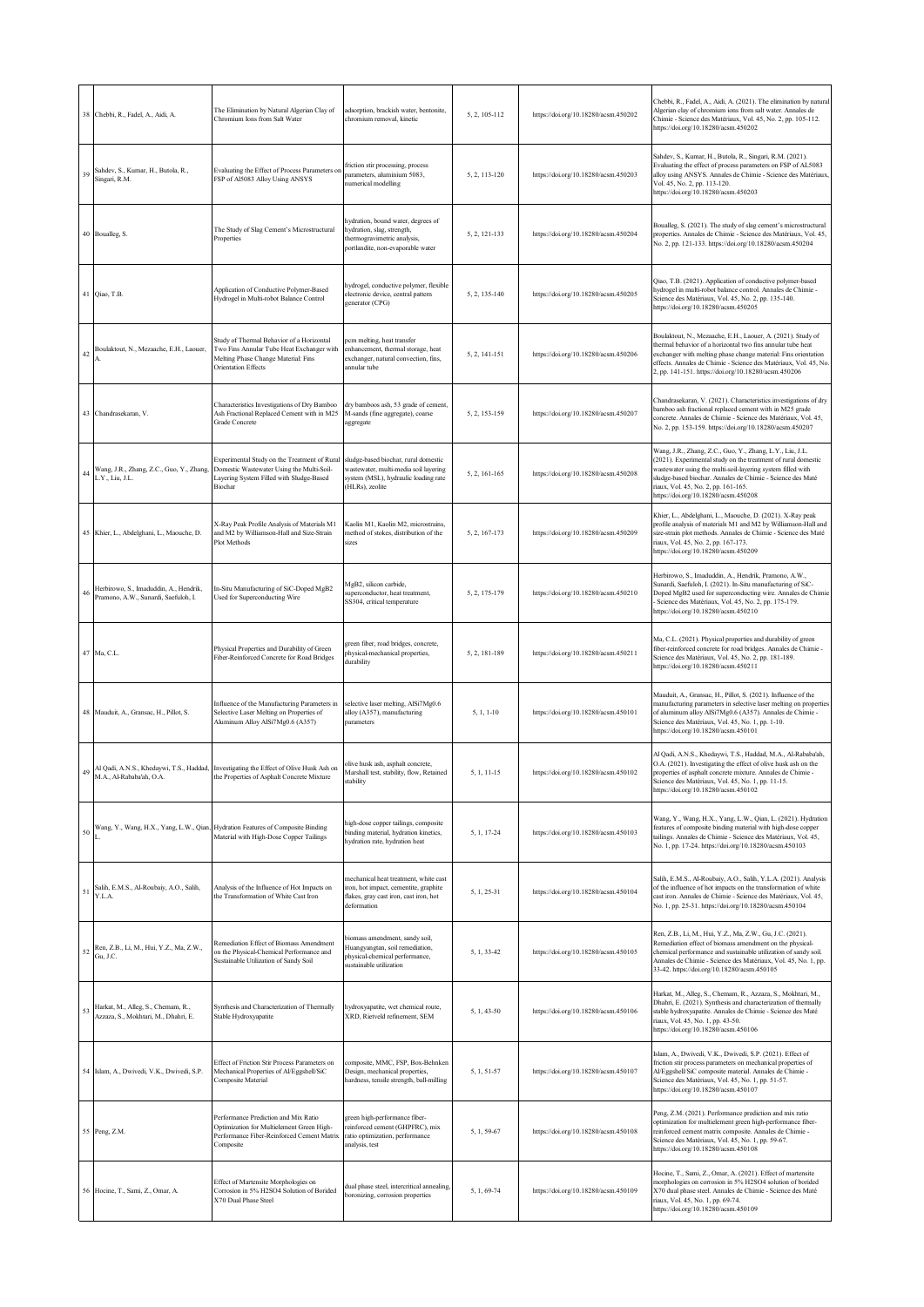|    | 38 Chebbi, R., Fadel, A., Aidi, A.                                             | The Elimination by Natural Algerian Clay of<br>Chromium Ions from Salt Water                                                                         | adsorption, brackish water, bentonite,<br>chromium removal, kinetic                                                                     | 5, 2, 105-112 | https://doi.org/10.18280/acsm.450202 | Chebbi, R., Fadel, A., Aidi, A. (2021). The elimination by natural<br>Algerian clay of chromium ions from salt water. Annales de<br>Chimie - Science des Matériaux, Vol. 45, No. 2, pp. 105-112.<br>https://doi.org/10.18280/acsm.450202                                                                                              |
|----|--------------------------------------------------------------------------------|------------------------------------------------------------------------------------------------------------------------------------------------------|-----------------------------------------------------------------------------------------------------------------------------------------|---------------|--------------------------------------|---------------------------------------------------------------------------------------------------------------------------------------------------------------------------------------------------------------------------------------------------------------------------------------------------------------------------------------|
| 39 | Sahdev, S., Kumar, H., Butola, R.,<br>Singari, R.M.                            | Evaluating the Effect of Process Parameters on<br>FSP of Al5083 Alloy Using ANSYS                                                                    | friction stir processing, process<br>parameters, aluminium 5083,<br>numerical modelling                                                 | 5, 2, 113-120 | https://doi.org/10.18280/acsm.450203 | Sahdev, S., Kumar, H., Butola, R., Singari, R.M. (2021).<br>Evaluating the effect of process parameters on FSP of AL5083<br>alloy using ANSYS. Annales de Chimie - Science des Matériaux,<br>Vol. 45, No. 2, pp. 113-120.<br>https://doi.org/10.18280/acsm.450203                                                                     |
|    | 40 Boualleg, S.                                                                | The Study of Slag Cement's Microstructural<br>Properties                                                                                             | hydration, bound water, degrees of<br>hydration, slag, strength,<br>thermogravimetric analysis,<br>portlandite, non-evaporable water    | 5, 2, 121-133 | https://doi.org/10.18280/acsm.450204 | Boualleg, S. (2021). The study of slag cement's microstructural<br>properties. Annales de Chimie - Science des Matériaux, Vol. 45,<br>No. 2, pp. 121-133. https://doi.org/10.18280/acsm.450204                                                                                                                                        |
|    | 41 Qiao, T.B.                                                                  | Application of Conductive Polymer-Based<br>Hydrogel in Multi-robot Balance Control                                                                   | hydrogel, conductive polymer, flexible<br>electronic device, central pattern<br>generator (CPG)                                         | 5, 2, 135-140 | https://doi.org/10.18280/acsm.450205 | Qiao, T.B. (2021). Application of conductive polymer-based<br>hydrogel in multi-robot balance control. Annales de Chimie -<br>Science des Matériaux, Vol. 45, No. 2, pp. 135-140.<br>https://doi.org/10.18280/acsm.450205                                                                                                             |
| 42 | Boulaktout, N., Mezaache, E.H., Laouer,                                        | Study of Thermal Behavior of a Horizontal<br>Iwo Fins Annular Tube Heat Exchanger with<br>Melting Phase Change Material: Fins<br>Orientation Effects | ocm melting, heat transfer<br>enhancement, thermal storage, heat<br>exchanger, natural convection, fins,<br>mnular tube                 | 5, 2, 141-151 | https://doi.org/10.18280/acsm.450206 | Boulaktout, N., Mezaache, E.H., Laouer, A. (2021). Study of<br>thermal behavior of a horizontal two fins annular tube heat<br>exchanger with melting phase change material: Fins orientation<br>effects. Annales de Chimie - Science des Matériaux, Vol. 45, No.<br>2, pp. 141-151. https://doi.org/10.18280/acsm.450206              |
|    | 43 Chandrasekaran, V.                                                          | Characteristics Investigations of Dry Bamboo<br>Ash Fractional Replaced Cement with in M25<br>Grade Concrete                                         | dry bamboos ash, 53 grade of cement,<br>M-sands (fine aggregate), coarse<br>aggregate                                                   | 5, 2, 153-159 | https://doi.org/10.18280/acsm.450207 | Chandrasekaran, V. (2021). Characteristics investigations of dry<br>bamboo ash fractional replaced cement with in M25 grade<br>concrete. Annales de Chimie - Science des Matériaux, Vol. 45,<br>No. 2, pp. 153-159. https://doi.org/10.18280/acsm.450207                                                                              |
| 44 | Wang, J.R., Zhang, Z.C., Guo, Y., Zhang,<br>L.Y., Liu, J.L.                    | Experimental Study on the Treatment of Rural<br>Domestic Wastewater Using the Multi-Soil-<br>Layering System Filled with Sludge-Based<br>Biochar     | sludge-based biochar, rural domestic<br>vastewater, multi-media soil layering<br>ystem (MSL), hydraulic loading rate<br>(HLRs), zeolite | 5, 2, 161-165 | https://doi.org/10.18280/acsm.450208 | Wang, J.R., Zhang, Z.C., Guo, Y., Zhang, L.Y., Liu, J.L.<br>(2021). Experimental study on the treatment of rural domestic<br>wastewater using the multi-soil-layering system filled with<br>sludge-based biochar. Annales de Chimie - Science des Maté<br>riaux, Vol. 45, No. 2, pp. 161-165.<br>https://doi.org/10.18280/acsm.450208 |
|    | 45 Khier, L., Abdelghani, L., Maouche, D.                                      | X-Ray Peak Profile Analysis of Materials M1<br>and M2 by Williamson-Hall and Size-Strain<br>Plot Methods                                             | Kaolin M1, Kaolin M2, microstrains,<br>nethod of stokes, distribution of the<br>sizes                                                   | 5, 2, 167-173 | https://doi.org/10.18280/acsm.450209 | Khier, L., Abdelghani, L., Maouche, D. (2021). X-Ray peak<br>profile analysis of materials M1 and M2 by Williamson-Hall and<br>size-strain plot methods. Annales de Chimie - Science des Maté<br>riaux, Vol. 45, No. 2, pp. 167-173.<br>https://doi.org/10.18280/acsm.450209                                                          |
| 46 | Herbirowo, S., Imaduddin, A., Hendrik,<br>Pramono, A.W., Sunardi, Saefuloh, I. | In-Situ Manufacturing of SiC-Doped MgB2<br>Used for Superconducting Wire                                                                             | MgB2, silicon carbide,<br>uperconductor, heat treatment,<br>SS304, critical temperature                                                 | 5, 2, 175-179 | https://doi.org/10.18280/acsm.450210 | Herbirowo, S., Imaduddin, A., Hendrik, Pramono, A.W.,<br>Sunardi, Saefuloh, I. (2021). In-Situ manufacturing of SiC-<br>Doped MgB2 used for superconducting wire. Annales de Chimie<br>Science des Matériaux, Vol. 45, No. 2, pp. 175-179.<br>https://doi.org/10.18280/acsm.450210                                                    |
|    | 47 Ma, C.L.                                                                    | Physical Properties and Durability of Green<br>Fiber-Reinforced Concrete for Road Bridges                                                            | green fiber, road bridges, concrete,<br>physical-mechanical properties,<br><b>turability</b>                                            | 5, 2, 181-189 | https://doi.org/10.18280/acsm.450211 | Ma, C.L. (2021). Physical properties and durability of green<br>fiber-reinforced concrete for road bridges. Annales de Chimie -<br>Science des Matériaux, Vol. 45, No. 2, pp. 181-189.<br>https://doi.org/10.18280/acsm.450211                                                                                                        |
|    | 48 Mauduit, A., Gransac, H., Pillot, S.                                        | Influence of the Manufacturing Parameters in<br>Selective Laser Melting on Properties of<br>Aluminum Alloy AlSi7Mg0.6 (A357)                         | selective laser melting, AlSi7Mg0.6<br>alloy (A357), manufacturing<br>narameters                                                        | $5, 1, 1-10$  | https://doi.org/10.18280/acsm.450101 | Mauduit, A., Gransac, H., Pillot, S. (2021). Influence of the<br>manufacturing parameters in selective laser melting on properties<br>of aluminum alloy AlSi7Mg0.6 (A357). Annales de Chimie -<br>Science des Matériaux, Vol. 45, No. 1, pp. 1-10.<br>https://doi.org/10.18280/acsm.450101                                            |
| 49 | M.A., Al-Rababa'ah, O.A.                                                       | Al Qadi, A.N.S., Khedaywi, T.S., Haddad, Investigating the Effect of Olive Husk Ash on<br>the Properties of Asphalt Concrete Mixture                 | olive husk ash, asphalt concrete,<br>Marshall test, stability, flow, Retained<br>tability                                               | 5, 1, 11-15   | https://doi.org/10.18280/acsm.450102 | Al Qadi, A.N.S., Khedaywi, T.S., Haddad, M.A., Al-Rababa'ah,<br>O.A. (2021). Investigating the effect of olive husk ash on the<br>properties of asphalt concrete mixture. Annales de Chimie -<br>Science des Matériaux, Vol. 45, No. 1, pp. 11-15.<br>https://doi.org/10.18280/acsm.450102                                            |
| 50 |                                                                                | Wang, Y., Wang, H.X., Yang, L.W., Qian, Hydration Features of Composite Binding<br>Material with High-Dose Copper Tailings                           | high-dose copper tailings, composite<br>inding material, hydration kinetics,<br>nydration rate, hydration heat                          | 5, 1, 17-24   | https://doi.org/10.18280/acsm.450103 | Wang, Y., Wang, H.X., Yang, L.W., Qian, L. (2021). Hydration<br>features of composite binding material with high-dose copper<br>tailings. Annales de Chimie - Science des Matériaux, Vol. 45,<br>No. 1, pp. 17-24. https://doi.org/10.18280/acsm.450103                                                                               |
| 51 | Salih, E.M.S., Al-Roubaiy, A.O., Salih,<br>Y.L.A.                              | Analysis of the Influence of Hot Impacts on<br>the Transformation of White Cast Iron                                                                 | nechanical heat treatment, white cast<br>ron, hot impact, cementite, graphite<br>flakes, gray cast iron, cast iron, hot<br>deformation  | 5, 1, 25-31   | https://doi.org/10.18280/acsm.450104 | Salih, E.M.S., Al-Roubaiy, A.O., Salih, Y.L.A. (2021). Analysis<br>of the influence of hot impacts on the transformation of white<br>cast iron. Annales de Chimie - Science des Matériaux, Vol. 45,<br>No. 1, pp. 25-31. https://doi.org/10.18280/acsm.450104                                                                         |
| 52 | Ren, Z.B., Li, M., Hui, Y.Z., Ma, Z.W.,<br>Gu, J.C.                            | Remediation Effect of Biomass Amendment<br>on the Physical-Chemical Performance and<br>Sustainable Utilization of Sandy Soil                         | biomass amendment, sandy soil,<br>Huangyangtan, soil remediation,<br>physical-chemical performance,<br>sustainable utilization          | 5, 1, 33-42   | https://doi.org/10.18280/acsm.450105 | Ren, Z.B., Li, M., Hui, Y.Z., Ma, Z.W., Gu, J.C. (2021).<br>Remediation effect of biomass amendment on the physical-<br>chemical performance and sustainable utilization of sandy soil.<br>Annales de Chimie - Science des Matériaux, Vol. 45, No. 1, pp.<br>33-42. https://doi.org/10.18280/acsm.450105                              |
| 53 | Harkat, M., Alleg, S., Chemam, R.,<br>Azzaza, S., Mokhtari, M., Dhahri, E.     | Synthesis and Characterization of Thermally<br>Stable Hydroxyapatite                                                                                 | hydroxyapatite, wet chemical route,<br>KRD, Rietveld refinement, SEM                                                                    | 5, 1, 43-50   | https://doi.org/10.18280/acsm.450106 | Harkat, M., Alleg, S., Chemam, R., Azzaza, S., Mokhtari, M.,<br>Dhahri, E. (2021). Synthesis and characterization of thermally<br>stable hydroxyapatite. Annales de Chimie - Science des Maté<br>riaux, Vol. 45, No. 1, pp. 43-50.<br>https://doi.org/10.18280/acsm.450106                                                            |
|    | 54 Islam, A., Dwivedi, V.K., Dwivedi, S.P.                                     | Effect of Friction Stir Process Parameters on<br>Mechanical Properties of Al/Eggshell/SiC<br>Composite Material                                      | composite, MMC, FSP, Box-Behnken<br>Design, mechanical properties,<br>hardness, tensile strength, ball-milling                          | 5, 1, 51-57   | https://doi.org/10.18280/acsm.450107 | Islam, A., Dwivedi, V.K., Dwivedi, S.P. (2021). Effect of<br>friction stir process parameters on mechanical properties of<br>Al/Eggshell/SiC composite material. Annales de Chimie -<br>Science des Matériaux, Vol. 45, No. 1, pp. 51-57.<br>https://doi.org/10.18280/acsm.450107                                                     |
|    | 55 Peng, Z.M.                                                                  | Performance Prediction and Mix Ratio<br>Optimization for Multielement Green High-<br>Performance Fiber-Reinforced Cement Matrix<br>Composite         | green high-performance fiber-<br>reinforced cement (GHPFRC), mix<br>ratio optimization, performance<br>analysis, test                   | 5, 1, 59-67   | https://doi.org/10.18280/acsm.450108 | Peng, Z.M. (2021). Performance prediction and mix ratio<br>optimization for multielement green high-performance fiber-<br>reinforced cement matrix composite. Annales de Chimie -<br>Science des Matériaux, Vol. 45, No. 1, pp. 59-67.<br>https://doi.org/10.18280/acsm.450108                                                        |
| 56 | Hocine, T., Sami, Z., Omar, A.                                                 | Effect of Martensite Morphologies on<br>Corrosion in 5% H2SO4 Solution of Borided<br><b>X70 Dual Phase Steel</b>                                     | fual phase steel, intercritical annealing,<br>poronizing, corrosion properties                                                          | 5, 1, 69-74   | https://doi.org/10.18280/acsm.450109 | Hocine, T., Sami, Z., Omar, A. (2021). Effect of martensite<br>morphologies on corrosion in 5% H2SO4 solution of borided<br>X70 dual phase steel. Annales de Chimie - Science des Maté<br>riaux, Vol. 45, No. 1, pp. 69-74.<br>https://doi.org/10.18280/acsm.450109                                                                   |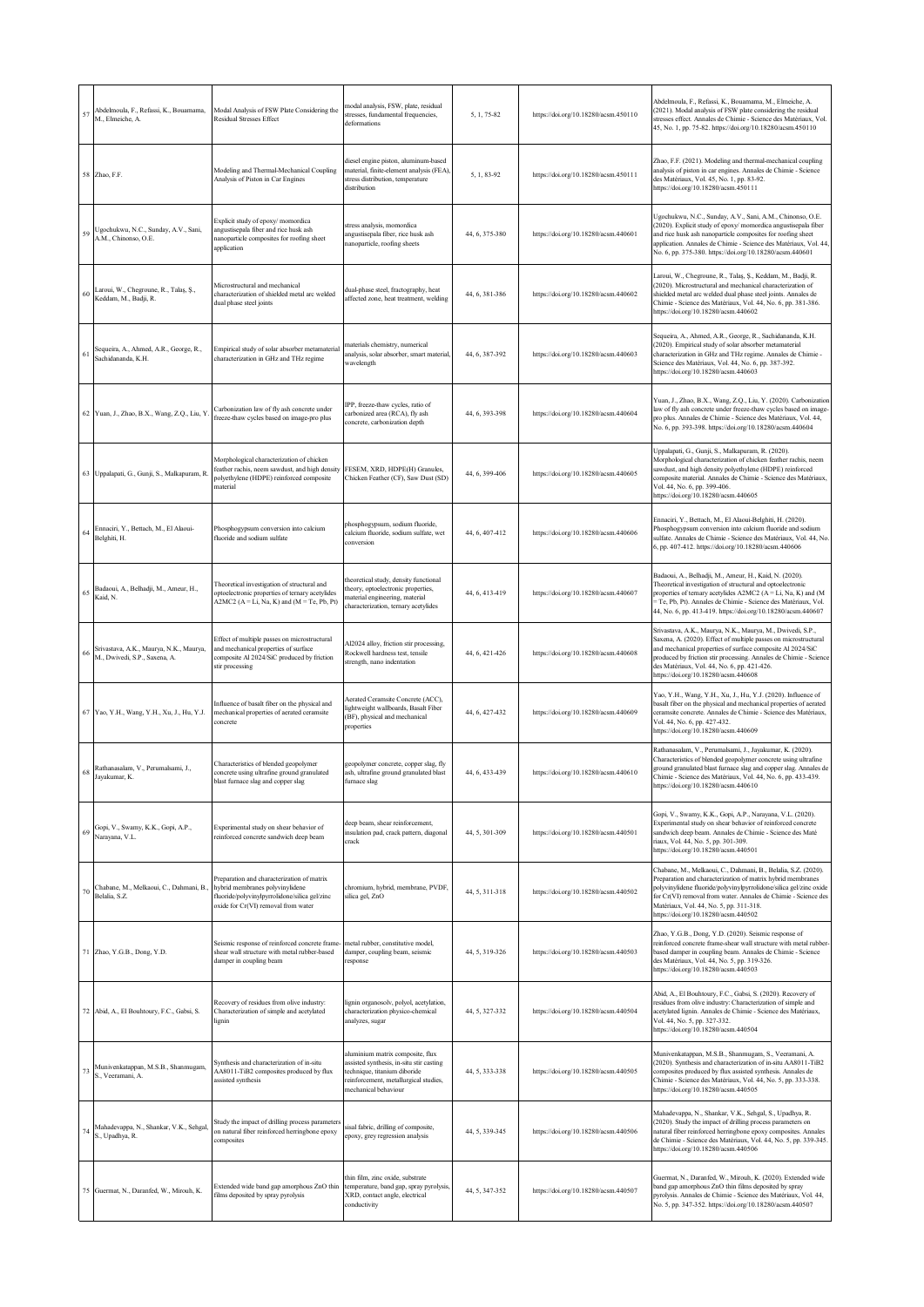| 57 | Abdelmoula, F., Refassi, K., Bouamama,<br>M., Elmeiche, A.                  | Modal Analysis of FSW Plate Considering the<br><b>Residual Stresses Effect</b>                                                                                        | nodal analysis, FSW, plate, residual<br>tresses, fundamental frequencies,<br>deformations                                                                                   | 5, 1, 75-82    | https://doi.org/10.18280/acsm.450110 | Abdelmoula, F., Refassi, K., Bouamama, M., Elmeiche, A.<br>(2021). Modal analysis of FSW plate considering the residual<br>stresses effect. Annales de Chimie - Science des Matériaux, Vol.<br>45, No. 1, pp. 75-82. https://doi.org/10.18280/acsm.450110                                                                                               |
|----|-----------------------------------------------------------------------------|-----------------------------------------------------------------------------------------------------------------------------------------------------------------------|-----------------------------------------------------------------------------------------------------------------------------------------------------------------------------|----------------|--------------------------------------|---------------------------------------------------------------------------------------------------------------------------------------------------------------------------------------------------------------------------------------------------------------------------------------------------------------------------------------------------------|
|    | 58 Zhao, F.F.                                                               | Modeling and Thermal-Mechanical Coupling<br>Analysis of Piston in Car Engines                                                                                         | liesel engine piston, aluminum-based<br>naterial, finite-element analysis (FEA),<br>stress distribution, temperature<br>distribution                                        | 5, 1, 83-92    | https://doi.org/10.18280/acsm.450111 | Zhao, F.F. (2021). Modeling and thermal-mechanical coupling<br>analysis of piston in car engines. Annales de Chimie - Science<br>des Matériaux, Vol. 45, No. 1, pp. 83-92.<br>https://doi.org/10.18280/acsm.450111                                                                                                                                      |
| 59 | Ugochukwu, N.C., Sunday, A.V., Sani,<br>A.M., Chinonso, O.E.                | Explicit study of epoxy/momordica<br>angustisepala fiber and rice husk ash<br>nanoparticle composites for roofing sheet<br>application                                | stress analysis, momordica<br>ingustisepala fiber, rice husk ash<br>anoparticle, roofing sheets                                                                             | 44, 6, 375-380 | https://doi.org/10.18280/acsm.440601 | Ugochukwu, N.C., Sunday, A.V., Sani, A.M., Chinonso, O.E.<br>(2020). Explicit study of epoxy/ momordica angustisepala fiber<br>and rice husk ash nanoparticle composites for roofing sheet<br>application. Annales de Chimie - Science des Matériaux, Vol. 44,<br>No. 6, pp. 375-380. https://doi.org/10.18280/acsm.440601                              |
| 60 | Laroui, W., Chegroune, R., Talaş, Ş.,<br>Keddam, M., Badji, R.              | Microstructural and mechanical<br>characterization of shielded metal arc welded<br>dual phase steel joints                                                            | dual-phase steel, fractography, heat<br>affected zone, heat treatment, welding                                                                                              | 44, 6, 381-386 | https://doi.org/10.18280/acsm.440602 | Laroui, W., Chegroune, R., Talaş, Ş., Keddam, M., Badji, R.<br>(2020). Microstructural and mechanical characterization of<br>shielded metal arc welded dual phase steel joints. Annales de<br>Chimie - Science des Matériaux, Vol. 44, No. 6, pp. 381-386.<br>https://doi.org/10.18280/acsm.440602                                                      |
| 61 | Sequeira, A., Ahmed, A.R., George, R.,<br>Sachidananda, K.H.                | Empirical study of solar absorber metamaterial<br>characterization in GHz and THz regime                                                                              | naterials chemistry, numerical<br>analysis, solar absorber, smart material,<br>wavelength                                                                                   | 44, 6, 387-392 | https://doi.org/10.18280/acsm.440603 | Sequeira, A., Ahmed, A.R., George, R., Sachidananda, K.H.<br>(2020). Empirical study of solar absorber metamaterial<br>characterization in GHz and THz regime. Annales de Chimie -<br>Science des Matériaux, Vol. 44, No. 6, pp. 387-392.<br>https://doi.org/10.18280/acsm.440603                                                                       |
|    | 62 Yuan, J., Zhao, B.X., Wang, Z.Q., Liu, Y.                                | Carbonization law of fly ash concrete under<br>freeze-thaw cycles based on image-pro plus                                                                             | PP, freeze-thaw cycles, ratio of<br>carbonized area (RCA), fly ash<br>concrete, carbonization depth                                                                         | 44, 6, 393-398 | https://doi.org/10.18280/acsm.440604 | Yuan, J., Zhao, B.X., Wang, Z.Q., Liu, Y. (2020). Carbonization<br>law of fly ash concrete under freeze-thaw cycles based on image-<br>pro plus. Annales de Chimie - Science des Matériaux, Vol. 44,<br>No. 6, pp. 393-398. https://doi.org/10.18280/acsm.440604                                                                                        |
|    | 63 Uppalapati, G., Gunji, S., Malkapuram, R.                                | Morphological characterization of chicken<br>feather rachis, neem sawdust, and high density<br>polyethylene (HDPE) reinforced composite<br>material                   | FESEM, XRD, HDPE(H) Granules,<br>Chicken Feather (CF), Saw Dust (SD)                                                                                                        | 44, 6, 399-406 | https://doi.org/10.18280/acsm.440605 | Uppalapati, G., Gunji, S., Malkapuram, R. (2020).<br>Morphological characterization of chicken feather rachis, neem<br>sawdust, and high density polyethylene (HDPE) reinforced<br>composite material. Annales de Chimie - Science des Matériaux,<br>Vol. 44, No. 6, pp. 399-406.<br>https://doi.org/10.18280/acsm.440605                               |
| 64 | Ennaciri, Y., Bettach, M., El Alaoui-<br>Belghiti, H.                       | Phosphogypsum conversion into calcium<br>fluoride and sodium sulfate                                                                                                  | phosphogypsum, sodium fluoride,<br>alcium fluoride, sodium sulfate, wet<br>onversion:                                                                                       | 44, 6, 407-412 | https://doi.org/10.18280/acsm.440606 | Ennaciri, Y., Bettach, M., El Alaoui-Belghiti, H. (2020).<br>Phosphogypsum conversion into calcium fluoride and sodium<br>sulfate. Annales de Chimie - Science des Matériaux, Vol. 44, No.<br>6, pp. 407-412. https://doi.org/10.18280/acsm.440606                                                                                                      |
|    | 65 Badaoui, A., Belhadji, M., Ameur, H.,<br>Kaid, N.                        | Theoretical investigation of structural and<br>optoelectronic properties of ternary acetylides<br>A2MC2 ( $A = Li$ , Na, K) and ( $M = Te$ , Pb, Pt)                  | heoretical study, density functional<br>heory, optoelectronic properties,<br>naterial engineering, material<br>characterization, ternary acetylides                         | 44, 6, 413-419 | https://doi.org/10.18280/acsm.440607 | Badaoui, A., Belhadji, M., Ameur, H., Kaid, N. (2020).<br>Theoretical investigation of structural and optoelectronic<br>properties of ternary acetylides A2MC2 (A = Li, Na, K) and (M<br>Te, Pb, Pt). Annales de Chimie - Science des Matériaux, Vol.<br>44, No. 6, pp. 413-419. https://doi.org/10.18280/acsm.440607                                   |
|    | Srivastava, A.K., Maurya, N.K., Maurya,<br>66 M., Dwivedi, S.P., Saxena, A. | Effect of multiple passes on microstructural<br>and mechanical properties of surface<br>composite Al 2024/SiC produced by friction<br>stir processing                 | Al2024 alloy, friction stir processing,<br>Rockwell hardness test, tensile<br>strength, nano indentation                                                                    | 44, 6, 421-426 | https://doi.org/10.18280/acsm.440608 | Srivastava, A.K., Maurya, N.K., Maurya, M., Dwivedi, S.P.,<br>Saxena, A. (2020). Effect of multiple passes on microstructural<br>and mechanical properties of surface composite Al 2024/SiC<br>produced by friction stir processing. Annales de Chimie - Science<br>des Matériaux, Vol. 44, No. 6, pp. 421-426.<br>https://doi.org/10.18280/acsm.440608 |
|    | 67 Yao, Y.H., Wang, Y.H., Xu, J., Hu, Y.J.                                  | Influence of basalt fiber on the physical and<br>mechanical properties of aerated ceramsite<br>concrete                                                               | Aerated Ceramsite Concrete (ACC),<br>ightweight wallboards, Basalt Fiber<br>BF), physical and mechanical<br>properties                                                      | 44, 6, 427-432 | https://doi.org/10.18280/acsm.440609 | Yao, Y.H., Wang, Y.H., Xu, J., Hu, Y.J. (2020). Influence of<br>basalt fiber on the physical and mechanical properties of aerated<br>ceramsite concrete. Annales de Chimie - Science des Matériaux,<br>Vol. 44, No. 6, pp. 427-432.<br>https://doi.org/10.18280/acsm.440609                                                                             |
| 68 | Rathanasalam, V., Perumalsami, J.,<br>Javakumar, K.                         | Characteristics of blended geopolymer<br>concrete using ultrafine ground granulated<br>blast furnace slag and copper slag                                             | geopolymer concrete, copper slag, fly<br>ash, ultrafine ground granulated blast<br>furnace slag                                                                             | 44, 6, 433-439 | https://doi.org/10.18280/acsm.440610 | Rathanasalam, V., Perumalsami, J., Jayakumar, K. (2020).<br>Characteristics of blended geopolymer concrete using ultrafine<br>ground granulated blast furnace slag and copper slag. Annales de<br>Chimie - Science des Matériaux, Vol. 44, No. 6, pp. 433-439.<br>https://doi.org/10.18280/acsm.440610                                                  |
| 69 | Gopi, V., Swamy, K.K., Gopi, A.P.,<br>Narayana, V.L.                        | Experimental study on shear behavior of<br>reinforced concrete sandwich deep beam                                                                                     | deep beam, shear reinforcement,<br>insulation pad, crack pattern, diagonal<br>rack                                                                                          | 44, 5, 301-309 | https://doi.org/10.18280/acsm.440501 | Gopi, V., Swamy, K.K., Gopi, A.P., Narayana, V.L. (2020).<br>Experimental study on shear behavior of reinforced concrete<br>sandwich deep beam. Annales de Chimie - Science des Maté<br>riaux, Vol. 44, No. 5, pp. 301-309.<br>https://doi.org/10.18280/acsm.440501                                                                                     |
| 70 | Chabane, M., Melkaoui, C., Dahmani, B.,<br>Belalia, S.Z.                    | Preparation and characterization of matrix<br>hybrid membranes polyvinylidene<br>fluoride/polyvinylpyrrolidone/silica gel/zinc<br>oxide for Cr(VI) removal from water | chromium, hybrid, membrane, PVDF,<br>silica gel, ZnO                                                                                                                        | 44, 5, 311-318 | https://doi.org/10.18280/acsm.440502 | Chabane, M., Melkaoui, C., Dahmani, B., Belalia, S.Z. (2020).<br>Preparation and characterization of matrix hybrid membranes<br>polyvinylidene fluoride/polyvinylpyrrolidone/silica gel/zinc oxide<br>for Cr(VI) removal from water. Annales de Chimie - Science des<br>Matériaux, Vol. 44, No. 5, pp. 311-318.<br>https://doi.org/10.18280/acsm.440502 |
|    | 71 Zhao, Y.G.B., Dong, Y.D.                                                 | Seismic response of reinforced concrete frame-<br>shear wall structure with metal rubber-based<br>damper in coupling beam                                             | metal rubber, constitutive model,<br>damper, coupling beam, seismic<br>response                                                                                             | 44, 5, 319-326 | https://doi.org/10.18280/acsm.440503 | Zhao, Y.G.B., Dong, Y.D. (2020). Seismic response of<br>reinforced concrete frame-shear wall structure with metal rubber-<br>based damper in coupling beam. Annales de Chimie - Science<br>des Matériaux, Vol. 44, No. 5, pp. 319-326.<br>https://doi.org/10.18280/acsm.440503                                                                          |
|    | 72 Abid, A., El Bouhtoury, F.C., Gabsi, S.                                  | Recovery of residues from olive industry:<br>Characterization of simple and acetylated<br>lignin                                                                      | lignin organosolv, polyol, acetylation,<br>characterization physico-chemical<br>malyzes, sugar                                                                              | 44, 5, 327-332 | https://doi.org/10.18280/acsm.440504 | Abid, A., El Bouhtoury, F.C., Gabsi, S. (2020). Recovery of<br>residues from olive industry: Characterization of simple and<br>acetylated lignin. Annales de Chimie - Science des Matériaux,<br>Vol. 44, No. 5, pp. 327-332.<br>https://doi.org/10.18280/acsm.440504                                                                                    |
|    | Munivenkatappan, M.S.B., Shanmugam,<br>$73$ S., Veeramani, A.               | Synthesis and characterization of in-situ<br>AA8011-TiB2 composites produced by flux<br>assisted synthesis                                                            | aluminium matrix composite, flux<br>ssisted synthesis, in-situ stir casting<br>echnique, titanium diboride<br>reinforcement, metallurgical studies,<br>mechanical behaviour | 44, 5, 333-338 | https://doi.org/10.18280/acsm.440505 | Munivenkatappan, M.S.B., Shanmugam, S., Veeramani, A.<br>(2020). Synthesis and characterization of in-situ AA8011-TiB2<br>composites produced by flux assisted synthesis. Annales de<br>Chimie - Science des Matériaux, Vol. 44, No. 5, pp. 333-338.<br>https://doi.org/10.18280/acsm.440505                                                            |
|    | 74 Mahadevappa, N., Shankar, V.K., Sehgal,<br>S., Upadhya, R.               | Study the impact of drilling process parameters<br>on natural fiber reinforced herringbone epoxy<br>composites                                                        | sisal fabric, drilling of composite,<br>epoxy, grey regression analysis                                                                                                     | 44, 5, 339-345 | https://doi.org/10.18280/acsm.440506 | Mahadevappa, N., Shankar, V.K., Sehgal, S., Upadhya, R.<br>(2020). Study the impact of drilling process parameters on<br>natural fiber reinforced herringbone epoxy composites. Annales<br>de Chimie - Science des Matériaux, Vol. 44, No. 5, pp. 339-345.<br>https://doi.org/10.18280/acsm.440506                                                      |
|    | 75 Guermat, N., Daranfed, W., Mirouh, K.                                    | Extended wide band gap amorphous ZnO thin<br>films deposited by spray pyrolysis                                                                                       | thin film, zinc oxide, substrate<br>temperature, band gap, spray pyrolysis,<br>KRD, contact angle, electrical<br>conductivity                                               | 44, 5, 347-352 | https://doi.org/10.18280/acsm.440507 | Guermat, N., Daranfed, W., Mirouh, K. (2020). Extended wide<br>band gap amorphous ZnO thin films deposited by spray<br>pyrolysis. Annales de Chimie - Science des Matériaux, Vol. 44,<br>No. 5, pp. 347-352. https://doi.org/10.18280/acsm.440507                                                                                                       |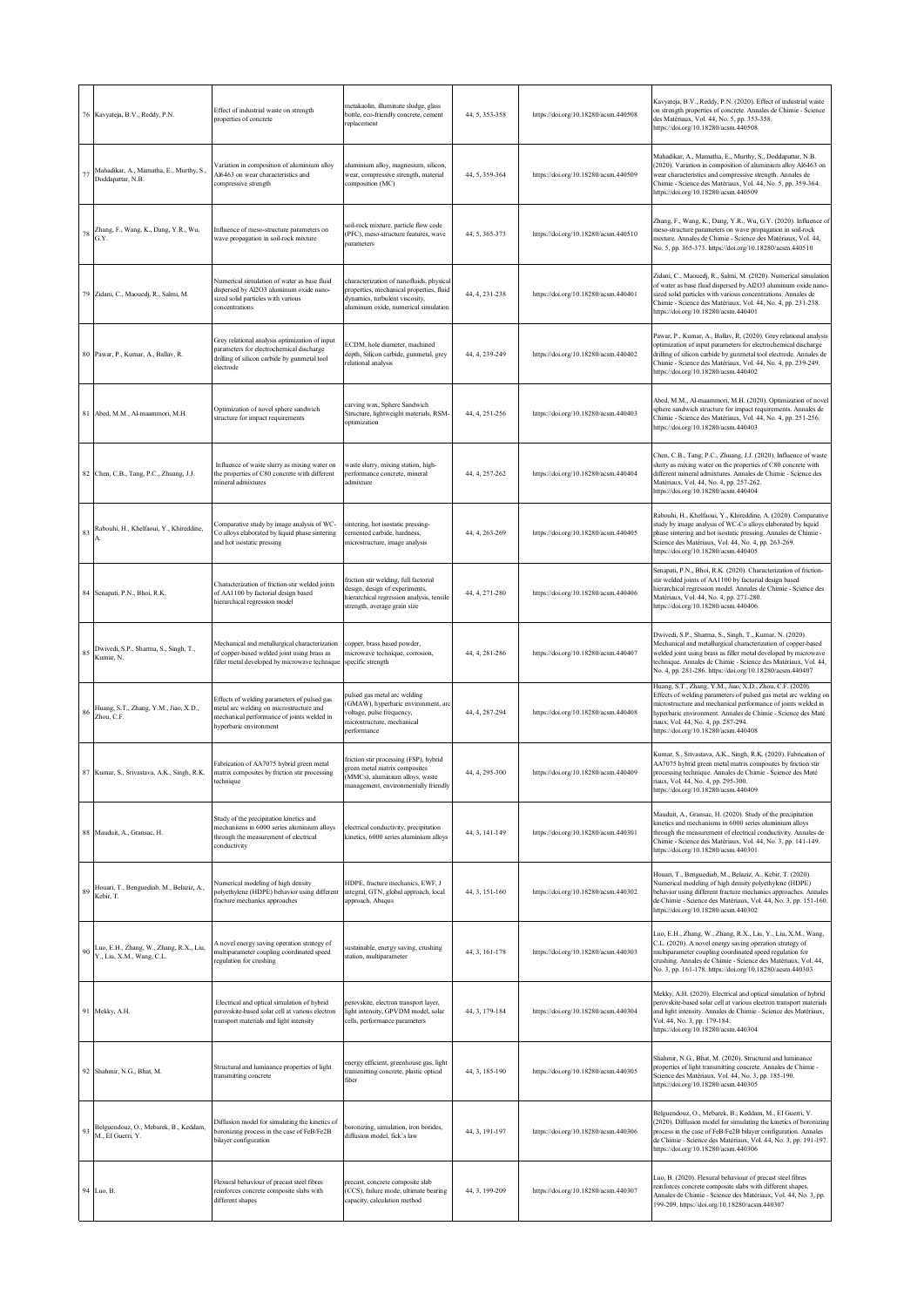|             | 76 Kavyateja, B.V., Reddy, P.N.                                      | Effect of industrial waste on strength<br>roperties of concrete                                                                                                | netakaolin, illuminate sludge, glass<br>bottle, eco-friendly concrete, cement<br>eplacement                                                                    | 44, 5, 353-358 | https://doi.org/10.18280/acsm.440508 | Kavyateja, B.V., Reddy, P.N. (2020). Effect of industrial waste<br>on strength properties of concrete. Annales de Chimie - Science<br>des Matériaux, Vol. 44, No. 5, pp. 353-358.<br>https://doi.org/10.18280/acsm.440508                                                                                                                    |
|-------------|----------------------------------------------------------------------|----------------------------------------------------------------------------------------------------------------------------------------------------------------|----------------------------------------------------------------------------------------------------------------------------------------------------------------|----------------|--------------------------------------|----------------------------------------------------------------------------------------------------------------------------------------------------------------------------------------------------------------------------------------------------------------------------------------------------------------------------------------------|
| $7^{\circ}$ | Mahadikar, A., Mamatha, E., Murthy, S.,<br>Doddapattar, N.B.         | ariation in composition of aluminium alloy<br>Al6463 on wear characteristics and<br>ompressive strength                                                        | aluminium alloy, magnesium, silicon,<br>wear, compressive strength, material<br>composition (MC)                                                               | 44, 5, 359-364 | https://doi.org/10.18280/acsm.440509 | Mahadikar, A., Mamatha, E., Murthy, S., Doddapattar, N.B.<br>(2020). Variation in composition of aluminium alloy Al6463 on<br>vear characteristics and compressive strength. Annales de<br>Chimie - Science des Matériaux, Vol. 44, No. 5, pp. 359-364.<br>https://doi.org/10.18280/acsm.440509                                              |
| 78          | Zhang, F., Wang, K., Dang, Y.R., Wu,<br>G.Y.                         | Influence of meso-structure parameters on<br>vave propagation in soil-rock mixture                                                                             | soil-rock mixture, particle flow code<br>(PFC), meso-structure features, wave<br>narameters                                                                    | 44, 5, 365-373 | https://doi.org/10.18280/acsm.440510 | Zhang, F., Wang, K., Dang, Y.R., Wu, G.Y. (2020). Influence of<br>meso-structure parameters on wave propagation in soil-rock<br>mixture. Annales de Chimie - Science des Matériaux, Vol. 44,<br>No. 5, pp. 365-373. https://doi.org/10.18280/acsm.440510                                                                                     |
|             | 79 Zidani, C., Maouedj, R., Salmi, M.                                | Numerical simulation of water as base fluid<br>dispersed by Al2O3 aluminum oxide nano-<br>sized solid particles with various<br>concentrations                 | characterization of nanofluids, physical<br>properties, mechanical properties, fluid<br>dynamics, turbulent viscosity,<br>aluminum oxide, numerical simulation | 44, 4, 231-238 | https://doi.org/10.18280/acsm.440401 | Zidani, C., Maouedj, R., Salmi, M. (2020). Numerical simulation<br>of water as base fluid dispersed by Al2O3 aluminum oxide nano-<br>sized solid particles with various concentrations. Annales de<br>Chimie - Science des Matériaux, Vol. 44, No. 4, pp. 231-238.<br>https://doi.org/10.18280/acsm.440401                                   |
|             | 80 Pawar, P., Kumar, A., Ballav, R.                                  | Grey relational analysis optimization of input<br>parameters for electrochemical discharge<br>drilling of silicon carbide by gunmetal tool<br>electrode        | ECDM, hole diameter, machined<br>depth, Silicon carbide, gunmetal, grey<br>relational analysis                                                                 | 44, 4, 239-249 | https://doi.org/10.18280/acsm.440402 | Pawar, P., Kumar, A., Ballav, R. (2020). Grey relational analysis<br>optimization of input parameters for electrochemical discharge<br>drilling of silicon carbide by gunmetal tool electrode. Annales de<br>Chimie - Science des Matériaux, Vol. 44, No. 4, pp. 239-249.<br>https://doi.org/10.18280/acsm.440402                            |
| 81          | Abed, M.M., Al-maammori, M.H.                                        | Optimization of novel sphere sandwich<br>structure for impact requirements                                                                                     | carving wax, Sphere Sandwich<br>Structure, lightweight materials, RSM-<br>optimization                                                                         | 44, 4, 251-256 | https://doi.org/10.18280/acsm.440403 | Abed, M.M., Al-maammori, M.H. (2020). Optimization of novel<br>sphere sandwich structure for impact requirements. Annales de<br>Chimie - Science des Matériaux, Vol. 44, No. 4, pp. 251-256.<br>https://doi.org/10.18280/acsm.440403                                                                                                         |
|             | 82 Chen, C.B., Tang, P.C., Zhuang, J.J.                              | Influence of waste slurry as mixing water on<br>he properties of C80 concrete with different<br>nineral admixtures                                             | waste slurry, mixing station, high-<br>performance concrete, mineral<br>ıdmixture                                                                              | 44, 4, 257-262 | https://doi.org/10.18280/acsm.440404 | Chen, C.B., Tang, P.C., Zhuang, J.J. (2020). Influence of waste<br>slurry as mixing water on the properties of C80 concrete with<br>different mineral admixtures. Annales de Chimie - Science des<br>Matériaux, Vol. 44, No. 4, pp. 257-262.<br>https://doi.org/10.18280/acsm.440404                                                         |
| 83          | Rabouhi, H., Khelfaoui, Y., Khireddine,                              | Comparative study by image analysis of WC-<br>Co alloys elaborated by liquid phase sintering<br>and hot isostatic pressing                                     | sintering, hot isostatic pressing-<br>cemented carbide, hardness,<br>microstructure, image analysis                                                            | 44, 4, 263-269 | https://doi.org/10.18280/acsm.440405 | Rabouhi, H., Khelfaoui, Y., Khireddine, A. (2020). Comparative<br>study by image analysis of WC-Co alloys elaborated by liquid<br>phase sintering and hot isostatic pressing. Annales de Chimie -<br>Science des Matériaux, Vol. 44, No. 4, pp. 263-269.<br>https://doi.org/10.18280/acsm.440405                                             |
|             | 84 Senapati, P.N., Bhoi, R.K.                                        | Characterization of friction-stir welded joints<br>of AA1100 by factorial design based<br>hierarchical regression model                                        | friction stir welding, full factorial<br>design, design of experiments,<br>hierarchical regression analysis, tensile<br>strength, average grain size           | 44, 4, 271-280 | https://doi.org/10.18280/acsm.440406 | Senapati, P.N., Bhoi, R.K. (2020). Characterization of friction-<br>stir welded joints of AA1100 by factorial design based<br>hierarchical regression model. Annales de Chimie - Science des<br>Matériaux, Vol. 44, No. 4, pp. 271-280.<br>https://doi.org/10.18280/acsm.440406                                                              |
| 85          | Dwivedi, S.P., Sharma, S., Singh, T.,<br>Kumar, N.                   | Mechanical and metallurgical characterization<br>of copper-based welded joint using brass as<br>filler metal developed by microwave technique                  | copper, brass based powder,<br>microwave technique, corrosion,<br>specific strength                                                                            | 44, 4, 281-286 | https://doi.org/10.18280/acsm.440407 | Dwivedi, S.P., Sharma, S., Singh, T., Kumar, N. (2020).<br>Mechanical and metallurgical characterization of copper-based<br>welded joint using brass as filler metal developed by microwave<br>technique. Annales de Chimie - Science des Matériaux, Vol. 44,<br>No. 4, pp. 281-286. https://doi.org/10.18280/acsm.440407                    |
| 86          | Huang, S.T., Zhang, Y.M., Jiao, X.D.,<br>Zhou, C.F.                  | Effects of welding parameters of pulsed gas<br>netal arc welding on microstructure and<br>nechanical performance of joints welded in<br>hvperbaric environment | pulsed gas metal arc welding<br>GMAW), hyperbaric environment, arc<br>voltage, pulse frequency,<br>nicrostructure, mechanical<br>performance                   | 44, 4, 287-294 | https://doi.org/10.18280/acsm.440408 | Huang, S.T., Zhang, Y.M., Jiao, X.D., Zhou, C.F. (2020).<br>Effects of welding parameters of pulsed gas metal arc welding on<br>microstructure and mechanical performance of joints welded in<br>hyperbaric environment. Annales de Chimie - Science des Maté<br>riaux, Vol. 44, No. 4, pp. 287-294.<br>https://doi.org/10.18280/acsm.440408 |
|             | 87 Kumar, S., Srivastava, A.K., Singh, R.K.                          | Fabrication of AA7075 hybrid green metal<br>matrix composites by friction stir processing<br>technique                                                         | friction stir processing (FSP), hybrid<br>green metal matrix composites<br>MMCs), aluminium alloys, waste<br>management, environmentally friendly              | 44, 4, 295-300 | https://doi.org/10.18280/acsm.440409 | Kumar, S., Srivastava, A.K., Singh, R.K. (2020). Fabrication of<br>AA7075 hybrid green metal matrix composites by friction stir<br>processing technique. Annales de Chimie - Science des Maté<br>riaux, Vol. 44, No. 4, pp. 295-300.<br>https://doi.org/10.18280/acsm.440409                                                                 |
|             | 88 Mauduit, A., Gransac, H.                                          | Study of the precipitation kinetics and<br>nechanisms in 6000 series aluminium alloys<br>through the measurement of electrical<br>conductivity                 | electrical conductivity, precipitation<br>kinetics, 6000 series aluminium alloys                                                                               | 44, 3, 141-149 | https://doi.org/10.18280/acsm.440301 | Mauduit, A., Gransac, H. (2020). Study of the precipitation<br>kinetics and mechanisms in 6000 series aluminium alloys<br>through the measurement of electrical conductivity. Annales de<br>Chimie - Science des Matériaux, Vol. 44, No. 3, pp. 141-149.<br>https://doi.org/10.18280/acsm.440301                                             |
| 89          | Houari, T., Benguediab, M., Belaziz, A.,<br>Kebir, T.                | Jumerical modeling of high density<br>olyethylene (HDPE) behavior using different<br>racture mechanics approaches                                              | HDPE, fracture mechanics, EWF, J<br>integral, GTN, global approach, local<br>approach, Abaqus                                                                  | 44, 3, 151-160 | https://doi.org/10.18280/acsm.440302 | Houari, T., Benguediab, M., Belaziz, A., Kebir, T. (2020).<br>Numerical modeling of high density polyethylene (HDPE)<br>behavior using different fracture mechanics approaches. Annales<br>de Chimie - Science des Matériaux, Vol. 44, No. 3, pp. 151-160.<br>https://doi.org/10.18280/acsm.440302                                           |
| 90          | Luo, E.H., Zhang, W., Zhang, R.X., Liu,<br>Y., Liu, X.M., Wang, C.L. | A novel energy saving operation strategy of<br>nultiparameter coupling coordinated speed<br>egulation for crushing                                             | sustainable, energy saving, crushing<br>station, multiparameter                                                                                                | 44, 3, 161-178 | https://doi.org/10.18280/acsm.440303 | Luo, E.H., Zhang, W., Zhang, R.X., Liu, Y., Liu, X.M., Wang,<br>C.L. (2020). A novel energy saving operation strategy of<br>multiparameter coupling coordinated speed regulation for<br>crushing. Annales de Chimie - Science des Matériaux, Vol. 44,<br>No. 3, pp. 161-178. https://doi.org/10.18280/acsm.440303                            |
|             | 91 Mekky, A.H.                                                       | Electrical and optical simulation of hybrid<br>perovskite-based solar cell at various electron<br>ransport materials and light intensity                       | perovskite, electron transport layer,<br>light intensity, GPVDM model, solar<br>cells, performance parameters                                                  | 44, 3, 179-184 | https://doi.org/10.18280/acsm.440304 | Mekky, A.H. (2020). Electrical and optical simulation of hybrid<br>perovskite-based solar cell at various electron transport materials<br>and light intensity. Annales de Chimie - Science des Matériaux,<br>Vol. 44, No. 3, pp. 179-184.<br>https://doi.org/10.18280/acsm.440304                                                            |
|             | 92 Shahmir, N.G., Bhat, M.                                           | Structural and luminance properties of light<br>transmitting concrete                                                                                          | energy efficient, greenhouse gas, light<br>transmitting concrete, plastic optical<br>fiber                                                                     | 44, 3, 185-190 | https://doi.org/10.18280/acsm.440305 | Shahmir, N.G., Bhat, M. (2020). Structural and luminance<br>properties of light transmitting concrete. Annales de Chimie -<br>Science des Matériaux, Vol. 44, No. 3, pp. 185-190.<br>https://doi.org/10.18280/acsm.440305                                                                                                                    |
| 93          | Belguendouz, O., Mebarek, B., Keddam,<br>M., EI Guerri, Y.           | Diffusion model for simulating the kinetics of<br>poronizing process in the case of FeB/Fe2B<br>bilayer configuration                                          | boronizing, simulation, iron borides,<br>diffusion model, fick's law                                                                                           | 44, 3, 191-197 | https://doi.org/10.18280/acsm.440306 | Belguendouz, O., Mebarek, B., Keddam, M., El Guerri, Y.<br>(2020). Diffusion model for simulating the kinetics of boronizing<br>process in the case of FeB/Fe2B bilayer configuration. Annales<br>de Chimie - Science des Matériaux, Vol. 44, No. 3, pp. 191-197.<br>https://doi.org/10.18280/acsm.440306                                    |
| 94          | Luo, B.                                                              | Flexural behaviour of precast steel fibres<br>reinforces concrete composite slabs with<br>different shapes                                                     | precast, concrete composite slab<br>CCS), failure mode, ultimate bearing<br>capacity, calculation method                                                       | 44, 3, 199-209 | https://doi.org/10.18280/acsm.440307 | Luo, B. (2020). Flexural behaviour of precast steel fibres<br>reinforces concrete composite slabs with different shapes.<br>Annales de Chimie - Science des Matériaux, Vol. 44, No. 3, pp.<br>199-209. https://doi.org/10.18280/acsm.440307                                                                                                  |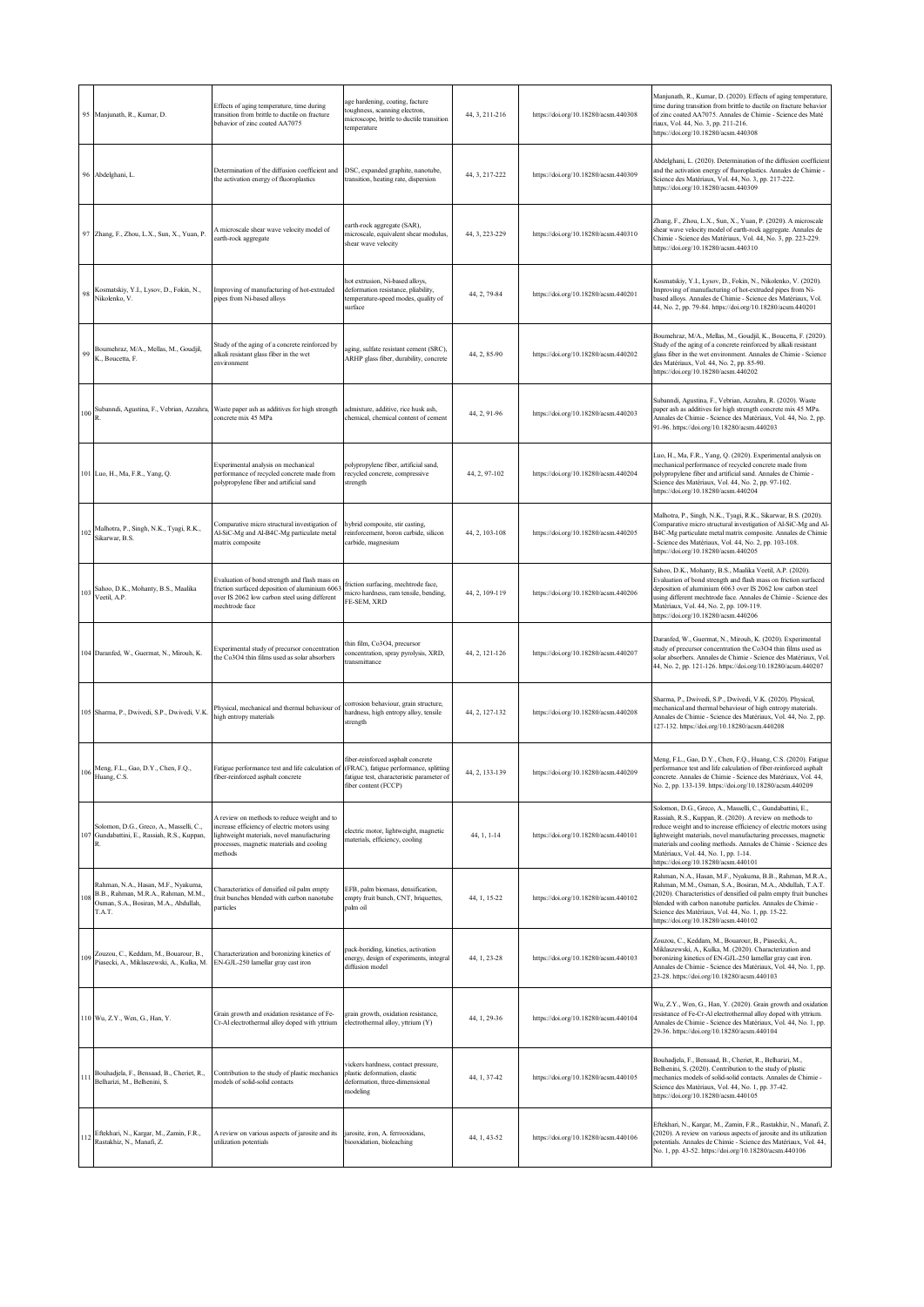|     | 95 Manjunath, R., Kumar, D.                                                                                                   | Effects of aging temperature, time during<br>transition from brittle to ductile on fracture<br>behavior of zinc coated AA7075                                                                    | ge hardening, coating, facture<br>oughness, scanning electron,<br>nicroscope, brittle to ductile transition<br>emperature | 44, 3, 211-216 | https://doi.org/10.18280/acsm.440308 | Manjunath, R., Kumar, D. (2020). Effects of aging temperature,<br>time during transition from brittle to ductile on fracture behavior<br>of zinc coated AA7075. Annales de Chimie - Science des Maté<br>riaux, Vol. 44, No. 3, pp. 211-216.<br>https://doi.org/10.18280/acsm.440308                                                                                                                            |
|-----|-------------------------------------------------------------------------------------------------------------------------------|--------------------------------------------------------------------------------------------------------------------------------------------------------------------------------------------------|---------------------------------------------------------------------------------------------------------------------------|----------------|--------------------------------------|----------------------------------------------------------------------------------------------------------------------------------------------------------------------------------------------------------------------------------------------------------------------------------------------------------------------------------------------------------------------------------------------------------------|
| 96  | Abdelghani, L.                                                                                                                | Determination of the diffusion coefficient and<br>the activation energy of fluoroplastics                                                                                                        | DSC, expanded graphite, nanotube,<br>ransition, heating rate, dispersion                                                  | 44, 3, 217-222 | https://doi.org/10.18280/acsm.440309 | Abdelghani, L. (2020). Determination of the diffusion coefficient<br>and the activation energy of fluoroplastics. Annales de Chimie -<br>Science des Matériaux, Vol. 44, No. 3, pp. 217-222.<br>https://doi.org/10.18280/acsm.440309                                                                                                                                                                           |
|     | 97 Zhang, F., Zhou, L.X., Sun, X., Yuan, P.                                                                                   | A microscale shear wave velocity model of<br>arth-rock aggregate                                                                                                                                 | arth-rock aggregate (SAR),<br>nicroscale, equivalent shear modulus,<br>shear wave velocity                                | 44, 3, 223-229 | https://doi.org/10.18280/acsm.440310 | Zhang, F., Zhou, L.X., Sun, X., Yuan, P. (2020). A microscale<br>shear wave velocity model of earth-rock aggregate. Annales de<br>Chimie - Science des Matériaux, Vol. 44, No. 3, pp. 223-229.<br>https://doi.org/10.18280/acsm.440310                                                                                                                                                                         |
| 98  | Kosmatskiy, Y.I., Lysov, D., Fokin, N.,<br>Nikolenko, V.                                                                      | improving of manufacturing of hot-extruded<br>pipes from Ni-based alloys                                                                                                                         | not extrusion, Ni-based alloys,<br>deformation resistance, pliability,<br>temperature-speed modes, quality of<br>surface  | 44, 2, 79-84   | https://doi.org/10.18280/acsm.440201 | Kosmatskiy, Y.I., Lysov, D., Fokin, N., Nikolenko, V. (2020).<br>Improving of manufacturing of hot-extruded pipes from Ni-<br>pased alloys. Annales de Chimie - Science des Matériaux, Vol.<br>44, No. 2, pp. 79-84. https://doi.org/10.18280/acsm.440201                                                                                                                                                      |
| 99  | Boumehraz, M/A., Mellas, M., Goudjil,<br>K., Boucetta, F.                                                                     | Study of the aging of a concrete reinforced by<br>alkali resistant glass fiber in the wet<br>environment                                                                                         | ging, sulfate resistant cement (SRC),<br>ARHP glass fiber, durability, concrete                                           | 44, 2, 85-90   | https://doi.org/10.18280/acsm.440202 | Boumehraz, M/A., Mellas, M., Goudjil, K., Boucetta, F. (2020).<br>Study of the aging of a concrete reinforced by alkali resistant<br>glass fiber in the wet environment. Annales de Chimie - Science<br>des Matériaux, Vol. 44, No. 2, pp. 85-90.<br>https://doi.org/10.18280/acsm.440202                                                                                                                      |
| 100 |                                                                                                                               | Subanndi, Agustina, F., Vebrian, Azzahra, Waste paper ash as additives for high strength<br>concrete mix 45 MPa                                                                                  | admixture, additive, rice husk ash,<br>chemical, chemical content of cement                                               | 44, 2, 91-96   | https://doi.org/10.18280/acsm.440203 | Subanndi, Agustina, F., Vebrian, Azzahra, R. (2020). Waste<br>paper ash as additives for high strength concrete mix 45 MPa.<br>Annales de Chimie - Science des Matériaux, Vol. 44, No. 2, pp.<br>91-96. https://doi.org/10.18280/acsm.440203                                                                                                                                                                   |
|     | 101 Luo, H., Ma, F.R., Yang, Q.                                                                                               | Experimental analysis on mechanical<br>performance of recycled concrete made from<br>polypropylene fiber and artificial sand                                                                     | polypropylene fiber, artificial sand,<br>ecycled concrete, compressive<br>strength                                        | 44, 2, 97-102  | https://doi.org/10.18280/acsm.440204 | Luo, H., Ma, F.R., Yang, Q. (2020). Experimental analysis on<br>mechanical performance of recycled concrete made from<br>polypropylene fiber and artificial sand. Annales de Chimie -<br>Science des Matériaux, Vol. 44, No. 2, pp. 97-102.<br>https://doi.org/10.18280/acsm.440204                                                                                                                            |
| 102 | Malhotra, P., Singh, N.K., Tyagi, R.K.,<br>Sikarwar, B.S.                                                                     | 'omparative micro structural investigation of<br>Al-SiC-Mg and Al-B4C-Mg particulate metal<br>matrix composite                                                                                   | rybrid composite, stir casting,<br>einforcement, boron carbide, silicon<br>carbide, magnesium                             | 44, 2, 103-108 | https://doi.org/10.18280/acsm.440205 | Malhotra, P., Singh, N.K., Tyagi, R.K., Sikarwar, B.S. (2020).<br>Comparative micro structural investigation of Al-SiC-Mg and Al-<br>B4C-Mg particulate metal matrix composite. Annales de Chimie<br>Science des Matériaux, Vol. 44, No. 2, pp. 103-108.<br>https://doi.org/10.18280/acsm.440205                                                                                                               |
| 103 | Sahoo, D.K., Mohanty, B.S., Maalika<br>Veetil, A.P.                                                                           | Evaluation of bond strength and flash mass on<br>riction surfaced deposition of aluminium 6063<br>ver IS 2062 low carbon steel using different<br>nechtrode face                                 | riction surfacing, mechtrode face,<br>nicro hardness, ram tensile, bending,<br>FE-SEM, XRD                                | 44, 2, 109-119 | https://doi.org/10.18280/acsm.440206 | Sahoo, D.K., Mohanty, B.S., Maalika Veetil, A.P. (2020).<br>Evaluation of bond strength and flash mass on friction surfaced<br>deposition of aluminium 6063 over IS 2062 low carbon steel<br>using different mechtrode face. Annales de Chimie - Science des<br>Matériaux, Vol. 44, No. 2, pp. 109-119.<br>https://doi.org/10.18280/acsm.440206                                                                |
|     | 104 Daranfed, W., Guermat, N., Mirouh, K.                                                                                     | Experimental study of precursor concentration<br>the Co3O4 thin films used as solar absorbers                                                                                                    | hin film, Co3O4, precursor<br>oncentration, spray pyrolysis, XRD,<br>ransmittance                                         | 44, 2, 121-126 | https://doi.org/10.18280/acsm.440207 | Daranfed, W., Guermat, N., Mirouh, K. (2020). Experimental<br>study of precursor concentration the Co3O4 thin films used as<br>solar absorbers. Annales de Chimie - Science des Matériaux, Vol.<br>44, No. 2, pp. 121-126. https://doi.org/10.18280/acsm.440207                                                                                                                                                |
|     | 105 Sharma, P., Dwivedi, S.P., Dwivedi, V.K.                                                                                  | Physical, mechanical and thermal behaviour of<br>high entropy materials                                                                                                                          | orrosion behaviour, grain structure,<br>hardness, high entropy alloy, tensile<br>strength                                 | 44, 2, 127-132 | https://doi.org/10.18280/acsm.440208 | Sharma, P., Dwivedi, S.P., Dwivedi, V.K. (2020). Physical,<br>mechanical and thermal behaviour of high entropy materials.<br>Annales de Chimie - Science des Matériaux, Vol. 44, No. 2, pp.<br>127-132. https://doi.org/10.18280/acsm.440208                                                                                                                                                                   |
| 106 | Meng, F.L., Gao, D.Y., Chen, F.Q.,<br>Huang, C.S.                                                                             | Fatigue performance test and life calculation of (FRAC), fatigue performance, splitting<br>fiber-reinforced asphalt concrete                                                                     | fiber-reinforced asphalt concrete<br>fatigue test, characteristic parameter of<br>fiber content (FCCP)                    | 44, 2, 133-139 | https://doi.org/10.18280/acsm.440209 | Meng, F.L., Gao, D.Y., Chen, F.Q., Huang, C.S. (2020). Fatigue<br>performance test and life calculation of fiber-reinforced asphalt<br>concrete. Annales de Chimie - Science des Matériaux, Vol. 44,<br>No. 2, pp. 133-139. https://doi.org/10.18280/acsm.440209                                                                                                                                               |
| 107 | Solomon, D.G., Greco, A., Masselli, C.,<br>Gundabattini, E., Rassiah, R.S., Kuppan,                                           | A review on methods to reduce weight and to<br>increase efficiency of electric motors using<br>ightweight materials, novel manufacturing<br>processes, magnetic materials and cooling<br>nethods | electric motor, lightweight, magnetic<br>naterials, efficiency, cooling                                                   | 44, 1, 1-14    | https://doi.org/10.18280/acsm.440101 | Solomon, D.G., Greco, A., Masselli, C., Gundabattini, E.,<br>Rassiah, R.S., Kuppan, R. (2020). A review on methods to<br>reduce weight and to increase efficiency of electric motors using<br>lightweight materials, novel manufacturing processes, magnetic<br>materials and cooling methods. Annales de Chimie - Science des<br>Matériaux, Vol. 44, No. 1, pp. 1-14.<br>https://doi.org/10.18280/acsm.440101 |
|     | Rahman, N.A., Hasan, M.F., Nyakuma,<br>B.B., Rahman, M.R.A., Rahman, M.M.,<br>Osman, S.A., Bosiran, M.A., Abdullah,<br>T.A.T. | Characteristics of densified oil palm empty<br>fruit bunches blended with carbon nanotube<br>particles                                                                                           | EFB, palm biomass, densification,<br>empty fruit bunch, CNT, briquettes,<br>palm oil                                      | 44, 1, 15-22   | https://doi.org/10.18280/acsm.440102 | Rahman, N.A., Hasan, M.F., Nyakuma, B.B., Rahman, M.R.A.,<br>Rahman, M.M., Osman, S.A., Bosiran, M.A., Abdullah, T.A.T.<br>(2020). Characteristics of densified oil palm empty fruit bunches<br>blended with carbon nanotube particles. Annales de Chimie -<br>Science des Matériaux, Vol. 44, No. 1, pp. 15-22.<br>https://doi.org/10.18280/acsm.440102                                                       |
| 109 | Zouzou, C., Keddam, M., Bouarour, B.,<br>Piasecki, A., Miklaszewski, A., Kulka, M.                                            | Characterization and boronizing kinetics of<br>EN-GJL-250 lamellar gray cast iron                                                                                                                | pack-boriding, kinetics, activation<br>energy, design of experiments, integral<br>diffusion model                         | 44, 1, 23-28   | https://doi.org/10.18280/acsm.440103 | Zouzou, C., Keddam, M., Bouarour, B., Piasecki, A.,<br>Miklaszewski, A., Kulka, M. (2020). Characterization and<br>boronizing kinetics of EN-GJL-250 lamellar gray cast iron.<br>Annales de Chimie - Science des Matériaux, Vol. 44, No. 1, pp.<br>23-28. https://doi.org/10.18280/acsm.440103                                                                                                                 |
|     | 110 Wu, Z.Y., Wen, G., Han, Y.                                                                                                | Grain growth and oxidation resistance of Fe-<br>Cr-Al electrothermal alloy doped with yttrium                                                                                                    | grain growth, oxidation resistance,<br>electrothermal alloy, yttrium (Y)                                                  | 44, 1, 29-36   | https://doi.org/10.18280/acsm.440104 | Wu, Z.Y., Wen, G., Han, Y. (2020). Grain growth and oxidation<br>resistance of Fe-Cr-Al electrothermal alloy doped with yttrium.<br>Annales de Chimie - Science des Matériaux, Vol. 44, No. 1, pp.<br>29-36. https://doi.org/10.18280/acsm.440104                                                                                                                                                              |
| 11  | Bouhadjela, F., Bensaad, B., Cheriet, R.,<br>Belharizi, M., Belhenini, S.                                                     | Contribution to the study of plastic mechanics<br>nodels of solid-solid contacts                                                                                                                 | vickers hardness, contact pressure,<br>plastic deformation, elastic<br>deformation, three-dimensional<br>nodeling         | 44, 1, 37-42   | https://doi.org/10.18280/acsm.440105 | Bouhadjela, F., Bensaad, B., Cheriet, R., Belharizi, M.,<br>Belhenini, S. (2020). Contribution to the study of plastic<br>mechanics models of solid-solid contacts. Annales de Chimie -<br>Science des Matériaux, Vol. 44, No. 1, pp. 37-42.<br>https://doi.org/10.18280/acsm.440105                                                                                                                           |
|     | Eftekhari, N., Kargar, M., Zamin, F.R.,<br>Rastakhiz, N., Manafi, Z.                                                          | A review on various aspects of jarosite and its<br>atilization potentials                                                                                                                        | arosite, iron, A. ferrooxidans,<br>iooxidation, bioleaching                                                               | 44, 1, 43-52   | https://doi.org/10.18280/acsm.440106 | Eftekhari, N., Kargar, M., Zamin, F.R., Rastakhiz, N., Manafi, Z.<br>(2020). A review on various aspects of jarosite and its utilization<br>potentials. Annales de Chimie - Science des Matériaux, Vol. 44,<br>No. 1, pp. 43-52. https://doi.org/10.18280/acsm.440106                                                                                                                                          |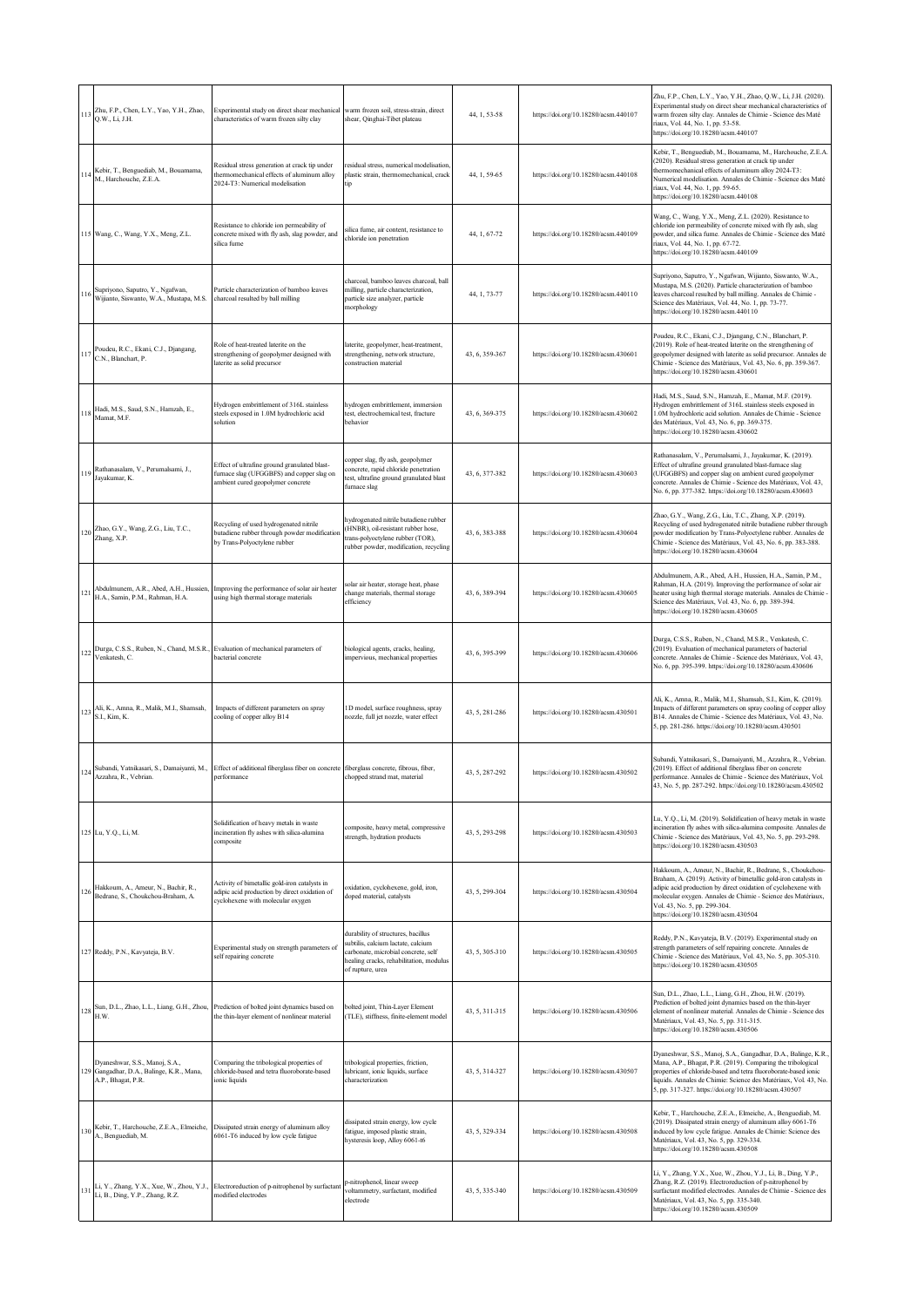|     | 113 Zhu, F.P., Chen, L.Y., Yao, Y.H., Zhao,<br>Q.W., Li, J.H.                                        | Experimental study on direct shear mechanical<br>characteristics of warm frozen silty clay                                                      | warm frozen soil, stress-strain, direct<br>shear, Qinghai-Tibet plateau                                                                                                      | 44, 1, 53-58   | https://doi.org/10.18280/acsm.440107 | Zhu, F.P., Chen, L.Y., Yao, Y.H., Zhao, Q.W., Li, J.H. (2020).<br>Experimental study on direct shear mechanical characteristics of<br>warm frozen silty clay. Annales de Chimie - Science des Maté<br>riaux, Vol. 44, No. 1, pp. 53-58.<br>https://doi.org/10.18280/acsm.440107                                                           |
|-----|------------------------------------------------------------------------------------------------------|-------------------------------------------------------------------------------------------------------------------------------------------------|------------------------------------------------------------------------------------------------------------------------------------------------------------------------------|----------------|--------------------------------------|-------------------------------------------------------------------------------------------------------------------------------------------------------------------------------------------------------------------------------------------------------------------------------------------------------------------------------------------|
|     | I 14 Kebir, T., Benguediab, M., Bouamama,<br>M., Harchouche, Z.E.A.                                  | Residual stress generation at crack tip under<br>thermomechanical effects of aluminum alloy<br>2024-T3: Numerical modelisation                  | esidual stress, numerical modelisation.<br>plastic strain, thermomechanical, crack                                                                                           | 44, 1, 59-65   | https://doi.org/10.18280/acsm.440108 | Kebir, T., Benguediab, M., Bouamama, M., Harchouche, Z.E.A.<br>(2020). Residual stress generation at crack tip under<br>thermomechanical effects of aluminum alloy 2024-T3:<br>Numerical modelisation. Annales de Chimie - Science des Maté<br>riaux, Vol. 44, No. 1, pp. 59-65.<br>https://doi.org/10.18280/acsm.440108                  |
|     | 115 Wang, C., Wang, Y.X., Meng, Z.L.                                                                 | Resistance to chloride ion permeability of<br>concrete mixed with fly ash, slag powder, and<br>silica fume                                      | ilica fume, air content, resistance to<br>chloride ion penetration                                                                                                           | 44, 1, 67-72   | https://doi.org/10.18280/acsm.440109 | Wang, C., Wang, Y.X., Meng, Z.L. (2020). Resistance to<br>chloride ion permeability of concrete mixed with fly ash, slag<br>powder, and silica fume. Annales de Chimie - Science des Maté<br>riaux, Vol. 44, No. 1, pp. 67-72.<br>https://doi.org/10.18280/acsm.440109                                                                    |
|     | Supriyono, Saputro, Y., Ngafwan,<br>116 Wijianto, Siswanto, W.A., Mustapa, M.S.                      | Particle characterization of bamboo leaves<br>charcoal resulted by ball milling                                                                 | charcoal, bamboo leaves charcoal, ball<br>nilling, particle characterization,<br>particle size analyzer, particle<br>norphology                                              | 44, 1, 73-77   | https://doi.org/10.18280/acsm.440110 | Supriyono, Saputro, Y., Ngafwan, Wijianto, Siswanto, W.A.,<br>Mustapa, M.S. (2020). Particle characterization of bamboo<br>leaves charcoal resulted by ball milling. Annales de Chimie -<br>Science des Matériaux, Vol. 44, No. 1, pp. 73-77.<br>https://doi.org/10.18280/acsm.440110                                                     |
|     | 117 Poudeu, R.C., Ekani, C.J., Djangang, C.N., Blanchart, P.                                         | Role of heat-treated laterite on the<br>strengthening of geopolymer designed with<br>laterite as solid precursor                                | aterite, geopolymer, heat-treatment,<br>strengthening, network structure,<br>construction material                                                                           | 43, 6, 359-367 | https://doi.org/10.18280/acsm.430601 | Poudeu, R.C., Ekani, C.J., Djangang, C.N., Blanchart, P.<br>(2019). Role of heat-treated laterite on the strengthening of<br>geopolymer designed with laterite as solid precursor. Annales de<br>Chimie - Science des Matériaux, Vol. 43, No. 6, pp. 359-367.<br>https://doi.org/10.18280/acsm.430601                                     |
|     | 118 Hadi, M.S., Saud, S.N., Hamzah, E.,<br>Mamat, M.F.                                               | Hydrogen embrittlement of 316L stainless<br>steels exposed in 1.0M hydrochloric acid<br>solution                                                | hydrogen embrittlement, immersion<br>test, electrochemical test, fracture<br>behavior                                                                                        | 43, 6, 369-375 | https://doi.org/10.18280/acsm.430602 | Hadi, M.S., Saud, S.N., Hamzah, E., Mamat, M.F. (2019).<br>Hydrogen embrittlement of 316L stainless steels exposed in<br>1.0M hydrochloric acid solution. Annales de Chimie - Science<br>des Matériaux, Vol. 43, No. 6, pp. 369-375.<br>https://doi.org/10.18280/acsm.430602                                                              |
| 119 | Rathanasalam, V., Perumalsami, J.,<br>Jayakumar, K.                                                  | Effect of ultrafine ground granulated blast-<br>furnace slag (UFGGBFS) and copper slag on<br>ambient cured geopolymer concrete                  | opper slag, fly ash, geopolymer<br>oncrete, rapid chloride penetration<br>est, ultrafine ground granulated blast<br>furnace slag                                             | 43, 6, 377-382 | https://doi.org/10.18280/acsm.430603 | Rathanasalam, V., Perumalsami, J., Jayakumar, K. (2019).<br>Effect of ultrafine ground granulated blast-furnace slag<br>(UFGGBFS) and copper slag on ambient cured geopolymer<br>concrete. Annales de Chimie - Science des Matériaux, Vol. 43,<br>No. 6, pp. 377-382. https://doi.org/10.18280/acsm.430603                                |
|     | 120 Zhao, G.Y., Wang, Z.G., Liu, T.C., Zhang, X.P.                                                   | Recycling of used hydrogenated nitrile<br>butadiene rubber through powder modification<br>by Trans-Polyoctylene rubber                          | nydrogenated nitrile butadiene rubber<br>HNBR), oil-resistant rubber hose,<br>rans-polyoctylene rubber (TOR),<br>ubber powder, modification, recycling                       | 43, 6, 383-388 | https://doi.org/10.18280/acsm.430604 | Zhao, G.Y., Wang, Z.G., Liu, T.C., Zhang, X.P. (2019).<br>Recycling of used hydrogenated nitrile butadiene rubber through<br>powder modification by Trans-Polyoctylene rubber. Annales de<br>Chimie - Science des Matériaux, Vol. 43, No. 6, pp. 383-388.<br>https://doi.org/10.18280/acsm.430604                                         |
| 121 | Abdulmunem, A.R., Abed, A.H., Hussien,<br>H.A., Samin, P.M., Rahman, H.A.                            | Improving the performance of solar air heater<br>using high thermal storage materials                                                           | olar air heater, storage heat, phase<br>change materials, thermal storage<br>efficiency                                                                                      | 43, 6, 389-394 | https://doi.org/10.18280/acsm.430605 | Abdulmunem, A.R., Abed, A.H., Hussien, H.A., Samin, P.M.,<br>Rahman, H.A. (2019). Improving the performance of solar air<br>reater using high thermal storage materials. Annales de Chimie -<br>Science des Matériaux, Vol. 43, No. 6, pp. 389-394.<br>https://doi.org/10.18280/acsm.430605                                               |
|     | 122 Durga, C.S.S., Ruben, N., Chand, M.S.R., Evaluation of mechanical parameters of<br>Venkatesh, C. | bacterial concrete                                                                                                                              | viological agents, cracks, healing,<br>mpervious, mechanical properties                                                                                                      | 43, 6, 395-399 | https://doi.org/10.18280/acsm.430606 | Durga, C.S.S., Ruben, N., Chand, M.S.R., Venkatesh, C.<br>(2019). Evaluation of mechanical parameters of bacterial<br>concrete. Annales de Chimie - Science des Matériaux, Vol. 43,<br>No. 6, pp. 395-399. https://doi.org/10.18280/acsm.430606                                                                                           |
|     | 123 Ali, K., Amna, R., Malik, M.I., Shamsah,<br>S.I., Kim, K.                                        | Impacts of different parameters on spray<br>cooling of copper alloy B14                                                                         | ID model, surface roughness, spray<br>nozzle, full jet nozzle, water effect                                                                                                  | 43, 5, 281-286 | https://doi.org/10.18280/acsm.430501 | Ali, K., Amna, R., Malik, M.I., Shamsah, S.I., Kim, K. (2019).<br>Impacts of different parameters on spray cooling of copper alloy<br>B14. Annales de Chimie - Science des Matériaux, Vol. 43, No.<br>5, pp. 281-286. https://doi.org/10.18280/acsm.430501                                                                                |
| 124 | Azzahra, R., Vebrian.                                                                                | Subandi, Yatnikasari, S., Damaiyanti, M., Effect of additional fiberglass fiber on concrete fiberglass concrete, fibrous, fiber,<br>performance | chopped strand mat, material                                                                                                                                                 | 43, 5, 287-292 | https://doi.org/10.18280/acsm.430502 | Subandi, Yatnikasari, S., Damaiyanti, M., Azzahra, R., Vebrian.<br>(2019). Effect of additional fiberglass fiber on concrete<br>performance. Annales de Chimie - Science des Matériaux, Vol.<br>43, No. 5, pp. 287-292. https://doi.org/10.18280/acsm.430502                                                                              |
|     | 125 Lu, Y.Q., Li, M.                                                                                 | Solidification of heavy metals in waste<br>incineration fly ashes with silica-alumina<br>composite                                              | composite, heavy metal, compressive<br>strength, hydration products                                                                                                          | 43, 5, 293-298 | https://doi.org/10.18280/acsm.430503 | Lu, Y.Q., Li, M. (2019). Solidification of heavy metals in waste<br>incineration fly ashes with silica-alumina composite. Annales de<br>Chimie - Science des Matériaux, Vol. 43, No. 5, pp. 293-298.<br>https://doi.org/10.18280/acsm.430503                                                                                              |
| 126 | Hakkoum, A., Ameur, N., Bachir, R.,<br>Bedrane, S., Choukchou-Braham, A.                             | Activity of bimetallic gold-iron catalysts in<br>adipic acid production by direct oxidation of<br>cyclohexene with molecular oxygen             | oxidation, cyclohexene, gold, iron,<br>doped material, catalysts                                                                                                             | 43, 5, 299-304 | https://doi.org/10.18280/acsm.430504 | Hakkoum, A., Ameur, N., Bachir, R., Bedrane, S., Choukchou-<br>Braham, A. (2019). Activity of bimetallic gold-iron catalysts in<br>adipic acid production by direct oxidation of cyclohexene with<br>molecular oxygen. Annales de Chimie - Science des Matériaux,<br>Vol. 43, No. 5, pp. 299-304.<br>https://doi.org/10.18280/acsm.430504 |
|     | 127 Reddy, P.N., Kavyateja, B.V.                                                                     | Experimental study on strength parameters of<br>self repairing concrete                                                                         | durability of structures, bacillus<br>ubtilis, calcium lactate, calcium<br>arbonate, microbial concrete, self<br>tealing cracks, rehabilitation, modulus<br>of rupture, urea | 43, 5, 305-310 | https://doi.org/10.18280/acsm.430505 | Reddy, P.N., Kavyateja, B.V. (2019). Experimental study on<br>strength parameters of self repairing concrete. Annales de<br>Chimie - Science des Matériaux, Vol. 43, No. 5, pp. 305-310.<br>https://doi.org/10.18280/acsm.430505                                                                                                          |
|     | Sun, D.L., Zhao, L.L., Liang, G.H., Zhou,<br>$128\frac{\text{m}}{\text{H.W.}}$                       | Prediction of bolted joint dynamics based on<br>the thin-layer element of nonlinear material                                                    | olted joint, Thin-Layer Element<br>(TLE), stiffness, finite-element model                                                                                                    | 43, 5, 311-315 | https://doi.org/10.18280/acsm.430506 | Sun, D.L., Zhao, L.L., Liang, G.H., Zhou, H.W. (2019).<br>Prediction of bolted joint dynamics based on the thin-layer<br>element of nonlinear material. Annales de Chimie - Science des<br>Matériaux, Vol. 43, No. 5, pp. 311-315.<br>https://doi.org/10.18280/acsm.430506                                                                |
|     | Dyaneshwar, S.S., Manoj, S.A.,<br>129 Gangadhar, D.A., Balinge, K.R., Mana,<br>A.P., Bhagat, P.R.    | Comparing the tribological properties of<br>chloride-based and tetra fluoroborate-based<br>ionic liquids                                        | tribological properties, friction,<br>lubricant, ionic liquids, surface<br>characterization                                                                                  | 43, 5, 314-327 | https://doi.org/10.18280/acsm.430507 | Dyaneshwar, S.S., Manoj, S.A., Gangadhar, D.A., Balinge, K.R.,<br>Mana, A.P., Bhagat, P.R. (2019). Comparing the tribological<br>properties of chloride-based and tetra fluoroborate-based ionic<br>liquids. Annales de Chimie: Science des Matériaux, Vol. 43, No.<br>5, pp. 317-327. https://doi.org/10.18280/acsm.430507               |
|     | 130 Kebir, T., Harchouche, Z.E.A., Elmeiche,<br>A., Benguediab, M.                                   | Dissipated strain energy of aluminum alloy<br>6061-T6 induced by low cycle fatigue                                                              | dissipated strain energy, low cycle<br>fatigue, imposed plastic strain,<br>hysteresis loop, Alloy 6061-t6                                                                    | 43, 5, 329-334 | https://doi.org/10.18280/acsm.430508 | Kebir, T., Harchouche, Z.E.A., Elmeiche, A., Benguediab, M.<br>(2019). Dissipated strain energy of aluminum alloy 6061-T6<br>induced by low cycle fatigue. Annales de Chimie: Science des<br>Matériaux, Vol. 43, No. 5, pp. 329-334.<br>https://doi.org/10.18280/acsm.430508                                                              |
| 131 | Li, Y., Zhang, Y.X., Xue, W., Zhou, Y.J.,<br>Li, B., Ding, Y.P., Zhang, R.Z.                         | Electroreduction of p-nitrophenol by surfactant<br>modified electrodes                                                                          | p-nitrophenol, linear sweep<br>voltammetry, surfactant, modified<br>electrode                                                                                                | 43, 5, 335-340 | https://doi.org/10.18280/acsm.430509 | Li, Y., Zhang, Y.X., Xue, W., Zhou, Y.J., Li, B., Ding, Y.P.,<br>Zhang, R.Z. (2019). Electroreduction of p-nitrophenol by<br>surfactant modified electrodes. Annales de Chimie - Science des<br>Matériaux, Vol. 43, No. 5, pp. 335-340.<br>https://doi.org/10.18280/acsm.430509                                                           |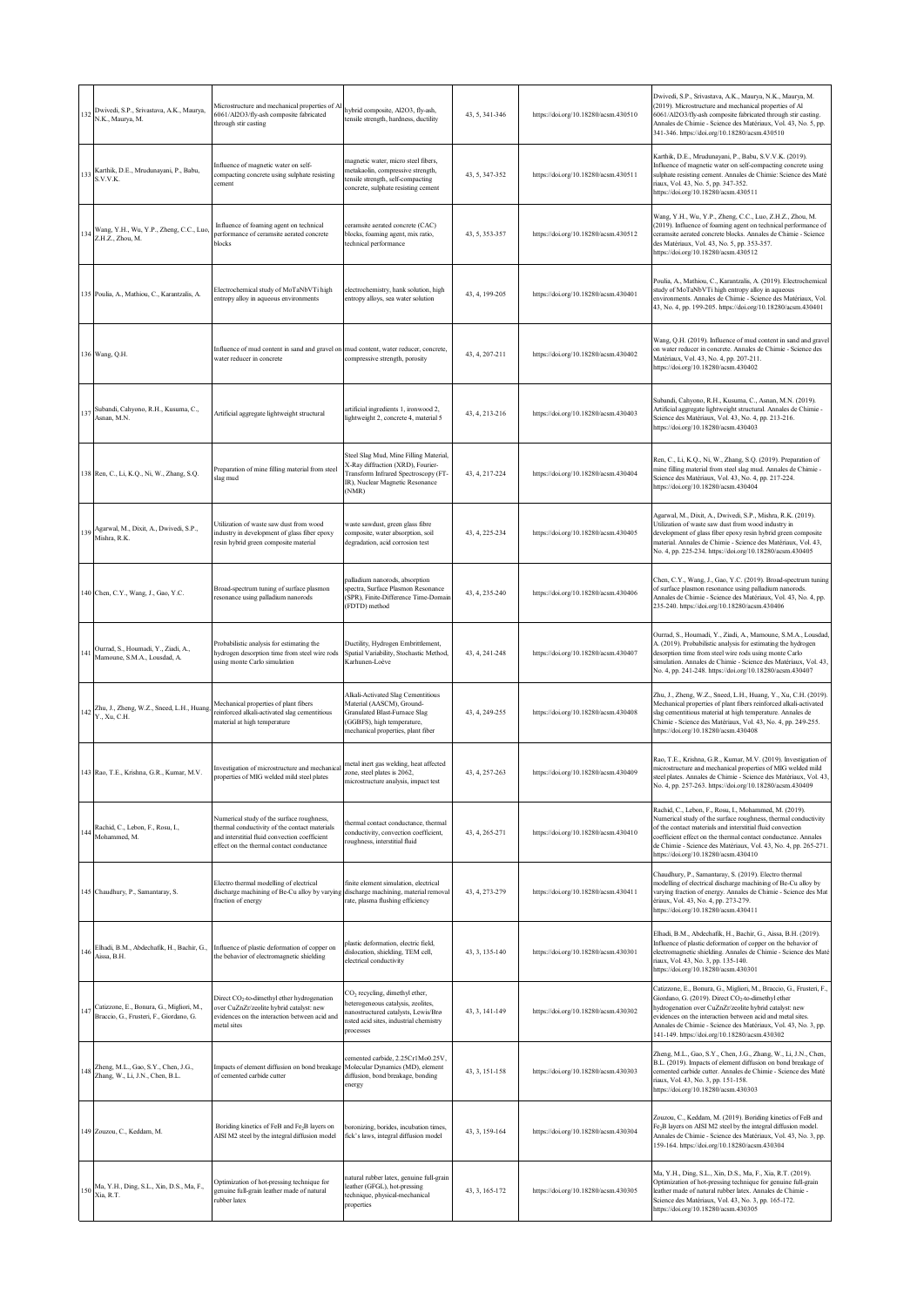|     | 132 Dwivedi, S.P., Srivastava, A.K., Maurya,<br>N.K., Maurya, M.                    | Microstructure and mechanical properties of A<br>6061/Al2O3/fly-ash composite fabricated<br>through stir casting                                                                         | hybrid composite, Al2O3, fly-ash,<br>tensile strength, hardness, ductility                                                                                                        | 43, 5, 341-346 | https://doi.org/10.18280/acsm.430510 | Dwivedi, S.P., Srivastava, A.K., Maurya, N.K., Maurya, M.<br>(2019). Microstructure and mechanical properties of Al<br>6061/Al2O3/fly-ash composite fabricated through stir casting.<br>Annales de Chimie - Science des Matériaux, Vol. 43, No. 5, pp.<br>341-346. https://doi.org/10.18280/acsm.430510                                                                          |
|-----|-------------------------------------------------------------------------------------|------------------------------------------------------------------------------------------------------------------------------------------------------------------------------------------|-----------------------------------------------------------------------------------------------------------------------------------------------------------------------------------|----------------|--------------------------------------|----------------------------------------------------------------------------------------------------------------------------------------------------------------------------------------------------------------------------------------------------------------------------------------------------------------------------------------------------------------------------------|
| 133 | Karthik, D.E., Mrudunayani, P., Babu,<br>S.V.V.K.                                   | Influence of magnetic water on self-<br>compacting concrete using sulphate resisting<br>cement                                                                                           | nagnetic water, micro steel fibers,<br>netakaolin, compressive strength,<br>ensile strength, self-compacting<br>concrete, sulphate resisting cement                               | 43, 5, 347-352 | https://doi.org/10.18280/acsm.430511 | Karthik, D.E., Mrudunayani, P., Babu, S.V.V.K. (2019).<br>Influence of magnetic water on self-compacting concrete using<br>sulphate resisting cement. Annales de Chimie: Science des Maté<br>riaux, Vol. 43, No. 5, pp. 347-352.<br>https://doi.org/10.18280/acsm.430511                                                                                                         |
| 134 | Wang, Y.H., Wu, Y.P., Zheng, C.C., Luo,<br>Z.H.Z., Zhou, M.                         | Influence of foaming agent on technical<br>performance of ceramsite aerated concrete<br>blocks                                                                                           | eramsite aerated concrete (CAC)<br>locks, foaming agent, mix ratio,<br>technical performance                                                                                      | 43, 5, 353-357 | https://doi.org/10.18280/acsm.430512 | Wang, Y.H., Wu, Y.P., Zheng, C.C., Luo, Z.H.Z., Zhou, M.<br>(2019). Influence of foaming agent on technical performance of<br>ceramsite aerated concrete blocks. Annales de Chimie - Science<br>des Matériaux, Vol. 43, No. 5, pp. 353-357.<br>https://doi.org/10.18280/acsm.430512                                                                                              |
|     | 135 Poulia, A., Mathiou, C., Karantzalis, A.                                        | Electrochemical study of MoTaNbVTi high<br>entropy alloy in aqueous environments                                                                                                         | electrochemistry, hank solution, high<br>entropy alloys, sea water solution                                                                                                       | 43, 4, 199-205 | https://doi.org/10.18280/acsm.430401 | Poulia, A., Mathiou, C., Karantzalis, A. (2019). Electrochemical<br>study of MoTaNbVTi high entropy alloy in aqueous<br>environments. Annales de Chimie - Science des Matériaux, Vol.<br>43, No. 4, pp. 199-205. https://doi.org/10.18280/acsm.430401                                                                                                                            |
|     | 136 Wang, Q.H.                                                                      | Influence of mud content in sand and gravel on mud content, water reducer, concrete,<br>water reducer in concrete                                                                        | compressive strength, porosity                                                                                                                                                    | 43, 4, 207-211 | https://doi.org/10.18280/acsm.430402 | Wang, Q.H. (2019). Influence of mud content in sand and gravel<br>on water reducer in concrete. Annales de Chimie - Science des<br>Matériaux, Vol. 43, No. 4, pp. 207-211.<br>https://doi.org/10.18280/acsm.430402                                                                                                                                                               |
|     | 137 Subandi, Cahyono, R.H., Kusuma, C.,<br>Asnan, M.N.                              | Artificial aggregate lightweight structural                                                                                                                                              | artificial ingredients 1, ironwood 2,<br>lightweight 2, concrete 4, material 5                                                                                                    | 43, 4, 213-216 | https://doi.org/10.18280/acsm.430403 | Subandi, Cahyono, R.H., Kusuma, C., Asnan, M.N. (2019).<br>Artificial aggregate lightweight structural. Annales de Chimie -<br>Science des Matériaux, Vol. 43, No. 4, pp. 213-216.<br>https://doi.org/10.18280/acsm.430403                                                                                                                                                       |
|     | 138 Ren, C., Li, K.Q., Ni, W., Zhang, S.Q.                                          | Preparation of mine filling material from steel<br>slag mud                                                                                                                              | Steel Slag Mud, Mine Filling Material,<br>X-Ray diffraction (XRD), Fourier-<br>Transform Infrared Spectroscopy (FT-<br>IR), Nuclear Magnetic Resonance<br>(NMR)                   | 43, 4, 217-224 | https://doi.org/10.18280/acsm.430404 | Ren, C., Li, K.Q., Ni, W., Zhang, S.Q. (2019). Preparation of<br>mine filling material from steel slag mud. Annales de Chimie -<br>Science des Matériaux, Vol. 43, No. 4, pp. 217-224.<br>https://doi.org/10.18280/acsm.430404                                                                                                                                                   |
| 139 | Agarwal, M., Dixit, A., Dwivedi, S.P.,<br>Mishra, R.K.                              | Utilization of waste saw dust from wood<br>industry in development of glass fiber epoxy<br>resin hybrid green composite material                                                         | vaste sawdust, green glass fibre<br>composite, water absorption, soil<br>degradation, acid corrosion test                                                                         | 43, 4, 225-234 | https://doi.org/10.18280/acsm.430405 | Agarwal, M., Dixit, A., Dwivedi, S.P., Mishra, R.K. (2019).<br>Utilization of waste saw dust from wood industry in<br>development of glass fiber epoxy resin hybrid green composite<br>material. Annales de Chimie - Science des Matériaux, Vol. 43,<br>No. 4, pp. 225-234. https://doi.org/10.18280/acsm.430405                                                                 |
|     | 140 Chen, C.Y., Wang, J., Gao, Y.C.                                                 | Broad-spectrum tuning of surface plasmon<br>esonance using palladium nanorods                                                                                                            | valladium nanorods, absorption<br>pectra, Surface Plasmon Resonance<br>SPR), Finite-Difference Time-Domair<br>FDTD) method                                                        | 43, 4, 235-240 | https://doi.org/10.18280/acsm.430406 | Chen, C.Y., Wang, J., Gao, Y.C. (2019). Broad-spectrum tuning<br>of surface plasmon resonance using palladium nanorods.<br>Annales de Chimie - Science des Matériaux, Vol. 43, No. 4, pp.<br>235-240. https://doi.org/10.18280/acsm.430406                                                                                                                                       |
|     | 141 Ourrad, S., Houmadi, Y., Ziadi, A.,<br>Mamoune, S.M.A., Lousdad, A.             | Probabilistic analysis for estimating the<br>hydrogen desorption time from steel wire rods<br>using monte Carlo simulation                                                               | Ductility, Hydrogen Embrittlement,<br>Spatial Variability, Stochastic Method,<br>Karhunen-Loève                                                                                   | 43, 4, 241-248 | https://doi.org/10.18280/acsm.430407 | Ourrad, S., Houmadi, Y., Ziadi, A., Mamoune, S.M.A., Lousdad,<br>A. (2019). Probabilistic analysis for estimating the hydrogen<br>desorption time from steel wire rods using monte Carlo<br>simulation. Annales de Chimie - Science des Matériaux, Vol. 43,<br>No. 4, pp. 241-248. https://doi.org/10.18280/acsm.430407                                                          |
|     | 142 Zhu, J., Zheng, W.Z., Sneed, L.H., Huang, Y., Xu, C.H.                          | Mechanical properties of plant fibers<br>reinforced alkali-activated slag cementitious<br>naterial at high temperature                                                                   | <b>Alkali-Activated Slag Cementitious</b><br>Material (AASCM), Ground-<br><b>Granulated Blast-Furnace Slag</b><br>GGBFS), high temperature,<br>mechanical properties, plant fiber | 43.4.249-255   | https://doi.org/10.18280/acsm.430408 | Zhu, J., Zheng, W.Z., Sneed, L.H., Huang, Y., Xu, C.H. (2019).<br>Mechanical properties of plant fibers reinforced alkali-activated<br>slag cementitious material at high temperature. Annales de<br>Chimie - Science des Matériaux, Vol. 43, No. 4, pp. 249-255.<br>https://doi.org/10.18280/acsm.430408                                                                        |
|     | 143 Rao, T.E., Krishna, G.R., Kumar, M.V.                                           | Investigation of microstructure and mechanical<br>properties of MIG welded mild steel plates                                                                                             | metal inert gas welding, heat affected<br>zone, steel plates is 2062,<br>microstructure analysis, impact test                                                                     | 43, 4, 257-263 | https://doi.org/10.18280/acsm.430409 | Rao, T.E., Krishna, G.R., Kumar, M.V. (2019). Investigation of<br>microstructure and mechanical properties of MIG welded mild<br>steel plates. Annales de Chimie - Science des Matériaux, Vol. 43,<br>No. 4, pp. 257-263. https://doi.org/10.18280/acsm.430409                                                                                                                   |
| 144 | Rachid, C., Lebon, F., Rosu, I.,<br>Mohammed, M.                                    | Numerical study of the surface roughness,<br>thermal conductivity of the contact materials<br>and interstitial fluid convection coefficient<br>effect on the thermal contact conductance | thermal contact conductance, thermal<br>conductivity, convection coefficient,<br>oughness, interstitial fluid                                                                     | 43, 4, 265-271 | https://doi.org/10.18280/acsm.430410 | Rachid, C., Lebon, F., Rosu, I., Mohammed, M. (2019).<br>Numerical study of the surface roughness, thermal conductivity<br>of the contact materials and interstitial fluid convection<br>coefficient effect on the thermal contact conductance. Annales<br>de Chimie - Science des Matériaux, Vol. 43, No. 4, pp. 265-271.<br>https://doi.org/10.18280/acsm.430410               |
|     | 145 Chaudhury, P., Samantaray, S.                                                   | Electro thermal modelling of electrical<br>discharge machining of Be-Cu alloy by varying<br>fraction of energy                                                                           | finite element simulation, electrical<br>discharge machining, material removal<br>rate, plasma flushing efficiency                                                                | 43, 4, 273-279 | https://doi.org/10.18280/acsm.430411 | Chaudhury, P., Samantaray, S. (2019). Electro thermal<br>modelling of electrical discharge machining of Be-Cu alloy by<br>varying fraction of energy. Annales de Chimie - Science des Mat<br>ériaux, Vol. 43, No. 4, pp. 273-279.<br>https://doi.org/10.18280/acsm.430411                                                                                                        |
| 146 | Elhadi, B.M., Abdechafik, H., Bachir, G.,<br>Aissa, B.H.                            | Influence of plastic deformation of copper on<br>the behavior of electromagnetic shielding                                                                                               | plastic deformation, electric field,<br>dislocation, shielding, TEM cell,<br>electrical conductivity                                                                              | 43, 3, 135-140 | https://doi.org/10.18280/acsm.430301 | Elhadi, B.M., Abdechafik, H., Bachir, G., Aissa, B.H. (2019).<br>Influence of plastic deformation of copper on the behavior of<br>electromagnetic shielding. Annales de Chimie - Science des Maté<br>riaux, Vol. 43, No. 3, pp. 135-140.<br>https://doi.org/10.18280/acsm.430301                                                                                                 |
| 147 | Catizzone, E., Bonura, G., Migliori, M.,<br>Braccio, G., Frusteri, F., Giordano, G. | Direct CO <sub>2</sub> -to-dimethyl ether hydrogenation<br>ver CuZnZr/zeolite hybrid catalyst: new<br>evidences on the interaction between acid and<br>metal sites                       | CO <sub>2</sub> recycling, dimethyl ether,<br>eterogeneous catalysis, zeolites,<br>nanostructured catalysts, Lewis/Brø<br>isted acid sites, industrial chemistry<br>processes     | 43, 3, 141-149 | https://doi.org/10.18280/acsm.430302 | Catizzone, E., Bonura, G., Migliori, M., Braccio, G., Frusteri, F.,<br>Giordano, G. (2019). Direct CO <sub>2</sub> -to-dimethyl ether<br>hydrogenation over CuZnZr/zeolite hybrid catalyst: new<br>evidences on the interaction between acid and metal sites.<br>Annales de Chimie - Science des Matériaux, Vol. 43, No. 3, pp.<br>141-149. https://doi.org/10.18280/acsm.430302 |
|     | 148 Zheng, M.L., Gao, S.Y., Chen, J.G., Zhang, W., Li, J.N., Chen, B.L.             | Impacts of element diffusion on bond breakage<br>of cemented carbide cutter                                                                                                              | cemented carbide, 2.25Cr1Mo0.25V,<br>Molecular Dynamics (MD), element<br>diffusion, bond breakage, bonding<br>energy                                                              | 43, 3, 151-158 | https://doi.org/10.18280/acsm.430303 | Zheng, M.L., Gao, S.Y., Chen, J.G., Zhang, W., Li, J.N., Chen,<br>B.L. (2019). Impacts of element diffusion on bond breakage of<br>cemented carbide cutter. Annales de Chimie - Science des Maté<br>riaux, Vol. 43, No. 3, pp. 151-158.<br>https://doi.org/10.18280/acsm.430303                                                                                                  |
|     | 149 Zouzou, C., Keddam, M.                                                          | Boriding kinetics of FeB and Fe <sub>2</sub> B layers on<br>AISI M2 steel by the integral diffusion model                                                                                | boronizing, borides, incubation times,<br>fick's laws, integral diffusion model                                                                                                   | 43, 3, 159-164 | https://doi.org/10.18280/acsm.430304 | Zouzou, C., Keddam, M. (2019). Boriding kinetics of FeB and<br>Fe <sub>2</sub> B layers on AISI M2 steel by the integral diffusion model.<br>Annales de Chimie - Science des Matériaux, Vol. 43, No. 3, pp.<br>159-164. https://doi.org/10.18280/acsm.430304                                                                                                                     |
|     | 150 Ma, Y.H., Ding, S.L., Xin, D.S., Ma, F.,<br>Xia, R.T.                           | Optimization of hot-pressing technique for<br>genuine full-grain leather made of natural<br>rubber latex                                                                                 | natural rubber latex, genuine full-grain<br>eather (GFGL), hot-pressing<br>technique, physical-mechanical<br>properties                                                           | 43, 3, 165-172 | https://doi.org/10.18280/acsm.430305 | Ma, Y.H., Ding, S.L., Xin, D.S., Ma, F., Xia, R.T. (2019).<br>Optimization of hot-pressing technique for genuine full-grain<br>leather made of natural rubber latex. Annales de Chimie -<br>Science des Matériaux, Vol. 43, No. 3, pp. 165-172.<br>https://doi.org/10.18280/acsm.430305                                                                                          |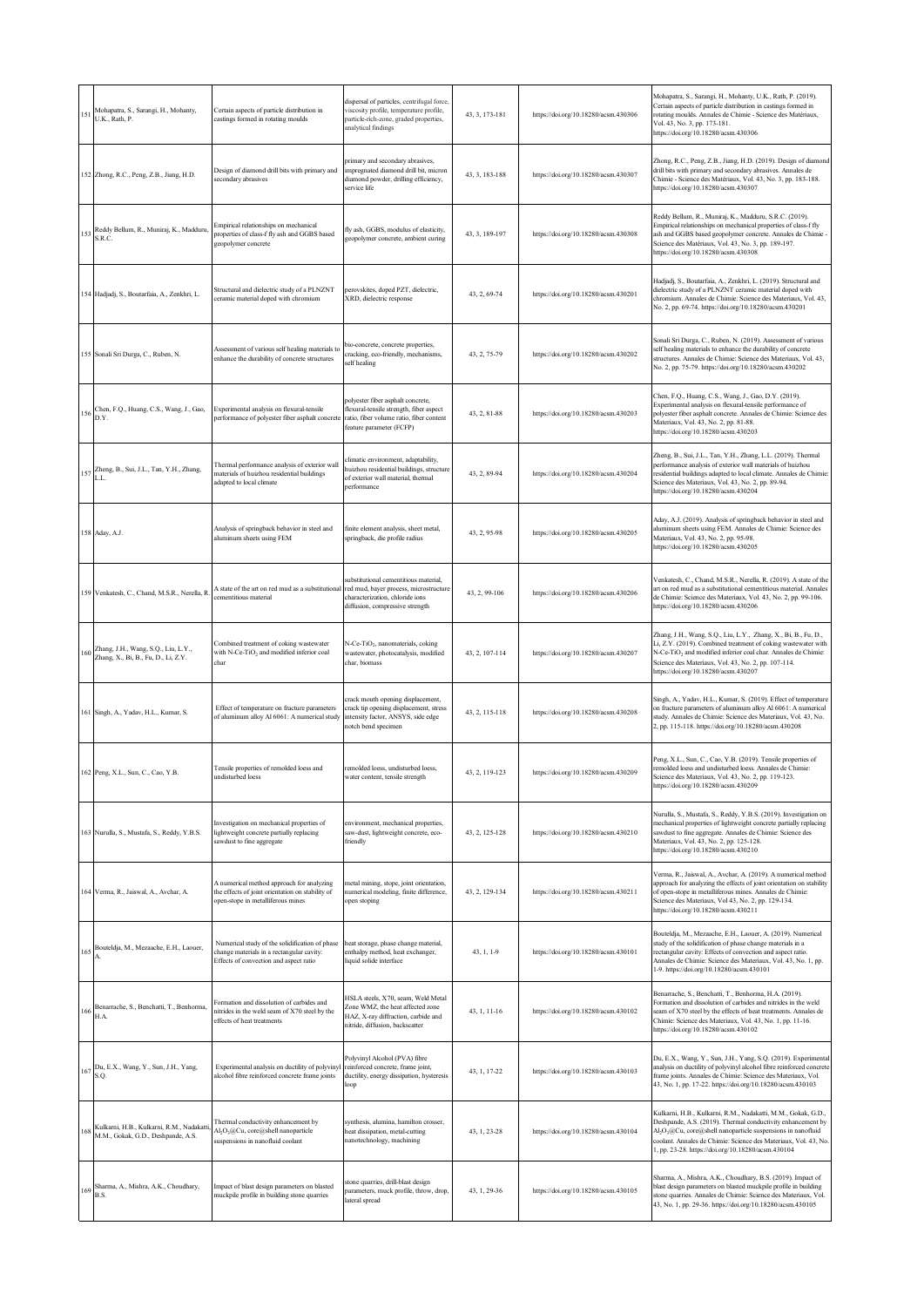|     | 151 Mohapatra, S., Sarangi, H., Mohanty,<br>U.K., Rath, P.                                     | Certain aspects of particle distribution in<br>castings formed in rotating moulds                                                      | dispersal of particles, centrifugal force,<br>viscosity profile, temperature profile,<br>particle-rich-zone, graded properties,<br>malytical findings | 43, 3, 173-181 | https://doi.org/10.18280/acsm.430306 | Mohapatra, S., Sarangi, H., Mohanty, U.K., Rath, P. (2019).<br>Certain aspects of particle distribution in castings formed in<br>rotating moulds. Annales de Chimie - Science des Matériaux,<br>Vol. 43, No. 3, pp. 173-181.<br>https://doi.org/10.18280/acsm.430306                                                                          |
|-----|------------------------------------------------------------------------------------------------|----------------------------------------------------------------------------------------------------------------------------------------|-------------------------------------------------------------------------------------------------------------------------------------------------------|----------------|--------------------------------------|-----------------------------------------------------------------------------------------------------------------------------------------------------------------------------------------------------------------------------------------------------------------------------------------------------------------------------------------------|
|     | 152 Zhong, R.C., Peng, Z.B., Jiang, H.D.                                                       | Design of diamond drill bits with primary and<br>secondary abrasives                                                                   | primary and secondary abrasives,<br>mpregnated diamond drill bit, micron<br>diamond powder, drilling efficiency,<br>service life                      | 43, 3, 183-188 | https://doi.org/10.18280/acsm.430307 | Zhong, R.C., Peng, Z.B., Jiang, H.D. (2019). Design of diamond<br>drill bits with primary and secondary abrasives. Annales de<br>Chimie - Science des Matériaux, Vol. 43, No. 3, pp. 183-188.<br>https://doi.org/10.18280/acsm.430307                                                                                                         |
| 153 | Reddy Bellum, R., Muniraj, K., Madduru,<br>S.R.C.                                              | Empirical relationships on mechanical<br>properties of class-f fly ash and GGBS based<br>geopolymer concrete                           | fly ash, GGBS, modulus of elasticity,<br>eopolymer concrete, ambient curing                                                                           | 43, 3, 189-197 | https://doi.org/10.18280/acsm.430308 | Reddy Bellum, R., Muniraj, K., Madduru, S.R.C. (2019).<br>Empirical relationships on mechanical properties of class-f fly<br>ash and GGBS based geopolymer concrete. Annales de Chimie -<br>Science des Matériaux, Vol. 43, No. 3, pp. 189-197.<br>https://doi.org/10.18280/acsm.430308                                                       |
|     | 154 Hadjadj, S., Boutarfaia, A., Zenkhri, L.                                                   | Structural and dielectric study of a PLNZNT<br>ceramic material doped with chromium                                                    | perovskites, doped PZT, dielectric,<br>XRD, dielectric response                                                                                       | 43, 2, 69-74   | https://doi.org/10.18280/acsm.430201 | Hadjadj, S., Boutarfaia, A., Zenkhri, L. (2019). Structural and<br>dielectric study of a PLNZNT ceramic material doped with<br>chromium. Annales de Chimie: Science des Materiaux, Vol. 43,<br>No. 2, pp. 69-74. https://doi.org/10.18280/acsm.430201                                                                                         |
|     | 155 Sonali Sri Durga, C., Ruben, N.                                                            | Assessment of various self healing materials to<br>enhance the durability of concrete structures                                       | bio-concrete, concrete properties,<br>cracking, eco-friendly, mechanisms,<br>self healing                                                             | 43, 2, 75-79   | https://doi.org/10.18280/acsm.430202 | Sonali Sri Durga, C., Ruben, N. (2019). Assessment of various<br>self healing materials to enhance the durability of concrete<br>structures. Annales de Chimie: Science des Materiaux, Vol. 43,<br>No. 2, pp. 75-79. https://doi.org/10.18280/acsm.430202                                                                                     |
|     | 156 Chen, F.Q., Huang, C.S., Wang, J., Gao,<br>D.Y.                                            | Experimental analysis on flexural-tensile<br>performance of polyester fiber asphalt concrete                                           | polyester fiber asphalt concrete,<br>flexural-tensile strength, fiber aspect<br>ratio, fiber volume ratio, fiber content<br>feature parameter (FCFP)  | 43, 2, 81-88   | https://doi.org/10.18280/acsm.430203 | Chen, F.Q., Huang, C.S., Wang, J., Gao, D.Y. (2019).<br>Experimental analysis on flexural-tensile performance of<br>polyester fiber asphalt concrete. Annales de Chimie: Science des<br>Materiaux, Vol. 43, No. 2, pp. 81-88.<br>https://doi.org/10.18280/acsm.430203                                                                         |
|     | 157 Zheng, B., Sui, J.L., Tan, Y.H., Zhang,<br>L.L.                                            | Thermal performance analysis of exterior wall<br>materials of huizhou residential buildings<br>adapted to local climate                | limatic environment, adaptability,<br>huizhou residential buildings, structure<br>of exterior wall material, thermal<br>performance                   | 43, 2, 89-94   | https://doi.org/10.18280/acsm.430204 | Zheng, B., Sui, J.L., Tan, Y.H., Zhang, L.L. (2019). Thermal<br>performance analysis of exterior wall materials of huizhou<br>residential buildings adapted to local climate. Annales de Chimie:<br>Science des Materiaux, Vol. 43, No. 2, pp. 89-94.<br>https://doi.org/10.18280/acsm.430204                                                 |
|     | 158 Aday, A.J.                                                                                 | Analysis of springback behavior in steel and<br>aluminum sheets using FEM                                                              | finite element analysis, sheet metal,<br>springback, die profile radius                                                                               | 43, 2, 95-98   | https://doi.org/10.18280/acsm.430205 | Aday, A.J. (2019). Analysis of springback behavior in steel and<br>aluminum sheets using FEM. Annales de Chimie: Science des<br>Materiaux, Vol. 43, No. 2, pp. 95-98.<br>https://doi.org/10.18280/acsm.430205                                                                                                                                 |
|     | 159 Venkatesh, C., Chand, M.S.R., Nerella, R                                                   | A state of the art on red mud as a substitutional<br>cementitious material                                                             | abstitutional cementitious material,<br>red mud, bayer process, microstructure<br>characterization, chloride ions<br>diffusion, compressive strength  | 43, 2, 99-106  | https://doi.org/10.18280/acsm.430206 | Venkatesh, C., Chand, M.S.R., Nerella, R. (2019). A state of the<br>art on red mud as a substitutional cementitious material. Annales<br>de Chimie: Science des Materiaux, Vol. 43, No. 2, pp. 99-106.<br>https://doi.org/10.18280/acsm.430206                                                                                                |
|     | 160 Zhang, J.H., Wang, S.Q., Liu, L.Y., Zhang, X., Bi, B., Fu, D., Li, Z.Y.                    | Combined treatment of coking wastewater<br>with N-Ce-TiO <sub>2</sub> and modified inferior coal<br>char                               | N-Ce-TiO <sub>2</sub> , nanomaterials, coking<br>vastewater, photocatalysis, modified<br>char, biomass                                                | 43, 2, 107-114 | https://doi.org/10.18280/acsm.430207 | Zhang, J.H., Wang, S.Q., Liu, L.Y., Zhang, X., Bi, B., Fu, D.,<br>Li, Z.Y. (2019). Combined treatment of coking wastewater with<br>N-Ce-TiO <sub>2</sub> and modified inferior coal char. Annales de Chimie:<br>Science des Materiaux, Vol. 43, No. 2, pp. 107-114.<br>https://doi.org/10.18280/acsm.430207                                   |
|     | 161 Singh, A., Yadav, H.L., Kumar, S.                                                          | Effect of temperature on fracture parameters<br>of aluminum alloy Al 6061: A numerical study                                           | rack mouth opening displacement,<br>rack tip opening displacement, stress<br>intensity factor, ANSYS, side edge<br>notch bend specimen                | 43, 2, 115-118 | https://doi.org/10.18280/acsm.430208 | Singh, A., Yadav, H.L., Kumar, S. (2019). Effect of temperature<br>on fracture parameters of aluminum alloy Al 6061: A numerical<br>study. Annales de Chimie: Science des Materiaux, Vol. 43, No.<br>2, pp. 115-118. https://doi.org/10.18280/acsm.430208                                                                                     |
|     | 162 Peng, X.L., Sun, C., Cao, Y.B.                                                             | Tensile properties of remolded loess and<br>undisturbed loess                                                                          | remolded loess, undisturbed loess,<br>water content, tensile strength                                                                                 | 43, 2, 119-123 | https://doi.org/10.18280/acsm.430209 | Peng, X.L., Sun, C., Cao, Y.B. (2019). Tensile properties of<br>remolded loess and undisturbed loess. Annales de Chimie:<br>Science des Materiaux, Vol. 43, No. 2, pp. 119-123.<br>https://doi.org/10.18280/acsm.430209                                                                                                                       |
|     | 163 Nurulla, S., Mustafa, S., Reddy, Y.B.S.                                                    | Investigation on mechanical properties of<br>lightweight concrete partially replacing<br>sawdust to fine aggregate                     | environment, mechanical properties,<br>saw-dust, lightweight concrete, eco-<br>friendly                                                               | 43, 2, 125-128 | https://doi.org/10.18280/acsm.430210 | Nurulla, S., Mustafa, S., Reddy, Y.B.S. (2019). Investigation on<br>mechanical properties of lightweight concrete partially replacing<br>sawdust to fine aggregate. Annales de Chimie: Science des<br>Materiaux, Vol. 43, No. 2, pp. 125-128.<br>https://doi.org/10.18280/acsm.430210                                                         |
|     | 164 Verma, R., Jaiswal, A., Avchar, A.                                                         | A numerical method approach for analyzing<br>the effects of joint orientation on stability of<br>open-stope in metalliferous mines     | metal mining, stope, joint orientation,<br>numerical modeling, finite difference,<br>open stoping                                                     | 43, 2, 129-134 | https://doi.org/10.18280/acsm.430211 | Verma, R., Jaiswal, A., Avchar, A. (2019). A numerical method<br>approach for analyzing the effects of joint orientation on stability<br>of open-stope in metalliferous mines. Annales de Chimie:<br>Science des Materiaux, Vol 43, No. 2, pp. 129-134.<br>https://doi.org/10.18280/acsm.430211                                               |
| 165 | Bouteldja, M., Mezaache, E.H., Laouer,                                                         | Numerical study of the solidification of phase<br>change materials in a rectangular cavity:<br>Effects of convection and aspect ratio  | heat storage, phase change material,<br>enthalpy method, heat exchanger,<br>liquid solide interface                                                   | 43, 1, 1-9     | https://doi.org/10.18280/acsm.430101 | Bouteldja, M., Mezaache, E.H., Laouer, A. (2019). Numerical<br>study of the solidification of phase change materials in a<br>rectangular cavity: Effects of convection and aspect ratio.<br>Annales de Chimie: Science des Materiaux, Vol. 43, No. 1, pp.<br>1-9. https://doi.org/10.18280/acsm.430101                                        |
|     | Benarrache, S., Benchatti, T., Benhorma,<br>$166\ensuremath{\stackrel{\text{h}}{\text{H.A.}}}$ | Formation and dissolution of carbides and<br>nitrides in the weld seam of X70 steel by the<br>effects of heat treatments               | HSLA steels, X70, seam, Weld Metal<br>Zone WMZ, the heat affected zone<br>HAZ, X-ray diffraction, carbide and<br>nitride, diffusion, backscatter      | 43, 1, 11-16   | https://doi.org/10.18280/acsm.430102 | Benarrache, S., Benchatti, T., Benhorma, H.A. (2019).<br>Formation and dissolution of carbides and nitrides in the weld<br>seam of X70 steel by the effects of heat treatments. Annales de<br>Chimie: Science des Materiaux, Vol. 43, No. 1, pp. 11-16.<br>https://doi.org/10.18280/acsm.430102                                               |
|     | Du, E.X., Wang, Y., Sun, J.H., Yang, S.Q.                                                      | Experimental analysis on ductility of polyvinyl<br>alcohol fibre reinforced concrete frame joints                                      | Polyvinyl Alcohol (PVA) fibre<br>reinforced concrete, frame joint,<br>ductility, energy dissipation, hysteresis<br>loop                               | 43, 1, 17-22   | https://doi.org/10.18280/acsm.430103 | Du, E.X., Wang, Y., Sun, J.H., Yang, S.Q. (2019). Experimental<br>analysis on ductility of polyvinyl alcohol fibre reinforced concrete<br>frame joints. Annales de Chimie: Science des Materiaux, Vol.<br>43, No. 1, pp. 17-22. https://doi.org/10.18280/acsm.430103                                                                          |
|     | 168 Kulkarni, H.B., Kulkarni, R.M., Nadakatti<br>M.M., Gokak, G.D., Deshpande, A.S.            | Thermal conductivity enhancement by<br>Al <sub>2</sub> O <sub>3</sub> @Cu, core@shell nanoparticle<br>suspensions in nanofluid coolant | synthesis, alumina, hamilton crosser,<br>heat dissipation, metal-cutting<br>nanotechnology, machining                                                 | 43, 1, 23-28   | https://doi.org/10.18280/acsm.430104 | Kulkarni, H.B., Kulkarni, R.M., Nadakatti, M.M., Gokak, G.D.,<br>Deshpande, A.S. (2019). Thermal conductivity enhancement by<br>Al <sub>2</sub> O <sub>3</sub> @Cu, core@shell nanoparticle suspensions in nanofluid<br>coolant. Annales de Chimie: Science des Materiaux, Vol. 43, No.<br>1, pp. 23-28. https://doi.org/10.18280/acsm.430104 |
| 169 | Sharma, A., Mishra, A.K., Choudhary,<br>B.S.                                                   | Impact of blast design parameters on blasted<br>muckpile profile in building stone quarries                                            | stone quarries, drill-blast design<br>parameters, muck profile, throw, drop,<br>lateral spread                                                        | 43, 1, 29-36   | https://doi.org/10.18280/acsm.430105 | Sharma, A., Mishra, A.K., Choudhary, B.S. (2019). Impact of<br>blast design parameters on blasted muckpile profile in building<br>stone quarries. Annales de Chimie: Science des Materiaux, Vol.<br>43, No. 1, pp. 29-36. https://doi.org/10.18280/acsm.430105                                                                                |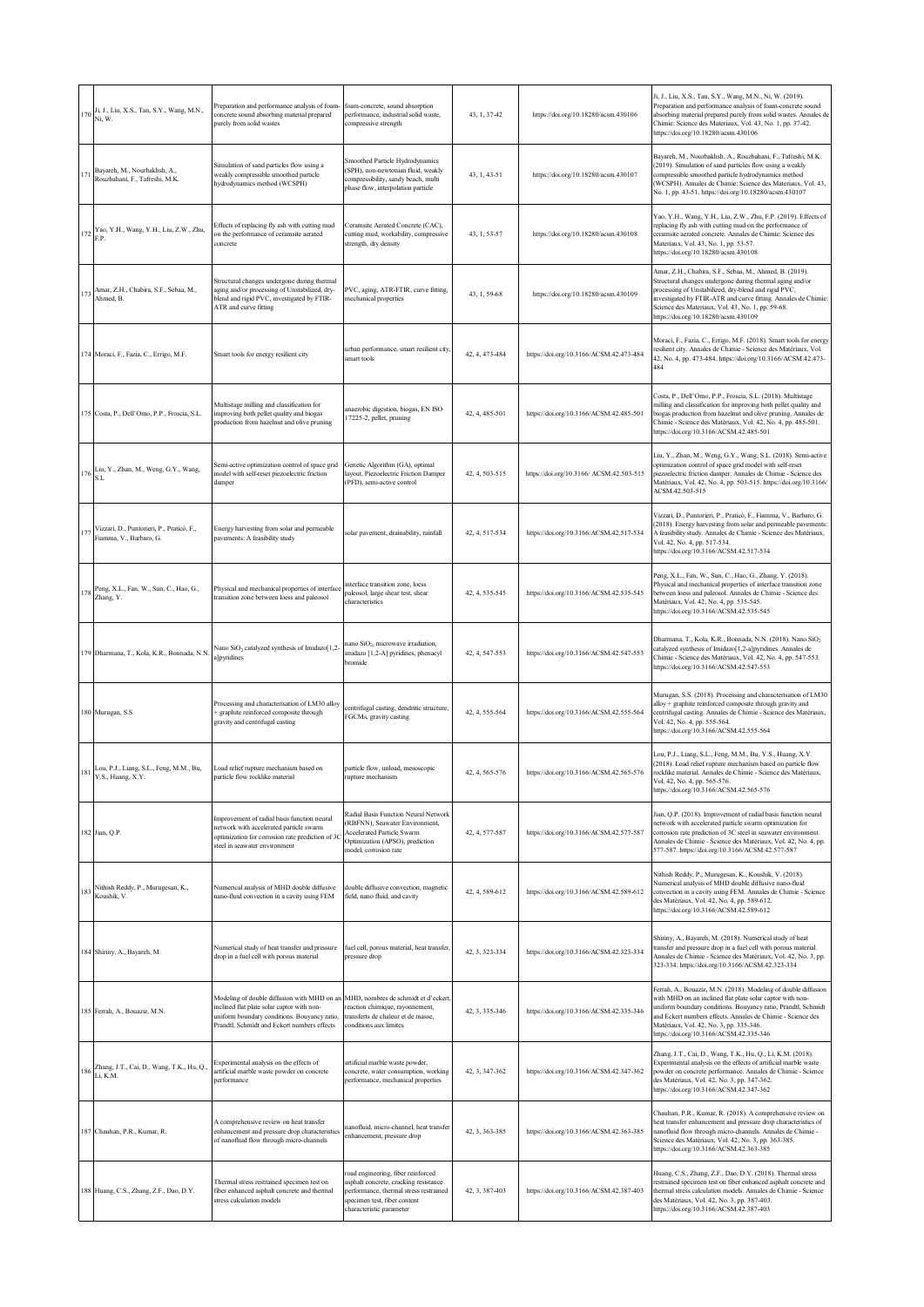|           | 170 Ji, J., Liu, X.S., Tan, S.Y., Wang, M.N.,<br>Ni, W.              | Preparation and performance analysis of foam-<br>concrete sound absorbing material prepared<br>purely from solid wastes                                                                  | foam-concrete, sound absorption<br>performance, industrial solid waste,<br>compressive strength                                                                                 | 43, 1, 37-42   | https://doi.org/10.18280/acsm.430106     | Ji, J., Liu, X.S., Tan, S.Y., Wang, M.N., Ni, W. (2019).<br>Preparation and performance analysis of foam-concrete sound<br>absorbing material prepared purely from solid wastes. Annales de<br>Chimie: Science des Materiaux, Vol. 43, No. 1, pp. 37-42.<br>https://doi.org/10.18280/acsm.430106                                                  |
|-----------|----------------------------------------------------------------------|------------------------------------------------------------------------------------------------------------------------------------------------------------------------------------------|---------------------------------------------------------------------------------------------------------------------------------------------------------------------------------|----------------|------------------------------------------|---------------------------------------------------------------------------------------------------------------------------------------------------------------------------------------------------------------------------------------------------------------------------------------------------------------------------------------------------|
| 171       | Bayareh, M., Nourbakhsh, A.,<br>Rouzbahani, F., Tafreshi, M.K.       | Simulation of sand particles flow using a<br>weakly compressible smoothed particle<br>hydrodynamics method (WCSPH)                                                                       | Smoothed Particle Hydrodynamics<br>(SPH), non-newtonian fluid, weakly<br>compressibility, sandy beach, multi<br>phase flow, interpolation particle                              | 43, 1, 43-51   | https://doi.org/10.18280/acsm.430107     | Bayareh, M., Nourbakhsh, A., Rouzbahani, F., Tafreshi, M.K.<br>(2019). Simulation of sand particles flow using a weakly<br>compressible smoothed particle hydrodynamics method<br>(WCSPH). Annales de Chimie: Science des Materiaux, Vol. 43,<br>No. 1, pp. 43-51. https://doi.org/10.18280/acsm.430107                                           |
| 172       | Yao, Y.H., Wang, Y.H., Liu, Z.W., Zhu,<br>F.P.                       | Effects of replacing fly ash with cutting mud<br>on the performance of ceramsite aerated<br>concrete                                                                                     | Ceramsite Aerated Concrete (CAC).<br>cutting mud, workability, compressive<br>strength, dry density                                                                             | 43, 1, 53-57   | https://doi.org/10.18280/acsm.430108     | Yao, Y.H., Wang, Y.H., Liu, Z.W., Zhu, F.P. (2019). Effects of<br>replacing fly ash with cutting mud on the performance of<br>ceramsite aerated concrete. Annales de Chimie: Science des<br>Materiaux, Vol. 43, No. 1, pp. 53-57.<br>https://doi.org/10.18280/acsm.430108                                                                         |
| 173       | Amar, Z.H., Chabira, S.F., Sebaa, M.,<br>Ahmed, B.                   | Structural changes undergone during thermal<br>aging and/or processing of Unstabilized, dry-<br>blend and rigid PVC, investigated by FTIR-<br>ATR and curve fitting                      | PVC, aging, ATR-FTIR, curve fitting,<br>mechanical properties                                                                                                                   | 43, 1, 59-68   | https://doi.org/10.18280/acsm.430109     | Amar, Z.H., Chabira, S.F., Sebaa, M., Ahmed, B. (2019).<br>Structural changes undergone during thermal aging and/or<br>processing of Unstabilized, dry-blend and rigid PVC,<br>investigated by FTIR-ATR and curve fitting. Annales de Chimie:<br>Science des Materiaux, Vol. 43, No. 1, pp. 59-68.<br>https://doi.org/10.18280/acsm.430109        |
|           | 174 Moraci, F., Fazia, C., Errigo, M.F.                              | Smart tools for energy resilient city                                                                                                                                                    | urban performance, smart resilient city,<br>smart tools                                                                                                                         | 42, 4, 473-484 | https://doi.org/10.3166/ACSM.42.473-484  | Moraci, F., Fazia, C., Errigo, M.F. (2018). Smart tools for energy<br>resilient city. Annales de Chimie - Science des Matériaux, Vol.<br>42, No. 4, pp. 473-484. https://doi.org/10.3166/ACSM.42.473-<br>484                                                                                                                                      |
|           | 175 Costa, P., Dell'Omo, P.P., Froscia, S.L.                         | Multistage milling and classification for<br>improving both pellet quality and biogas<br>production from hazelnut and olive pruning                                                      | anaerobic digestion, biogas, EN ISO<br>17225-2, pellet, pruning                                                                                                                 | 42, 4, 485-501 | https://doi.org/10.3166/ACSM.42.485-501  | Costa, P., Dell'Omo, P.P., Froscia, S.L. (2018). Multistage<br>milling and classification for improving both pellet quality and<br>biogas production from hazelnut and olive pruning. Annales de<br>Chimie - Science des Matériaux, Vol. 42, No. 4, pp. 485-501.<br>https://doi.org/10.3166/ACSM.42.485-501                                       |
| 176       | Liu, Y., Zhan, M., Weng, G.Y., Wang,<br>S.L                          | Semi-active optimization control of space grid<br>model with self-reset piezoelectric friction<br>damper                                                                                 | Genetic Algorithm (GA), optimal<br>layout, Piezoelectric Friction Damper<br>(PFD), semi-active control                                                                          | 42, 4, 503-515 | https://doi.org/10.3166/ ACSM.42.503-515 | Liu, Y., Zhan, M., Weng, G.Y., Wang, S.L. (2018). Semi-active<br>optimization control of space grid model with self-reset<br>piezoelectric friction damper. Annales de Chimie - Science des<br>Matériaux, Vol. 42, No. 4, pp. 503-515. https://doi.org/10.3166/<br>ACSM.42.503-515                                                                |
| 177       | Vizzari, D., Puntorieri, P., Praticò, F.,<br>Fiamma, V., Barbaro, G. | Energy harvesting from solar and permeable<br>pavements: A feasibility study                                                                                                             | solar pavement, drainability, rainfall                                                                                                                                          | 42, 4, 517-534 | https://doi.org/10.3166/ACSM.42.517-534  | Vizzari, D., Puntorieri, P., Praticò, F., Fiamma, V., Barbaro, G.<br>(2018). Energy harvesting from solar and permeable pavements:<br>A feasibility study. Annales de Chimie - Science des Matériaux,<br>Vol. 42, No. 4, pp. 517-534.<br>https://doi.org/10.3166/ACSM.42.517-534                                                                  |
|           | 178 Peng, X.L., Fan, W., Sun, C., Hao, G.,<br>Zhang, Y.              | Physical and mechanical properties of interface<br>transition zone between loess and paleosol                                                                                            | interface transition zone, loess<br>paleosol, large shear test, shear<br>characteristics                                                                                        | 42, 4, 535-545 | https://doi.org/10.3166/ACSM.42.535-545  | Peng, X.L., Fan, W., Sun, C., Hao, G., Zhang, Y. (2018).<br>Physical and mechanical properties of interface transition zone<br>between loess and paleosol. Annales de Chimie - Science des<br>Matériaux, Vol. 42, No. 4, pp. 535-545.<br>https://doi.org/10.3166/ACSM.42.535-545                                                                  |
|           | 179 Dharmana, T., Kola, K.R., Bonnada, N.N                           | Nano SiO <sub>2</sub> catalyzed synthesis of Imidazo[1,2-<br>a]pyridines                                                                                                                 | nano SiO <sub>2</sub> , microwave irradiation,<br>imidazo [1,2-A] pyridines, phenacyl<br>bromide                                                                                | 42, 4, 547-553 | https://doi.org/10.3166/ACSM.42.547-553  | Dharmana, T., Kola, K.R., Bonnada, N.N. (2018). Nano SiO <sub>2</sub><br>catalyzed synthesis of Imidazo[1,2-a]pyridines. Annales de<br>Chimie - Science des Matériaux, Vol. 42, No. 4, pp. 547-553.<br>https://doi.org/10.3166/ACSM.42.547-553                                                                                                    |
|           | 180 Murugan, S.S.                                                    | Processing and characterisation of LM30 alloy<br>graphite reinforced composite through<br>gravity and centrifugal casting                                                                | centrifugal casting, dendritic structure,<br>FGCMs, gravity casting                                                                                                             | 42, 4, 555-564 | https://doi.org/10.3166/ACSM.42.555-564  | Murugan, S.S. (2018). Processing and characterisation of LM30<br>alloy + graphite reinforced composite through gravity and<br>centrifugal casting. Annales de Chimie - Science des Matériaux,<br>Vol. 42, No. 4, pp. 555-564.<br>https://doi.org/10.3166/ACSM.42.555-564                                                                          |
| $1\,8\,1$ | Lou, P.J., Liang, S.L., Feng, M.M., Bu,<br>Y.S., Huang, X.Y.         | Load relief rupture mechanism based on<br>particle flow rocklike material                                                                                                                | particle flow, unload, mesoscopic<br>rupture mechanism                                                                                                                          | 42, 4, 565-576 | https://doi.org/10.3166/ACSM.42.565-576  | Lou, P.J., Liang, S.L., Feng, M.M., Bu, Y.S., Huang, X.Y.<br>(2018). Load relief rupture mechanism based on particle flow<br>rocklike material. Annales de Chimie - Science des Matériaux,<br>Vol. 42, No. 4, pp. 565-576.<br>https://doi.org/10.3166/ACSM.42.565-576                                                                             |
|           | 182 Jian, Q.P.                                                       | Improvement of radial basis function neural<br>network with accelerated particle swarm<br>optimization for corrosion rate prediction of 3C<br>steel in seawater environment              | Radial Basis Function Neural Network<br>(RBFNN), Seawater Environment,<br><b>Accelerated Particle Swarm</b><br>Optimization (APSO), prediction<br>model, corrosion rate         | 42, 4, 577-587 | https://doi.org/10.3166/ACSM.42.577-587  | Jian, Q.P. (2018). Improvement of radial basis function neural<br>network with accelerated particle swarm optimization for<br>corrosion rate prediction of 3C steel in seawater environment.<br>Annales de Chimie - Science des Matériaux, Vol. 42, No. 4, pp.<br>577-587. https://doi.org/10.3166/ACSM.42.577-587                                |
| 183       | Nithish Reddy, P., Murugesan, K.,<br>Koushik, V.                     | Numerical analysis of MHD double diffusive<br>nano-fluid convection in a cavity using FEM                                                                                                | double diffusive convection, magnetic<br>field, nano fluid, and cavity                                                                                                          | 42, 4, 589-612 | https://doi.org/10.3166/ACSM.42.589-612  | Nithish Reddy, P., Murugesan, K., Koushik, V. (2018).<br>Numerical analysis of MHD double diffusive nano-fluid<br>convection in a cavity using FEM. Annales de Chimie - Science<br>des Matériaux, Vol. 42, No. 4, pp. 589-612.<br>https://doi.org/10.3166/ACSM.42.589-612                                                                         |
|           | 184 Shiriny, A., Bayareh, M.                                         | Numerical study of heat transfer and pressure<br>drop in a fuel cell with porous material                                                                                                | fuel cell, porous material, heat transfer,<br>pressure drop                                                                                                                     | 42, 3, 323-334 | https://doi.org/10.3166/ACSM.42.323-334  | Shiriny, A., Bayareh, M. (2018). Numerical study of heat<br>transfer and pressure drop in a fuel cell with porous material.<br>Annales de Chimie - Science des Matériaux, Vol. 42, No. 3, pp.<br>323-334. https://doi.org/10.3166/ACSM.42.323-334                                                                                                 |
|           | 185 Ferrah, A., Bouaziz, M.N.                                        | Modeling of double diffusion with MHD on an<br>inclined flat plate solar captor with non-<br>uniform boundary conditions. Bouyancy ratio,<br>Prandtl, Schmidt and Eckert numbers effects | MHD, nombres de schmidt et d'eckert<br>reaction chimique, rayonnement,<br>transferts de chaleur et de masse,<br>conditions aux limites                                          | 42, 3, 335-346 | https://doi.org/10.3166/ACSM.42.335-346  | Ferrah, A., Bouaziz, M.N. (2018). Modeling of double diffusion<br>with MHD on an inclined flat plate solar captor with non-<br>uniform boundary conditions. Bouyancy ratio, Prandtl, Schmidt<br>and Eckert numbers effects. Annales de Chimie - Science des<br>Matériaux, Vol. 42, No. 3, pp. 335-346.<br>https://doi.org/10.3166/ACSM.42.335-346 |
|           | 186 Zhang, J.T., Cai, D., Wang, T.K., Hu, Q., Li, K.M.               | Experimental analysis on the effects of<br>artificial marble waste powder on concrete<br>performance                                                                                     | artificial marble waste powder,<br>concrete, water consumption, working<br>performance, mechanical properties                                                                   | 42, 3, 347-362 | https://doi.org/10.3166/ACSM.42.347-362  | Zhang, J.T., Cai, D., Wang, T.K., Hu, Q., Li, K.M. (2018).<br>Experimental analysis on the effects of artificial marble waste<br>powder on concrete performance. Annales de Chimie - Science<br>des Matériaux, Vol. 42, No. 3, pp. 347-362.<br>https://doi.org/10.3166/ACSM.42.347-362                                                            |
|           | 187 Chauhan, P.R., Kumar, R.                                         | A comprehensive review on heat transfer<br>enhancement and pressure drop characteristics<br>of nanofluid flow through micro-channels                                                     | nanofluid, micro-channel, heat transfer<br>enhancement, pressure drop                                                                                                           | 42, 3, 363-385 | https://doi.org/10.3166/ACSM.42.363-385  | Chauhan, P.R., Kumar, R. (2018). A comprehensive review on<br>heat transfer enhancement and pressure drop characteristics of<br>nanofluid flow through micro-channels. Annales de Chimie -<br>Science des Matériaux, Vol. 42, No. 3, pp. 363-385.<br>https://doi.org/10.3166/ACSM.42.363-385                                                      |
|           | 188 Huang, C.S., Zhang, Z.F., Dao, D.Y.                              | Thermal stress restrained specimen test on<br>fiber enhanced asphalt concrete and thermal<br>stress calculation models                                                                   | oad engineering, fiber reinforced<br>sphalt concrete, cracking resistance<br>performance, thermal stress restrained<br>specimen test, fiber content<br>characteristic parameter | 42, 3, 387-403 | https://doi.org/10.3166/ACSM.42.387-403  | Huang, C.S., Zhang, Z.F., Dao, D.Y. (2018). Thermal stress<br>restrained specimen test on fiber enhanced asphalt concrete and<br>thermal stress calculation models. Annales de Chimie - Science<br>des Matériaux, Vol. 42, No. 3, pp. 387-403.<br>https://doi.org/10.3166/ACSM.42.387-403                                                         |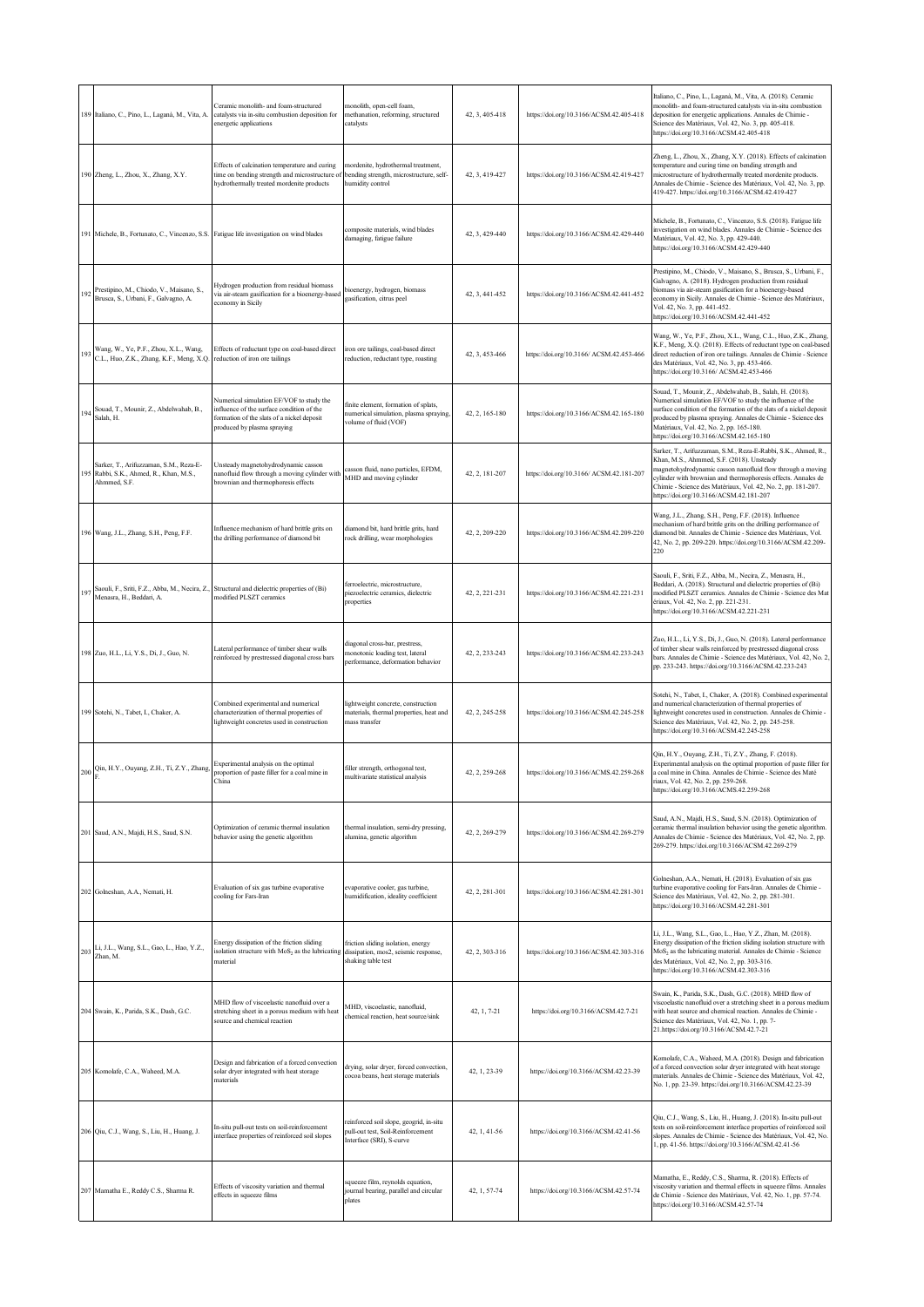|     | 189 Italiano, C., Pino, L., Laganà, M., Vita, A.                                                                 | eramic monolith- and foam-structured<br>catalysts via in-situ combustion deposition for<br>energetic applications                                                  | monolith, open-cell foam,<br>methanation, reforming, structured<br>catalysts                             | 42, 3, 405-418 | https://doi.org/10.3166/ACSM.42.405-418  | Italiano, C., Pino, L., Laganà, M., Vita, A. (2018). Ceramic<br>nonolith- and foam-structured catalysts via in-situ combustion<br>deposition for energetic applications. Annales de Chimie -<br>Science des Matériaux, Vol. 42, No. 3, pp. 405-418.<br>https://doi.org/10.3166/ACSM.42.405-418                                                       |
|-----|------------------------------------------------------------------------------------------------------------------|--------------------------------------------------------------------------------------------------------------------------------------------------------------------|----------------------------------------------------------------------------------------------------------|----------------|------------------------------------------|------------------------------------------------------------------------------------------------------------------------------------------------------------------------------------------------------------------------------------------------------------------------------------------------------------------------------------------------------|
|     | 190 Zheng, L., Zhou, X., Zhang, X.Y.                                                                             | Effects of calcination temperature and curing<br>ime on bending strength and microstructure of<br>nydrothermally treated mordenite products                        | mordenite, hydrothermal treatment,<br>bending strength, microstructure, self-<br>humidity control        | 42, 3, 419-427 | https://doi.org/10.3166/ACSM.42.419-427  | Zheng, L., Zhou, X., Zhang, X.Y. (2018). Effects of calcination<br>emperature and curing time on bending strength and<br>microstructure of hydrothermally treated mordenite products.<br>Annales de Chimie - Science des Matériaux, Vol. 42, No. 3, pp.<br>419-427. https://doi.org/10.3166/ACSM.42.419-427                                          |
|     | 191 Michele, B., Fortunato, C., Vincenzo, S.S. Fatigue life investigation on wind blades                         |                                                                                                                                                                    | composite materials, wind blades<br>damaging, fatigue failure                                            | 42, 3, 429-440 | https://doi.org/10.3166/ACSM.42.429-440  | Michele, B., Fortunato, C., Vincenzo, S.S. (2018). Fatigue life<br>investigation on wind blades. Annales de Chimie - Science des<br>Matériaux, Vol. 42, No. 3, pp. 429-440.<br>https://doi.org/10.3166/ACSM.42.429-440                                                                                                                               |
| 192 | Prestipino, M., Chiodo, V., Maisano, S.,<br>Brusca, S., Urbani, F., Galvagno, A.                                 | Hydrogen production from residual biomass<br>via air-steam gasification for a bioenergy-based<br>economy in Sicily                                                 | bioenergy, hydrogen, biomass<br>gasification, citrus peel                                                | 42, 3, 441-452 | https://doi.org/10.3166/ACSM.42.441-452  | Prestipino, M., Chiodo, V., Maisano, S., Brusca, S., Urbani, F.,<br>Galvagno, A. (2018). Hydrogen production from residual<br>biomass via air-steam gasification for a bioenergy-based<br>economy in Sicily. Annales de Chimie - Science des Matériaux,<br>Vol. 42, No. 3, pp. 441-452.<br>https://doi.org/10.3166/ACSM.42.441-452                   |
| 193 | Wang, W., Ye, P.F., Zhou, X.L., Wang,<br>C.L., Huo, Z.K., Zhang, K.F., Meng, X.Q. reduction of iron ore tailings | Effects of reductant type on coal-based direct                                                                                                                     | iron ore tailings, coal-based direct<br>reduction, reductant type, roasting                              | 42, 3, 453-466 | https://doi.org/10.3166/ ACSM.42.453-466 | Wang, W., Ye, P.F., Zhou, X.L., Wang, C.L., Huo, Z.K., Zhang,<br>K.F., Meng, X.Q. (2018). Effects of reductant type on coal-based<br>direct reduction of iron ore tailings. Annales de Chimie - Science<br>des Matériaux, Vol. 42, No. 3, pp. 453-466.<br>https://doi.org/10.3166/ ACSM.42.453-466                                                   |
| 19. | Souad, T., Mounir, Z., Abdelwahab, B.,<br>Salah, H.                                                              | Vumerical simulation EF/VOF to study the<br>influence of the surface condition of the<br>formation of the slats of a nickel deposit<br>produced by plasma spraying | finite element, formation of splats,<br>numerical simulation, plasma spraying,<br>volume of fluid (VOF)  | 42, 2, 165-180 | https://doi.org/10.3166/ACSM.42.165-180  | Souad, T., Mounir, Z., Abdelwahab, B., Salah, H. (2018).<br>Numerical simulation EF/VOF to study the influence of the<br>surface condition of the formation of the slats of a nickel deposit<br>produced by plasma spraying. Annales de Chimie - Science des<br>Matériaux, Vol. 42, No. 2, pp. 165-180.<br>https://doi.org/10.3166/ACSM.42.165-180   |
| 195 | Sarker, T., Arifuzzaman, S.M., Reza-E-<br>Rabbi, S.K., Ahmed, R., Khan, M.S.,<br>Ahmmed, S.F.                    | Unsteady magnetohydrodynamic casson<br>nanofluid flow through a moving cylinder with<br>prownian and thermophoresis effects                                        | casson fluid, nano particles, EFDM,<br>MHD and moving cylinder                                           | 42, 2, 181-207 | https://doi.org/10.3166/ ACSM.42.181-207 | Sarker, T., Arifuzzaman, S.M., Reza-E-Rabbi, S.K., Ahmed, R.,<br>Khan, M.S., Ahmmed, S.F. (2018). Unsteady<br>magnetohydrodynamic casson nanofluid flow through a moving<br>cylinder with brownian and thermophoresis effects. Annales de<br>Chimie - Science des Matériaux, Vol. 42, No. 2, pp. 181-207.<br>https://doi.org/10.3166/ACSM.42.181-207 |
|     | 196 Wang, J.L., Zhang, S.H., Peng, F.F.                                                                          | Influence mechanism of hard brittle grits on<br>he drilling performance of diamond bit                                                                             | diamond bit, hard brittle grits, hard<br>rock drilling, wear morphologies                                | 42, 2, 209-220 | https://doi.org/10.3166/ACSM.42.209-220  | Wang, J.L., Zhang, S.H., Peng, F.F. (2018). Influence<br>mechanism of hard brittle grits on the drilling performance of<br>diamond bit. Annales de Chimie - Science des Matériaux, Vol.<br>42, No. 2, pp. 209-220. https://doi.org/10.3166/ACSM.42.209-<br>220                                                                                       |
| 197 | Saouli, F., Sriti, F.Z., Abba, M., Necira, Z.,<br>Menasra, H., Beddari, A.                                       | Structural and dielectric properties of (Bi)<br>modified PLSZT ceramics                                                                                            | ferroelectric, microstructure,<br>piezoelectric ceramics, dielectric<br>properties                       | 42, 2, 221-231 | https://doi.org/10.3166/ACSM.42.221-231  | Saouli, F., Sriti, F.Z., Abba, M., Necira, Z., Menasra, H.,<br>Beddari, A. (2018). Structural and dielectric properties of (Bi)<br>modified PLSZT ceramics. Annales de Chimie - Science des Mat<br>ériaux, Vol. 42, No. 2, pp. 221-231.<br>https://doi.org/10.3166/ACSM.42.221-231                                                                   |
|     | 198 Zuo, H.L., Li, Y.S., Di, J., Guo, N.                                                                         | Lateral performance of timber shear walls<br>reinforced by prestressed diagonal cross bars                                                                         | diagonal cross-bar, prestress,<br>nonotonic loading test, lateral<br>performance, deformation behavior   | 42, 2, 233-243 | https://doi.org/10.3166/ACSM.42.233-243  | Zuo, H.L., Li, Y.S., Di, J., Guo, N. (2018). Lateral performance<br>of timber shear walls reinforced by prestressed diagonal cross<br>bars. Annales de Chimie - Science des Matériaux, Vol. 42, No. 2,<br>pp. 233-243. https://doi.org/10.3166/ACSM.42.233-243                                                                                       |
|     | 199 Sotehi, N., Tabet, I., Chaker, A.                                                                            | Combined experimental and numerical<br>characterization of thermal properties of<br>lightweight concretes used in construction                                     | lightweight concrete, construction<br>materials, thermal properties, heat and<br>mass transfer           | 42, 2, 245-258 | https://doi.org/10.3166/ACSM.42.245-258  | Sotehi, N., Tabet, I., Chaker, A. (2018). Combined experimental<br>and numerical characterization of thermal properties of<br>lightweight concretes used in construction. Annales de Chimie -<br>Science des Matériaux, Vol. 42, No. 2, pp. 245-258.<br>https://doi.org/10.3166/ACSM.42.245-258                                                      |
| 200 | Qin, H.Y., Ouyang, Z.H., Ti, Z.Y., Zhang,                                                                        | Experimental analysis on the optimal<br>proportion of paste filler for a coal mine in<br>China                                                                     | filler strength, orthogonal test,<br>multivariate statistical analysis                                   | 42, 2, 259-268 | https://doi.org/10.3166/ACMS.42.259-268  | Qin, H.Y., Ouyang, Z.H., Ti, Z.Y., Zhang, F. (2018).<br>Experimental analysis on the optimal proportion of paste filler for<br>a coal mine in China. Annales de Chimie - Science des Maté<br>riaux, Vol. 42, No. 2, pp. 259-268.<br>https://doi.org/10.3166/ACMS.42.259-268                                                                          |
|     | 201 Saud, A.N., Majdi, H.S., Saud, S.N.                                                                          | Optimization of ceramic thermal insulation<br>behavior using the genetic algorithm                                                                                 | thermal insulation, semi-dry pressing,<br>alumina, genetic algorithm                                     | 42, 2, 269-279 | https://doi.org/10.3166/ACSM.42.269-279  | Saud, A.N., Majdi, H.S., Saud, S.N. (2018). Optimization of<br>ceramic thermal insulation behavior using the genetic algorithm.<br>Annales de Chimie - Science des Matériaux, Vol. 42, No. 2, pp.<br>269-279. https://doi.org/10.3166/ACSM.42.269-279                                                                                                |
|     | 202 Golneshan, A.A., Nemati, H.                                                                                  | Evaluation of six gas turbine evaporative<br>cooling for Fars-Iran                                                                                                 | evaporative cooler, gas turbine,<br>humidification, ideality coefficient                                 | 42, 2, 281-301 | https://doi.org/10.3166/ACSM.42.281-301  | Golneshan, A.A., Nemati, H. (2018). Evaluation of six gas<br>turbine evaporative cooling for Fars-Iran. Annales de Chimie -<br>Science des Matériaux, Vol. 42, No. 2, pp. 281-301.<br>https://doi.org/10.3166/ACSM.42.281-301                                                                                                                        |
| 203 | Li, J.L., Wang, S.L., Gao, L., Hao, Y.Z.,<br>Zhan, M.                                                            | Energy dissipation of the friction sliding<br>solation structure with MoS <sub>2</sub> as the lubricating<br>naterial                                              | friction sliding isolation, energy<br>dissipation, mos2, seismic response,<br>shaking table test         | 42, 2, 303-316 | https://doi.org/10.3166/ACSM.42.303-316  | Li, J.L., Wang, S.L., Gao, L., Hao, Y.Z., Zhan, M. (2018).<br>Energy dissipation of the friction sliding isolation structure with<br>$MoS2$ as the lubricating material. Annales de Chimie - Science<br>des Matériaux, Vol. 42, No. 2, pp. 303-316.<br>https://doi.org/10.3166/ACSM.42.303-316                                                       |
|     | 204 Swain, K., Parida, S.K., Dash, G.C.                                                                          | MHD flow of viscoelastic nanofluid over a<br>stretching sheet in a porous medium with heat<br>ource and chemical reaction                                          | MHD, viscoelastic, nanofluid,<br>chemical reaction, heat source/sink                                     | 42, 1, 7-21    | https://doi.org/10.3166/ACSM.42.7-21     | Swain, K., Parida, S.K., Dash, G.C. (2018). MHD flow of<br>viscoelastic nanofluid over a stretching sheet in a porous medium<br>with heat source and chemical reaction. Annales de Chimie -<br>Science des Matériaux, Vol. 42, No. 1, pp. 7-<br>21.https://doi.org/10.3166/ACSM.42.7-21                                                              |
|     | 205 Komolafe, C.A., Waheed, M.A.                                                                                 | Design and fabrication of a forced convection<br>solar dryer integrated with heat storage<br>naterials                                                             | drying, solar dryer, forced convection,<br>cocoa beans, heat storage materials                           | 42, 1, 23-39   | https://doi.org/10.3166/ACSM.42.23-39    | Komolafe, C.A., Waheed, M.A. (2018). Design and fabrication<br>of a forced convection solar dryer integrated with heat storage<br>materials. Annales de Chimie - Science des Matériaux, Vol. 42,<br>No. 1, pp. 23-39. https://doi.org/10.3166/ACSM.42.23-39                                                                                          |
|     | 206 Qiu, C.J., Wang, S., Liu, H., Huang, J.                                                                      | In-situ pull-out tests on soil-reinforcement<br>interface properties of reinforced soil slopes                                                                     | reinforced soil slope, geogrid, in-situ<br>pull-out test, Soil-Reinforcement<br>Interface (SRI), S-curve | 42, 1, 41-56   | https://doi.org/10.3166/ACSM.42.41-56    | Qiu, C.J., Wang, S., Liu, H., Huang, J. (2018). In-situ pull-out<br>tests on soil-reinforcement interface properties of reinforced soil<br>slopes. Annales de Chimie - Science des Matériaux, Vol. 42, No.<br>1, pp. 41-56. https://doi.org/10.3166/ACSM.42.41-56                                                                                    |
|     | 207 Mamatha E., Reddy C.S., Sharma R.                                                                            | Effects of viscosity variation and thermal<br>effects in squeeze films                                                                                             | squeeze film, reynolds equation,<br>journal bearing, parallel and circular<br>plates                     | 42, 1, 57-74   | https://doi.org/10.3166/ACSM.42.57-74    | Mamatha, E., Reddy, C.S., Sharma, R. (2018). Effects of<br>viscosity variation and thermal effects in squeeze films. Annales<br>de Chimie - Science des Matériaux, Vol. 42, No. 1, pp. 57-74.<br>https://doi.org/10.3166/ACSM.42.57-74                                                                                                               |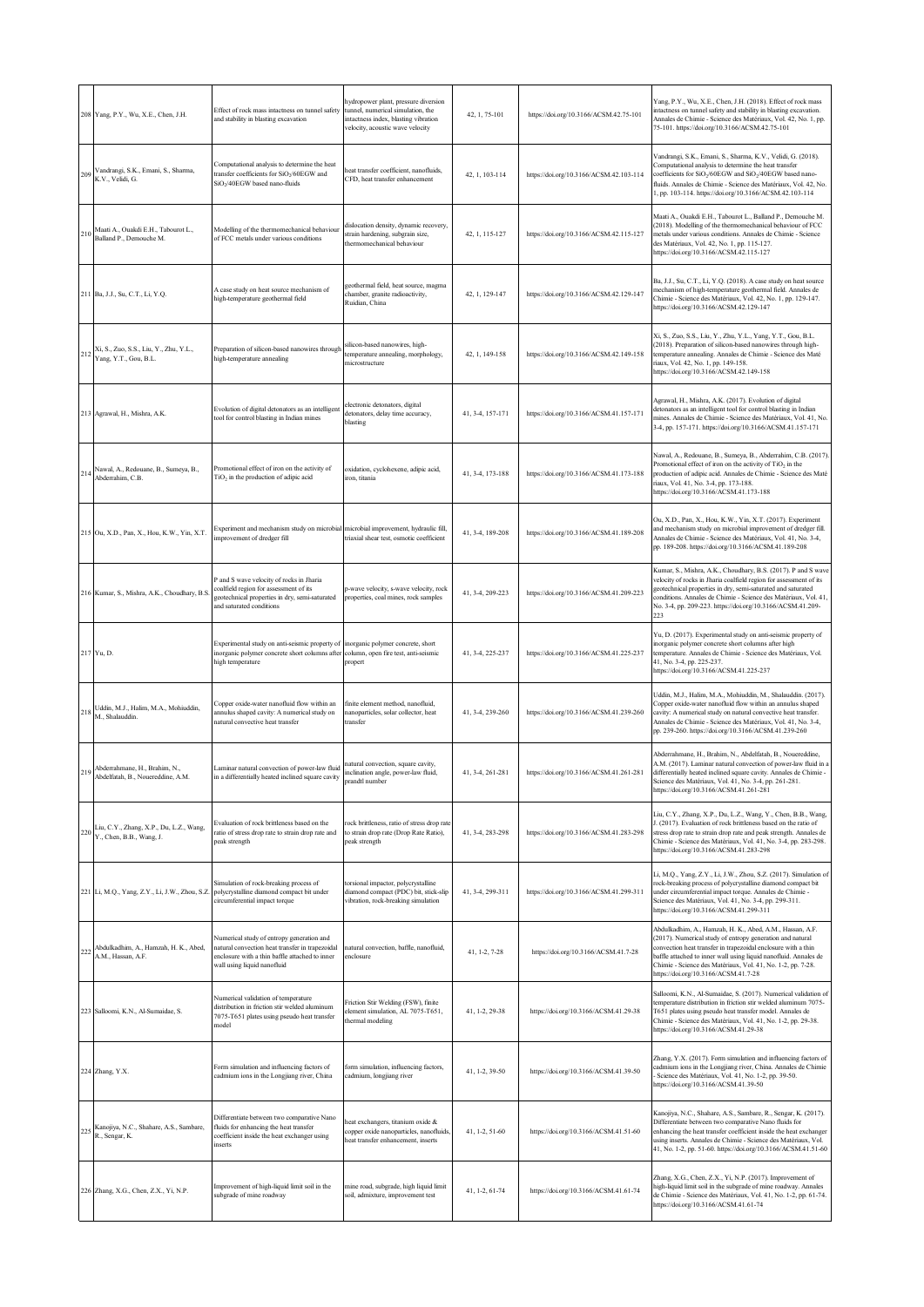|     | 208 Yang, P.Y., Wu, X.E., Chen, J.H.                                | Effect of rock mass intactness on tunnel safety<br>and stability in blasting excavation                                                                                       | hydropower plant, pressure diversion<br>tunnel, numerical simulation, the<br>intactness index, blasting vibration<br>velocity, acoustic wave velocity | 42, 1, 75-101    | https://doi.org/10.3166/ACSM.42.75-101  | Yang, P.Y., Wu, X.E., Chen, J.H. (2018). Effect of rock mass<br>intactness on tunnel safety and stability in blasting excavation.<br>Annales de Chimie - Science des Matériaux, Vol. 42, No. 1, pp.<br>75-101. https://doi.org/10.3166/ACSM.42.75-101                                                                                                             |
|-----|---------------------------------------------------------------------|-------------------------------------------------------------------------------------------------------------------------------------------------------------------------------|-------------------------------------------------------------------------------------------------------------------------------------------------------|------------------|-----------------------------------------|-------------------------------------------------------------------------------------------------------------------------------------------------------------------------------------------------------------------------------------------------------------------------------------------------------------------------------------------------------------------|
|     | Vandrangi, S.K., Emani, S., Sharma,<br>K.V., Velidi, G.             | Computational analysis to determine the heat<br>transfer coefficients for SiO <sub>2</sub> /60EGW and<br>SiO <sub>2</sub> /40EGW based nano-fluids                            | eat transfer coefficient, nanofluids,<br>CFD, heat transfer enhancement                                                                               | 42, 1, 103-114   | https://doi.org/10.3166/ACSM.42.103-114 | Vandrangi, S.K., Emani, S., Sharma, K.V., Velidi, G. (2018).<br>Computational analysis to determine the heat transfer<br>coefficients for SiO <sub>2</sub> /60EGW and SiO <sub>2</sub> /40EGW based nano-<br>fluids. Annales de Chimie - Science des Matériaux, Vol. 42, No.<br>1, pp. 103-114. https://doi.org/10.3166/ACSM.42.103-114                           |
|     | Maati A., Ouakdi E.H., Tabourot L.,<br>Balland P., Demouche M.      | Modelling of the thermomechanical behaviour<br>of FCC metals under various conditions                                                                                         | dislocation density, dynamic recovery,<br>strain hardening, subgrain size,<br>thermomechanical behaviour                                              | 42, 1, 115-127   | https://doi.org/10.3166/ACSM.42.115-127 | Maati A., Ouakdi E.H., Tabourot L., Balland P., Demouche M.<br>(2018). Modelling of the thermomechanical behaviour of FCC<br>netals under various conditions. Annales de Chimie - Science<br>des Matériaux, Vol. 42, No. 1, pp. 115-127.<br>https://doi.org/10.3166/ACSM.42.115-127                                                                               |
|     | 211 Ba, J.J., Su, C.T., Li, Y.Q.                                    | A case study on heat source mechanism of<br>high-temperature geothermal field                                                                                                 | eothermal field, heat source, magma<br>chamber, granite radioactivity,<br>Ruidian, China                                                              | 42, 1, 129-147   | https://doi.org/10.3166/ACSM.42.129-147 | Ba, J.J., Su, C.T., Li, Y.Q. (2018). A case study on heat source<br>nechanism of high-temperature geothermal field. Annales de<br>Chimie - Science des Matériaux, Vol. 42, No. 1, pp. 129-147.<br>https://doi.org/10.3166/ACSM.42.129-147                                                                                                                         |
|     | Xi, S., Zuo, S.S., Liu, Y., Zhu, Y.L.,<br>Yang, Y.T., Gou, B.L.     | Preparation of silicon-based nanowires through<br>high-temperature annealing                                                                                                  | silicon-based nanowires, high-<br>temperature annealing, morphology,<br>microstructure                                                                | 42, 1, 149-158   | https://doi.org/10.3166/ACSM.42.149-158 | Xi, S., Zuo, S.S., Liu, Y., Zhu, Y.L., Yang, Y.T., Gou, B.L.<br>(2018). Preparation of silicon-based nanowires through high-<br>temperature annealing. Annales de Chimie - Science des Maté<br>riaux, Vol. 42, No. 1, pp. 149-158.<br>https://doi.org/10.3166/ACSM.42.149-158                                                                                     |
|     | 213 Agrawal, H., Mishra, A.K.                                       | Evolution of digital detonators as an intelligent<br>tool for control blasting in Indian mines                                                                                | electronic detonators, digital<br>detonators, delay time accuracy,<br>blasting                                                                        | 41, 3-4, 157-171 | https://doi.org/10.3166/ACSM.41.157-171 | Agrawal, H., Mishra, A.K. (2017). Evolution of digital<br>detonators as an intelligent tool for control blasting in Indian<br>mines. Annales de Chimie - Science des Matériaux, Vol. 41, No.<br>3-4, pp. 157-171. https://doi.org/10.3166/ACSM.41.157-171                                                                                                         |
|     | Nawal, A., Redouane, B., Sumeya, B.,<br>Abderrahim, C.B.            | Promotional effect of iron on the activity of<br>TiO <sub>2</sub> in the production of adipic acid                                                                            | oxidation, cyclohexene, adipic acid,<br>iron, titania                                                                                                 | 41, 3-4, 173-188 | https://doi.org/10.3166/ACSM.41.173-188 | Nawal, A., Redouane, B., Sumeya, B., Abderrahim, C.B. (2017).<br>Promotional effect of iron on the activity of TiO <sub>2</sub> in the<br>production of adipic acid. Annales de Chimie - Science des Maté<br>riaux, Vol. 41, No. 3-4, pp. 173-188.<br>https://doi.org/10.3166/ACSM.41.173-188                                                                     |
|     | 215 Ou, X.D., Pan, X., Hou, K.W., Yin, X.T.                         | Experiment and mechanism study on microbia<br>mprovement of dredger fill                                                                                                      | microbial improvement, hydraulic fill,<br>triaxial shear test, osmotic coefficient                                                                    | 41, 3-4, 189-208 | https://doi.org/10.3166/ACSM.41.189-208 | Ou, X.D., Pan, X., Hou, K.W., Yin, X.T. (2017). Experiment<br>and mechanism study on microbial improvement of dredger fill.<br>Annales de Chimie - Science des Matériaux, Vol. 41, No. 3-4,<br>pp. 189-208. https://doi.org/10.3166/ACSM.41.189-208                                                                                                               |
|     | 216 Kumar, S., Mishra, A.K., Choudhary, B.S.                        | P and S wave velocity of rocks in Jharia<br>coalfield region for assessment of its<br>geotechnical properties in dry, semi-saturated<br>and saturated conditions              | s-wave velocity, s-wave velocity, rock<br>roperties, coal mines, rock samples                                                                         | 41, 3-4, 209-223 | https://doi.org/10.3166/ACSM.41.209-223 | Kumar, S., Mishra, A.K., Choudhary, B.S. (2017). P and S wave<br>velocity of rocks in Jharia coalfield region for assessment of its<br>geotechnical properties in dry, semi-saturated and saturated<br>conditions. Annales de Chimie - Science des Matériaux, Vol. 41,<br>No. 3-4, pp. 209-223. https://doi.org/10.3166/ACSM.41.209-<br>223                       |
|     | 217 Yu, D.                                                          | Experimental study on anti-seismic property of<br>inorganic polymer concrete short columns after column, open fire test, anti-seismic<br>high temperature                     | inorganic polymer concrete, short<br>propert                                                                                                          | 41, 3-4, 225-237 | https://doi.org/10.3166/ACSM.41.225-237 | Yu, D. (2017). Experimental study on anti-seismic property of<br>inorganic polymer concrete short columns after high<br>emperature. Annales de Chimie - Science des Matériaux, Vol.<br>41, No. 3-4, pp. 225-237.<br>https://doi.org/10.3166/ACSM.41.225-237                                                                                                       |
| 21  | Uddin, M.J., Halim, M.A., Mohiuddin,<br>M., Shalauddin.             | Copper oxide-water nanofluid flow within an<br>annulus shaped cavity: A numerical study on<br>natural convective heat transfer                                                | finite element method, nanofluid,<br>nanoparticles, solar collector, heat<br>transfer                                                                 | 41, 3-4, 239-260 | https://doi.org/10.3166/ACSM.41.239-260 | Uddin, M.J., Halim, M.A., Mohiuddin, M., Shalauddin. (2017).<br>Copper oxide-water nanofluid flow within an annulus shaped<br>cavity: A numerical study on natural convective heat transfer.<br>Annales de Chimie - Science des Matériaux, Vol. 41, No. 3-4,<br>pp. 239-260. https://doi.org/10.3166/ACSM.41.239-260                                              |
|     | Abderrahmane, H., Brahim, N.,<br>Abdelfatah, B., Nouereddine, A.M.  | Laminar natural convection of power-law fluid<br>in a differentially heated inclined square cavity                                                                            | natural convection, square cavity,<br>inclination angle, power-law fluid,<br>prandtl number                                                           | 41, 3-4, 261-281 | https://doi.org/10.3166/ACSM.41.261-281 | Abderrahmane, H., Brahim, N., Abdelfatah, B., Nouereddine,<br>A.M. (2017). Laminar natural convection of power-law fluid in a<br>differentially heated inclined square cavity. Annales de Chimie -<br>Science des Matériaux, Vol. 41, No. 3-4, pp. 261-281.<br>https://doi.org/10.3166/ACSM.41.261-281                                                            |
|     | Liu, C.Y., Zhang, X.P., Du, L.Z., Wang,<br>Y., Chen, B.B., Wang, J. | Evaluation of rock brittleness based on the<br>ratio of stress drop rate to strain drop rate and<br>peak strength                                                             | rock brittleness, ratio of stress drop rate<br>to strain drop rate (Drop Rate Ratio),<br>peak strength                                                | 41, 3-4, 283-298 | https://doi.org/10.3166/ACSM.41.283-298 | Liu, C.Y., Zhang, X.P., Du, L.Z., Wang, Y., Chen, B.B., Wang,<br>J. (2017). Evaluation of rock brittleness based on the ratio of<br>stress drop rate to strain drop rate and peak strength. Annales de<br>Chimie - Science des Matériaux, Vol. 41, No. 3-4, pp. 283-298.<br>https://doi.org/10.3166/ACSM.41.283-298                                               |
|     | 221 Li, M.Q., Yang, Z.Y., Li, J.W., Zhou, S.Z.                      | Simulation of rock-breaking process of<br>polycrystalline diamond compact bit under<br>circumferential impact torque                                                          | torsional impactor, polycrystalline<br>diamond compact (PDC) bit, stick-slip<br>vibration, rock-breaking simulation                                   | 41, 3-4, 299-311 | https://doi.org/10.3166/ACSM.41.299-311 | Li, M.Q., Yang, Z.Y., Li, J.W., Zhou, S.Z. (2017). Simulation of<br>ock-breaking process of polycrystalline diamond compact bit<br>under circumferential impact torque. Annales de Chimie -<br>Science des Matériaux, Vol. 41, No. 3-4, pp. 299-311.<br>https://doi.org/10.3166/ACSM.41.299-311                                                                   |
|     | Abdulkadhim, A., Hamzah, H. K., Abed,<br>A.M., Hassan, A.F.         | Numerical study of entropy generation and<br>natural convection heat transfer in trapezoidal<br>enclosure with a thin baffle attached to inner<br>wall using liquid nanofluid | natural convection, baffle, nanofluid,<br>enclosure                                                                                                   | 41, 1-2, 7-28    | https://doi.org/10.3166/ACSM.41.7-28    | Abdulkadhim, A., Hamzah, H. K., Abed, A.M., Hassan, A.F.<br>(2017). Numerical study of entropy generation and natural<br>convection heat transfer in trapezoidal enclosure with a thin<br>baffle attached to inner wall using liquid nanofluid. Annales de<br>Chimie - Science des Matériaux, Vol. 41, No. 1-2, pp. 7-28.<br>https://doi.org/10.3166/ACSM.41.7-28 |
| 223 | Salloomi, K.N., Al-Sumaidae, S.                                     | Numerical validation of temperature<br>distribution in friction stir welded aluminum<br>7075-T651 plates using pseudo heat transfer<br>model                                  | Friction Stir Welding (FSW), finite<br>lement simulation, AL 7075-T651,<br>hermal modeling                                                            | 41, 1-2, 29-38   | https://doi.org/10.3166/ACSM.41.29-38   | Salloomi, K.N., Al-Sumaidae, S. (2017). Numerical validation of<br>temperature distribution in friction stir welded aluminum 7075-<br>T651 plates using pseudo heat transfer model. Annales de<br>Chimie - Science des Matériaux, Vol. 41, No. 1-2, pp. 29-38.<br>https://doi.org/10.3166/ACSM.41.29-38                                                           |
|     | 224 Zhang, Y.X.                                                     | Form simulation and influencing factors of<br>cadmium ions in the Longjiang river, China                                                                                      | form simulation, influencing factors,<br>cadmium, longjiang river                                                                                     | 41, 1-2, 39-50   | https://doi.org/10.3166/ACSM.41.39-50   | Zhang, Y.X. (2017). Form simulation and influencing factors of<br>cadmium ions in the Longjiang river, China. Annales de Chimie<br>Science des Matériaux, Vol. 41, No. 1-2, pp. 39-50.<br>https://doi.org/10.3166/ACSM.41.39-50                                                                                                                                   |
|     | Kanojiya, N.C., Shahare, A.S., Sambare,<br>R., Sengar, K.           | Differentiate between two comparative Nano<br>fluids for enhancing the heat transfer<br>coefficient inside the heat exchanger using<br>inserts                                | eat exchangers, titanium oxide &<br>copper oxide nanoparticles, nanofluids,<br>neat transfer enhancement, inserts                                     | 41, 1-2, 51-60   | https://doi.org/10.3166/ACSM.41.51-60   | Kanojiya, N.C., Shahare, A.S., Sambare, R., Sengar, K. (2017).<br>Differentiate between two comparative Nano fluids for<br>enhancing the heat transfer coefficient inside the heat exchanger<br>using inserts. Annales de Chimie - Science des Matériaux, Vol.<br>41, No. 1-2, pp. 51-60. https://doi.org/10.3166/ACSM.41.51-60                                   |
|     | 226 Zhang, X.G., Chen, Z.X., Yi, N.P.                               | Improvement of high-liquid limit soil in the<br>subgrade of mine roadway                                                                                                      | mine road, subgrade, high liquid limit<br>soil, admixture, improvement test                                                                           | 41, 1-2, 61-74   | https://doi.org/10.3166/ACSM.41.61-74   | Zhang, X.G., Chen, Z.X., Yi, N.P. (2017). Improvement of<br>high-liquid limit soil in the subgrade of mine roadway. Annales<br>de Chimie - Science des Matériaux, Vol. 41, No. 1-2, pp. 61-74.<br>https://doi.org/10.3166/ACSM.41.61-74                                                                                                                           |